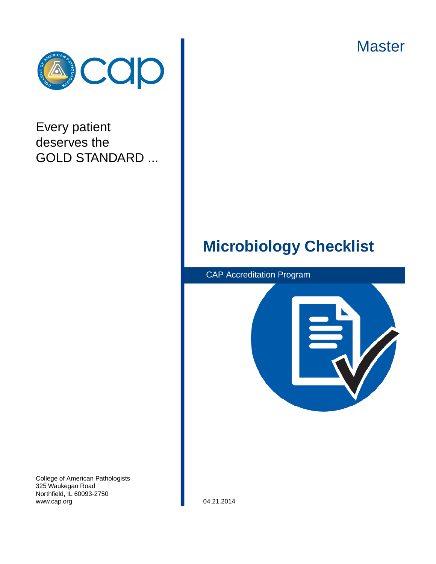**Master** 



# Every patient deserves the GOLD STANDARD ...

# **Microbiology Checklist**

CAP Accreditation Program



College of American Pathologists 325 Waukegan Road Northfield, IL 60093-2750 www.cap.org 04.21.2014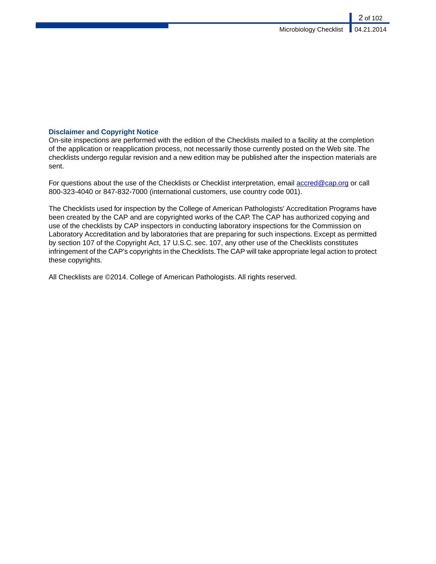# **Disclaimer and Copyright Notice**

On-site inspections are performed with the edition of the Checklists mailed to a facility at the completion of the application or reapplication process, not necessarily those currently posted on the Web site. The checklists undergo regular revision and a new edition may be published after the inspection materials are sent.

For questions about the use of the Checklists or Checklist interpretation, email<accred@cap.org>or call 800-323-4040 or 847-832-7000 (international customers, use country code 001).

The Checklists used for inspection by the College of American Pathologists' Accreditation Programs have been created by the CAP and are copyrighted works of the CAP. The CAP has authorized copying and use of the checklists by CAP inspectors in conducting laboratory inspections for the Commission on Laboratory Accreditation and by laboratories that are preparing for such inspections. Except as permitted by section 107 of the Copyright Act, 17 U.S.C. sec. 107, any other use of the Checklists constitutes infringement of the CAP's copyrights in the Checklists.The CAP will take appropriate legal action to protect these copyrights.

All Checklists are ©2014. College of American Pathologists. All rights reserved.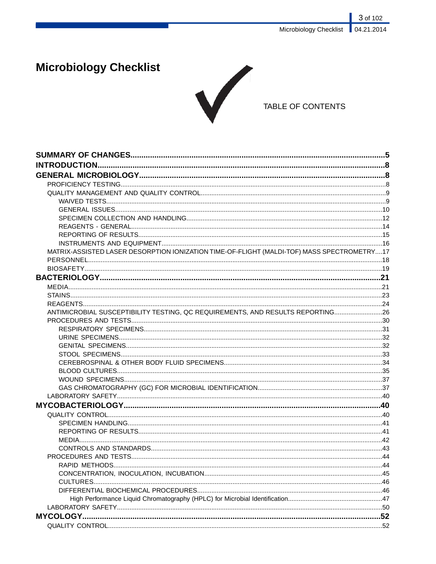3 of 102 Microbiology Checklist 04.21.2014

# **Microbiology Checklist**



# TABLE OF CONTENTS

| MATRIX-ASSISTED LASER DESORPTION IONIZATION TIME-OF-FLIGHT (MALDI-TOF) MASS SPECTROMETRY17 |  |
|--------------------------------------------------------------------------------------------|--|
|                                                                                            |  |
|                                                                                            |  |
|                                                                                            |  |
|                                                                                            |  |
|                                                                                            |  |
|                                                                                            |  |
| ANTIMICROBIAL SUSCEPTIBILITY TESTING, QC REQUIREMENTS, AND RESULTS REPORTING 26            |  |
|                                                                                            |  |
|                                                                                            |  |
|                                                                                            |  |
|                                                                                            |  |
|                                                                                            |  |
|                                                                                            |  |
|                                                                                            |  |
|                                                                                            |  |
|                                                                                            |  |
|                                                                                            |  |
|                                                                                            |  |
|                                                                                            |  |
|                                                                                            |  |
|                                                                                            |  |
|                                                                                            |  |
|                                                                                            |  |
|                                                                                            |  |
|                                                                                            |  |
|                                                                                            |  |
|                                                                                            |  |
|                                                                                            |  |
|                                                                                            |  |
|                                                                                            |  |
|                                                                                            |  |
|                                                                                            |  |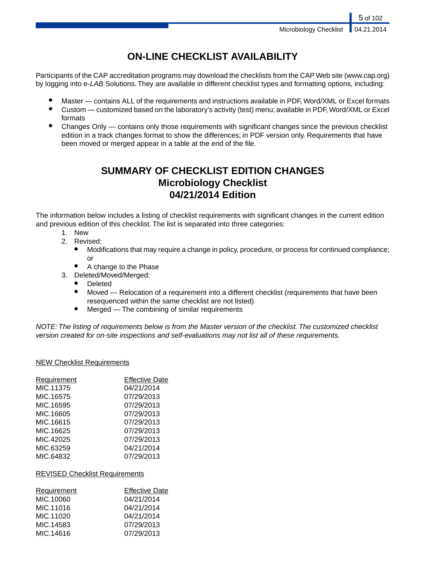5 of 102

# **ON-LINE CHECKLIST AVAILABILITY**

Participants of the CAP accreditation programs may download the checklists from the CAP Web site (www.cap.org) by logging into e-*LAB* Solutions. They are available in different checklist types and formatting options, including:

- Master contains ALL of the requirements and instructions available in PDF, Word/XML or Excel formats
- Custom customized based on the laboratory's activity (test) menu; available in PDF, Word/XML or Excel formats
- Changes Only contains only those requirements with significant changes since the previous checklist edition in a track changes format to show the differences; in PDF version only. Requirements that have been moved or merged appear in a table at the end of the file.

# **SUMMARY OF CHECKLIST EDITION CHANGES Microbiology Checklist 04/21/2014 Edition**

The information below includes a listing of checklist requirements with significant changes in the current edition and previous edition of this checklist. The list is separated into three categories:

- 1. New
- 2. Revised:
	- Modifications that may require a change in policy, procedure, or process for continued compliance; or
	- A change to the Phase
- 3. Deleted/Moved/Merged:
	- Deleted
	- Moved Relocation of a requirement into a different checklist (requirements that have been resequenced within the same checklist are not listed)
	- Merged The combining of similar requirements

*NOTE: The listing of requirements below is from the Master version of the checklist. The customized checklist version created for on-site inspections and self-evaluations may not list all of these requirements.*

# NEW Checklist Requirements

| Requirement | <b>Effective Date</b> |
|-------------|-----------------------|
| MIC.11375   | 04/21/2014            |
| MIC.16575   | 07/29/2013            |
| MIC.16595   | 07/29/2013            |
| MIC.16605   | 07/29/2013            |
| MIC.16615   | 07/29/2013            |
| MIC.16625   | 07/29/2013            |
| MIC.42025   | 07/29/2013            |
| MIC.63259   | 04/21/2014            |
| MIC.64832   | 07/29/2013            |

# REVISED Checklist Requirements

| Requirement | <b>Effective Date</b> |
|-------------|-----------------------|
| MIC.10060   | 04/21/2014            |
| MIC.11016   | 04/21/2014            |
| MIC.11020   | 04/21/2014            |
| MIC.14583   | 07/29/2013            |
| MIC.14616   | 07/29/2013            |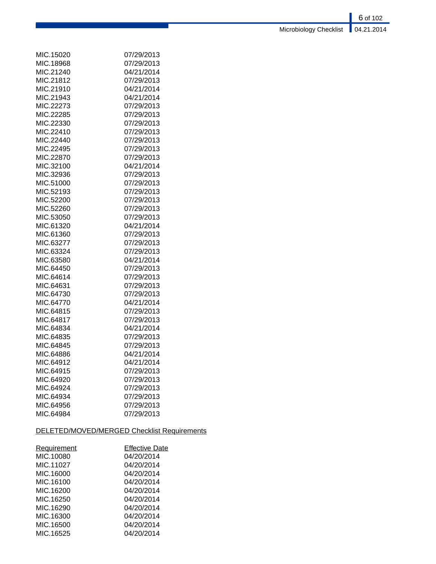6 of 102 Microbiology Checklist | 04.21.2014

| MIC.15020 | 07/29/2013 |
|-----------|------------|
| MIC.18968 | 07/29/2013 |
| MIC.21240 | 04/21/2014 |
| MIC.21812 | 07/29/2013 |
| MIC.21910 | 04/21/2014 |
| MIC.21943 | 04/21/2014 |
| MIC.22273 | 07/29/2013 |
| MIC.22285 | 07/29/2013 |
| MIC.22330 | 07/29/2013 |
| MIC.22410 | 07/29/2013 |
| MIC.22440 | 07/29/2013 |
| MIC.22495 | 07/29/2013 |
| MIC.22870 | 07/29/2013 |
| MIC.32100 | 04/21/2014 |
| MIC.32936 | 07/29/2013 |
| MIC.51000 | 07/29/2013 |
| MIC.52193 | 07/29/2013 |
| MIC.52200 | 07/29/2013 |
| MIC.52260 | 07/29/2013 |
| MIC.53050 | 07/29/2013 |
| MIC.61320 | 04/21/2014 |
| MIC.61360 | 07/29/2013 |
| MIC.63277 | 07/29/2013 |
| MIC.63324 | 07/29/2013 |
| MIC.63580 | 04/21/2014 |
| MIC.64450 | 07/29/2013 |
| MIC.64614 | 07/29/2013 |
| MIC.64631 | 07/29/2013 |
| MIC.64730 | 07/29/2013 |
| MIC.64770 | 04/21/2014 |
| MIC.64815 | 07/29/2013 |
| MIC.64817 | 07/29/2013 |
| MIC.64834 | 04/21/2014 |
| MIC.64835 | 07/29/2013 |
| MIC.64845 | 07/29/2013 |
| MIC.64886 | 04/21/2014 |
| MIC.64912 | 04/21/2014 |
| MIC.64915 | 07/29/2013 |
| MIC.64920 | 07/29/2013 |
| MIC.64924 | 07/29/2013 |
| MIC.64934 | 07/29/2013 |
| MIC.64956 | 07/29/2013 |
| MIC.64984 | 07/29/2013 |

# DELETED/MOVED/MERGED Checklist Requirements

| <b>Requirement</b> | <b>Effective Date</b> |
|--------------------|-----------------------|
| MIC.10080          | 04/20/2014            |
| MIC.11027          | 04/20/2014            |
| MIC.16000          | 04/20/2014            |
| MIC.16100          | 04/20/2014            |
| MIC.16200          | 04/20/2014            |
| MIC.16250          | 04/20/2014            |
| MIC.16290          | 04/20/2014            |
| MIC.16300          | 04/20/2014            |
| MIC.16500          | 04/20/2014            |
| MIC.16525          | 04/20/2014            |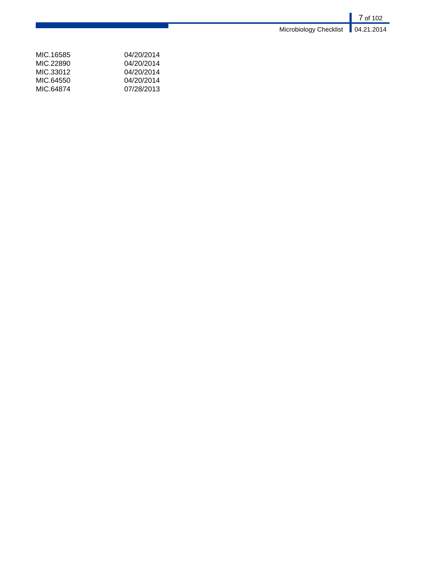|                                     | $\vert$ 7 of 102 |
|-------------------------------------|------------------|
| Microbiology Checklist   04.21.2014 |                  |

| 04/20/2014 |
|------------|
| 04/20/2014 |
| 04/20/2014 |
| 04/20/2014 |
| 07/28/2013 |
|            |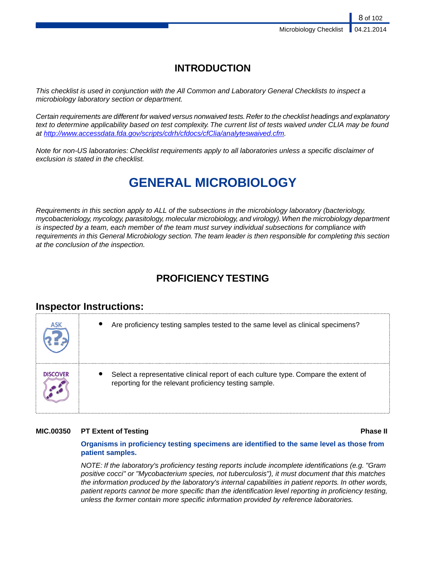# **INTRODUCTION**

*This checklist is used in conjunction with the All Common and Laboratory General Checklists to inspect a microbiology laboratory section or department.*

*Certain requirements are different for waived versus nonwaived tests. Refer to the checklist headings and explanatory text to determine applicability based on test complexity. The current list of tests waived under CLIA may be found at <http://www.accessdata.fda.gov/scripts/cdrh/cfdocs/cfClia/analyteswaived.cfm>.*

*Note for non-US laboratories: Checklist requirements apply to all laboratories unless a specific disclaimer of exclusion is stated in the checklist.*

# **GENERAL MICROBIOLOGY**

*Requirements in this section apply to ALL of the subsections in the microbiology laboratory (bacteriology, mycobacteriology, mycology, parasitology, molecular microbiology, and virology).When the microbiology department is inspected by a team, each member of the team must survey individual subsections for compliance with requirements in this General Microbiology section.The team leader is then responsible for completing this section at the conclusion of the inspection.*

# **PROFICIENCY TESTING**

# **Inspector Instructions:**



# **MIC.00350 PT Extent of Testing Phase II**

# **Organisms in proficiency testing specimens are identified to the same level as those from patient samples.**

*NOTE: If the laboratory's proficiency testing reports include incomplete identifications (e.g. "Gram positive cocci" or "Mycobacterium species, not tuberculosis"), it must document that this matches the information produced by the laboratory's internal capabilities in patient reports. In other words, patient reports cannot be more specific than the identification level reporting in proficiency testing, unless the former contain more specific information provided by reference laboratories.*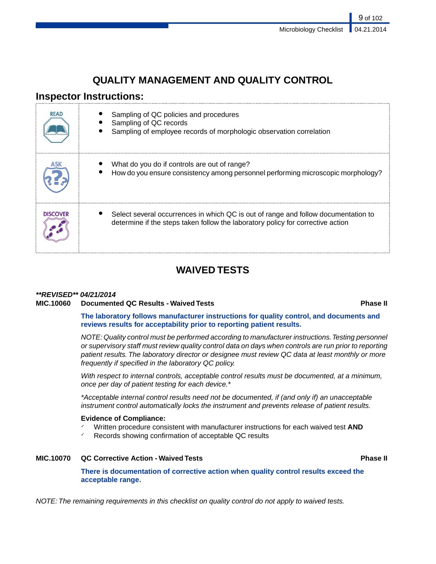# **QUALITY MANAGEMENT AND QUALITY CONTROL**

# **Inspector Instructions:**

| <b>READ</b>     | Sampling of QC policies and procedures<br>Sampling of QC records<br>Sampling of employee records of morphologic observation correlation                               |
|-----------------|-----------------------------------------------------------------------------------------------------------------------------------------------------------------------|
|                 | What do you do if controls are out of range?<br>How do you ensure consistency among personnel performing microscopic morphology?                                      |
| <b>DISCOVER</b> | Select several occurrences in which QC is out of range and follow documentation to<br>determine if the steps taken follow the laboratory policy for corrective action |

# **WAIVED TESTS**

# *\*\*REVISED\*\* 04/21/2014* **MIC.10060 Documented QC Results - Waived Tests Phase II**

**The laboratory follows manufacturer instructions for quality control, and documents and reviews results for acceptability prior to reporting patient results.**

*NOTE: Quality control must be performed according to manufacturer instructions.Testing personnel or supervisory staff must review quality control data on days when controls are run prior to reporting patient results. The laboratory director or designee must review QC data at least monthly or more frequently if specified in the laboratory QC policy.*

*With respect to internal controls, acceptable control results must be documented, at a minimum, once per day of patient testing for each device.\**

*\*Acceptable internal control results need not be documented, if (and only if) an unacceptable instrument control automatically locks the instrument and prevents release of patient results.*

# **Evidence of Compliance:**

- ✓ Written procedure consistent with manufacturer instructions for each waived test **AND**
- Records showing confirmation of acceptable QC results

# **MIC.10070 QC Corrective Action - Waived Tests Phase II**

**There is documentation of corrective action when quality control results exceed the acceptable range.**

*NOTE: The remaining requirements in this checklist on quality control do not apply to waived tests.*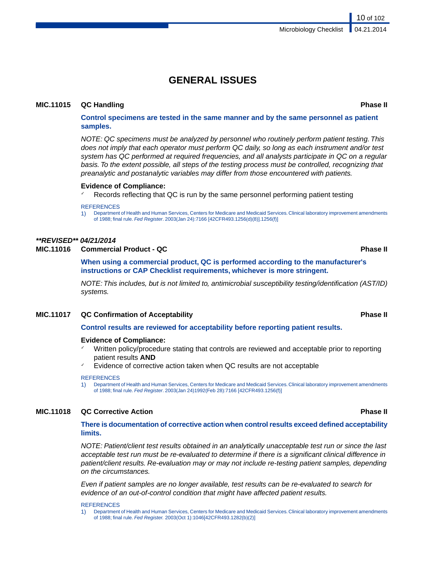# **GENERAL ISSUES**

### **MIC.11015 QC Handling Phase II**

**Control specimens are tested in the same manner and by the same personnel as patient samples.**

*NOTE: QC specimens must be analyzed by personnel who routinely perform patient testing. This does not imply that each operator must perform QC daily, so long as each instrument and/or test system has QC performed at required frequencies, and all analysts participate in QC on a regular basis. To the extent possible, all steps of the testing process must be controlled, recognizing that preanalytic and postanalytic variables may differ from those encountered with patients.*

#### **Evidence of Compliance:**

Records reflecting that QC is run by the same personnel performing patient testing

#### **REFERENCES**

1) Department of Health and Human Services, Centers for Medicare and Medicaid Services. Clinical laboratory improvement amendments of 1988; final rule. *Fed Register*. 2003(Jan 24):7166 [42CFR493.1256(d)(8)].1256(f)]

#### *\*\*REVISED\*\* 04/21/2014*

# **MIC.11016 Commercial Product - QC Phase II**

**When using a commercial product, QC is performed according to the manufacturer's instructions or CAP Checklist requirements, whichever is more stringent.**

*NOTE: This includes, but is not limited to, antimicrobial susceptibility testing/identification (AST/ID) systems.*

### **MIC.11017 QC Confirmation of Acceptability Phase II**

#### **Control results are reviewed for acceptability before reporting patient results.**

#### **Evidence of Compliance:**

- Written policy/procedure stating that controls are reviewed and acceptable prior to reporting patient results **AND**
- Evidence of corrective action taken when QC results are not acceptable

#### **REFERENCES**

1) Department of Health and Human Services, Centers for Medicare and Medicaid Services. Clinical laboratory improvement amendments of 1988; final rule. *Fed Register*. 2003(Jan 24)1992(Feb 28):7166 [42CFR493.1256(f)]

### **MIC.11018 QC Corrective Action Phase II**

#### **There is documentation of corrective action when control results exceed defined acceptability limits.**

*NOTE: Patient/client test results obtained in an analytically unacceptable test run or since the last acceptable test run must be re-evaluated to determine if there is a significant clinical difference in patient/client results. Re-evaluation may or may not include re-testing patient samples, depending on the circumstances.*

*Even if patient samples are no longer available, test results can be re-evaluated to search for evidence of an out-of-control condition that might have affected patient results.*

REFERENCES

1) Department of Health and Human Services, Centers for Medicare and Medicaid Services. Clinical laboratory improvement amendments of 1988; final rule. *Fed Register.* 2003(Oct 1):1046[42CFR493.1282(b)(2)]

10 of 102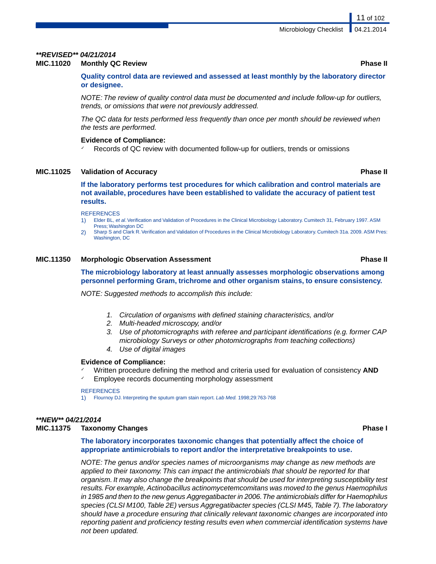#### *\*\*REVISED\*\* 04/21/2014*

### **MIC.11020 Monthly QC Review Phase II**

**Quality control data are reviewed and assessed at least monthly by the laboratory director or designee.**

*NOTE: The review of quality control data must be documented and include follow-up for outliers, trends, or omissions that were not previously addressed.*

*The QC data for tests performed less frequently than once per month should be reviewed when the tests are performed.*

### **Evidence of Compliance:**

Records of QC review with documented follow-up for outliers, trends or omissions

### **MIC.11025 Validation of Accuracy Phase II**

**If the laboratory performs test procedures for which calibration and control materials are not available, procedures have been established to validate the accuracy of patient test results.**

#### **REFERENCES**

- 1) Elder BL, *et al*. Verification and Validation of Procedures in the Clinical Microbiology Laboratory. Cumitech 31, February 1997. ASM Press; Washington DC
- 2) Sharp S and Clark R.Verification and Validation of Procedures in the Clinical Microbiology Laboratory. Cumitech 31a. 2009. ASM Pres: Washington, DC

### **MIC.11350 Morphologic Observation Assessment Phase II**

### **The microbiology laboratory at least annually assesses morphologic observations among personnel performing Gram, trichrome and other organism stains, to ensure consistency.**

*NOTE: Suggested methods to accomplish this include:*

- *1. Circulation of organisms with defined staining characteristics, and/or*
- *2. Multi-headed microscopy, and/or*
- *3. Use of photomicrographs with referee and participant identifications (e.g. former CAP microbiology Surveys or other photomicrographs from teaching collections)*
- *4. Use of digital images*

#### **Evidence of Compliance:**

- ✓ Written procedure defining the method and criteria used for evaluation of consistency **AND**
- Employee records documenting morphology assessment

#### **REFERENCES**

1) Flournoy DJ. Interpreting the sputum gram stain report. *Lab Med.* 1998;29:763-768

#### *\*\*NEW\*\* 04/21/2014*

#### **MIC.11375 Taxonomy Changes Phase I**

**The laboratory incorporates taxonomic changes that potentially affect the choice of appropriate antimicrobials to report and/or the interpretative breakpoints to use.**

*NOTE: The genus and/or species names of microorganisms may change as new methods are applied to their taxonomy. This can impact the antimicrobials that should be reported for that organism. It may also change the breakpoints that should be used for interpreting susceptibility test results. For example, Actinobacillus actinomycetemcomitans was moved to the genus Haemophilus in 1985 and then to the new genus Aggregatibacter in 2006.The antimicrobials differ for Haemophilus species (CLSI M100, Table 2E) versus Aggregatibacter species (CLSI M45, Table 7).The laboratory should have a procedure ensuring that clinically relevant taxonomic changes are incorporated into reporting patient and proficiency testing results even when commercial identification systems have not been updated.*

11 of 102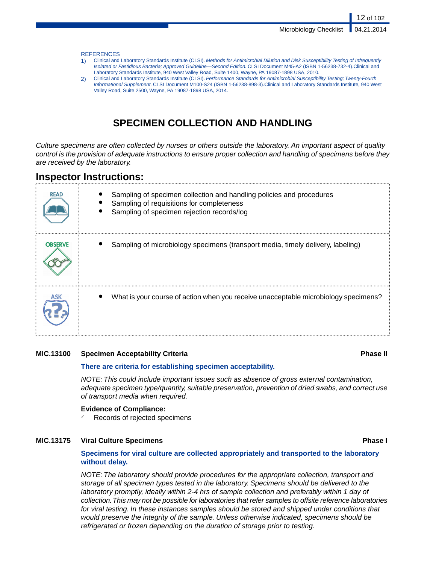12 of 102

#### **REFERENCES**

- 1) Clinical and Laboratory Standards Institute (CLSI). *Methods for Antimicrobial Dilution and Disk Susceptibility Testing of Infrequently Isolated or Fastidious Bacteria; Approved Guideline—Second Edition.* CLSI Document M45-A2 (ISBN 1-56238-732-4).Clinical and Laboratory Standards Institute, 940 West Valley Road, Suite 1400, Wayne, PA 19087-1898 USA, 2010.
- 2) Clinical and Laboratory Standards Institute (CLSI). *Performance Standards for Antimicrobial Susceptibility Testing; Twenty-Fourth Informational Supplement.* CLSI Document M100-S24 (ISBN 1-56238-898-3).Clinical and Laboratory Standards Institute, 940 West Valley Road, Suite 2500, Wayne, PA 19087-1898 USA, 2014.

# **SPECIMEN COLLECTION AND HANDLING**

*Culture specimens are often collected by nurses or others outside the laboratory. An important aspect of quality control is the provision of adequate instructions to ensure proper collection and handling of specimens before they are received by the laboratory.*

# **Inspector Instructions:**

| <b>READ</b>    | Sampling of specimen collection and handling policies and procedures<br>Sampling of requisitions for completeness<br>Sampling of specimen rejection records/log |
|----------------|-----------------------------------------------------------------------------------------------------------------------------------------------------------------|
| <b>OBSERVE</b> | Sampling of microbiology specimens (transport media, timely delivery, labeling)                                                                                 |
|                | What is your course of action when you receive unacceptable microbiology specimens?                                                                             |

### **MIC.13100 Specimen Acceptability Criteria Phase II**

#### **There are criteria for establishing specimen acceptability.**

*NOTE: This could include important issues such as absence of gross external contamination, adequate specimen type/quantity, suitable preservation, prevention of dried swabs, and correct use of transport media when required.*

#### **Evidence of Compliance:**

Records of rejected specimens

### **MIC.13175 Viral Culture Specimens Phase I**

### **Specimens for viral culture are collected appropriately and transported to the laboratory without delay.**

*NOTE: The laboratory should provide procedures for the appropriate collection, transport and storage of all specimen types tested in the laboratory. Specimens should be delivered to the laboratory promptly, ideally within 2-4 hrs of sample collection and preferably within 1 day of collection.This may not be possible for laboratories that refer samples to offsite reference laboratories for viral testing. In these instances samples should be stored and shipped under conditions that would preserve the integrity of the sample. Unless otherwise indicated, specimens should be refrigerated or frozen depending on the duration of storage prior to testing.*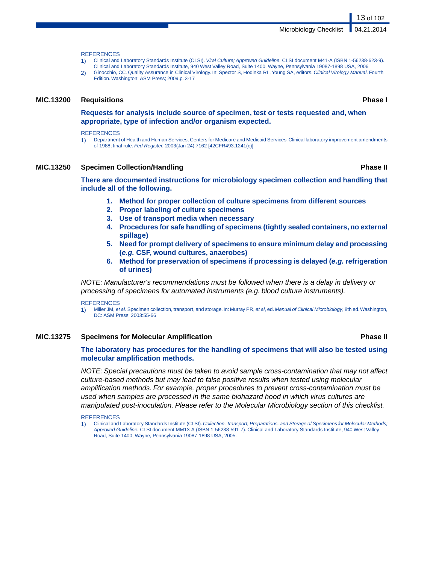#### **REFERENCES**

- 1) Clinical and Laboratory Standards Institute (CLSI). *Viral Culture; Approved Guideline.* CLSI document M41-A (ISBN 1-56238-623-9). Clinical and Laboratory Standards Institute, 940 West Valley Road, Suite 1400, Wayne, Pennsylvania 19087-1898 USA, 2006
- 2) Ginocchio, CC. Quality Assurance in Clinical Virology. In: Spector S, Hodinka RL, Young SA, editors. *Clinical Virology Manual*. Fourth Edition. Washington: ASM Press; 2009.p. 3-17

#### **MIC.13200 Requisitions Phase I**

**Requests for analysis include source of specimen, test or tests requested and, when appropriate, type of infection and/or organism expected.**

#### **REFERENCES**

1) Department of Health and Human Services, Centers for Medicare and Medicaid Services. Clinical laboratory improvement amendments of 1988; final rule. *Fed Register.* 2003(Jan 24):7162 [42CFR493.1241(c)]

### **MIC.13250 Specimen Collection/Handling Phase II**

**There are documented instructions for microbiology specimen collection and handling that include all of the following.**

- **1. Method for proper collection of culture specimens from different sources**
- **2. Proper labeling of culture specimens**
- **3. Use of transport media when necessary**
- **4. Procedures for safe handling of specimens (tightly sealed containers, no external spillage)**
- **5. Need for prompt delivery of specimens to ensure minimum delay and processing (***e.g.* **CSF, wound cultures, anaerobes)**
- **6. Method for preservation of specimens if processing is delayed (***e.g.* **refrigeration of urines)**

*NOTE: Manufacturer's recommendations must be followed when there is a delay in delivery or processing of specimens for automated instruments (e.g. blood culture instruments).*

#### **REFERENCES**

1) Miller JM, *et al.* Specimen collection, transport, and storage. In: Murray PR, *et al*, ed. *Manual of Clinical Microbiology*, 8th ed.Washington, DC: ASM Press; 2003:55-66

#### **MIC.13275 Specimens for Molecular Amplification Phase II**

### **The laboratory has procedures for the handling of specimens that will also be tested using molecular amplification methods.**

*NOTE: Special precautions must be taken to avoid sample cross-contamination that may not affect culture-based methods but may lead to false positive results when tested using molecular amplification methods. For example, proper procedures to prevent cross-contamination must be used when samples are processed in the same biohazard hood in which virus cultures are manipulated post-inoculation. Please refer to the Molecular Microbiology section of this checklist.*

#### **REFERENCES**

1) Clinical and Laboratory Standards Institute (CLSI). *Collection, Transport, Preparations, and Storage of Specimens for Molecular Methods; Approved Guideline.* CLSI document MM13-A (ISBN 1-56238-591-7). Clinical and Laboratory Standards Institute, 940 West Valley Road, Suite 1400, Wayne, Pennsylvania 19087-1898 USA, 2005.

13 of 102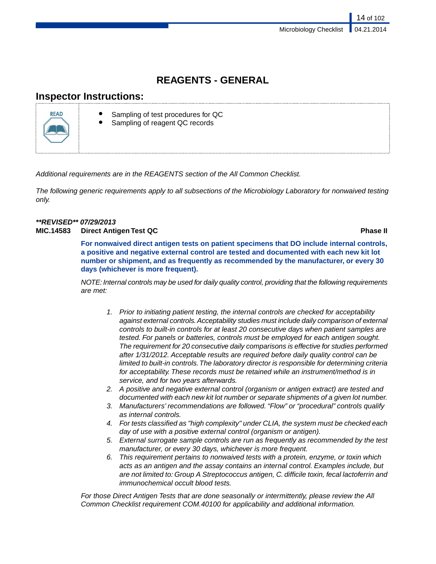# **REAGENTS - GENERAL**

# **Inspector Instructions:**



- Sampling of test procedures for QC
- Sampling of reagent QC records

*Additional requirements are in the REAGENTS section of the All Common Checklist.*

*The following generic requirements apply to all subsections of the Microbiology Laboratory for nonwaived testing only.*

## *\*\*REVISED\*\* 07/29/2013* **MIC.14583 Direct Antigen Test QC Phase II**

**For nonwaived direct antigen tests on patient specimens that DO include internal controls, a positive and negative external control are tested and documented with each new kit lot number or shipment, and as frequently as recommended by the manufacturer, or every 30 days (whichever is more frequent).**

*NOTE: Internal controls may be used for daily quality control, providing that the following requirements are met:*

- *1. Prior to initiating patient testing, the internal controls are checked for acceptability against external controls. Acceptability studies must include daily comparison of external controls to built-in controls for at least 20 consecutive days when patient samples are tested. For panels or batteries, controls must be employed for each antigen sought. The requirement for 20 consecutive daily comparisons is effective for studies performed after 1/31/2012. Acceptable results are required before daily quality control can be limited to built-in controls.The laboratory director is responsible for determining criteria for acceptability. These records must be retained while an instrument/method is in service, and for two years afterwards.*
- *2. A positive and negative external control (organism or antigen extract) are tested and documented with each new kit lot number or separate shipments of a given lot number.*
- *3. Manufacturers' recommendations are followed. "Flow" or "procedural" controls qualify as internal controls.*
- *4. For tests classified as "high complexity" under CLIA, the system must be checked each day of use with a positive external control (organism or antigen).*
- *5. External surrogate sample controls are run as frequently as recommended by the test manufacturer, or every 30 days, whichever is more frequent.*
- *6. This requirement pertains to nonwaived tests with a protein, enzyme, or toxin which acts as an antigen and the assay contains an internal control. Examples include, but are not limited to: Group A Streptococcus antigen, C. difficile toxin, fecal lactoferrin and immunochemical occult blood tests.*

*For those Direct Antigen Tests that are done seasonally or intermittently, please review the All Common Checklist requirement COM.40100 for applicability and additional information.*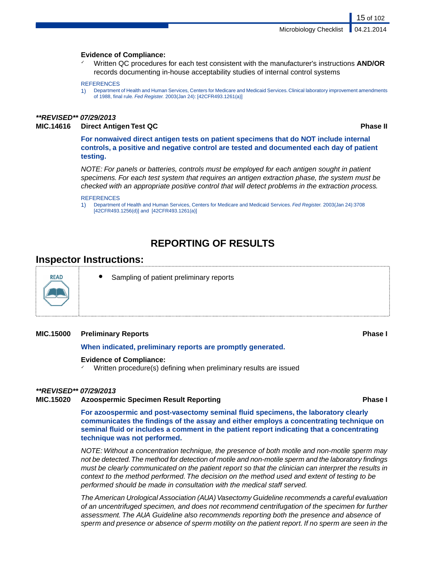#### **Evidence of Compliance:**

✓ Written QC procedures for each test consistent with the manufacturer's instructions **AND/OR** records documenting in-house acceptability studies of internal control systems

#### **REFERENCES**

1) Department of Health and Human Services, Centers for Medicare and Medicaid Services. Clinical laboratory improvement amendments of 1988, final rule. *Fed Register.* 2003(Jan 24): [42CFR493.1261(a)]

#### *\*\*REVISED\*\* 07/29/2013*

### **MIC.14616 Direct Antigen Test QC Phase II**

15 of 102

**For nonwaived direct antigen tests on patient specimens that do NOT include internal controls, a positive and negative control are tested and documented each day of patient testing.**

*NOTE: For panels or batteries, controls must be employed for each antigen sought in patient specimens. For each test system that requires an antigen extraction phase, the system must be checked with an appropriate positive control that will detect problems in the extraction process.*

#### **REFERENCES**

1) Department of Health and Human Services, Centers for Medicare and Medicaid Services. *Fed Register.* 2003(Jan 24):3708 [42CFR493.1256(d)] and [42CFR493.1261(a)]

# **REPORTING OF RESULTS**

# **Inspector Instructions:**



Sampling of patient preliminary reports

#### **MIC.15000 Preliminary Reports Phase I**

#### **When indicated, preliminary reports are promptly generated.**

#### **Evidence of Compliance:**

Written procedure(s) defining when preliminary results are issued

#### *\*\*REVISED\*\* 07/29/2013*

### **MIC.15020 Azoospermic Specimen Result Reporting Phase I**

**For azoospermic and post-vasectomy seminal fluid specimens, the laboratory clearly communicates the findings of the assay and either employs a concentrating technique on seminal fluid or includes a comment in the patient report indicating that a concentrating technique was not performed.**

*NOTE: Without a concentration technique, the presence of both motile and non-motile sperm may not be detected.The method for detection of motile and non-motile sperm and the laboratory findings must be clearly communicated on the patient report so that the clinician can interpret the results in context to the method performed. The decision on the method used and extent of testing to be performed should be made in consultation with the medical staff served.*

*The American Urological Association (AUA) Vasectomy Guideline recommends a careful evaluation of an uncentrifuged specimen, and does not recommend centrifugation of the specimen for further assessment. The AUA Guideline also recommends reporting both the presence and absence of sperm and presence or absence of sperm motility on the patient report. If no sperm are seen in the*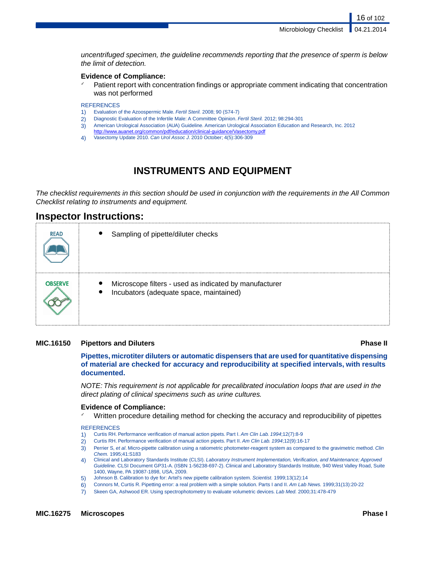Microbiology Checklist

16 of 102

*uncentrifuged specimen, the guideline recommends reporting that the presence of sperm is below the limit of detection.*

## **Evidence of Compliance:**

✓ Patient report with concentration findings or appropriate comment indicating that concentration was not performed

**REFERENCES** 

- 1) Evaluation of the Azoospermic Male. *Fertil Steril.* 2008; 90 (S74-7)
- 2) Diagnostic Evaluation of the Infertile Male: A Committee Opinion. *Fertil Steril.* 2012; 98:294-301
- 3) American Urological Association (AUA) Guideline. American Urological Association Education and Research, Inc. 2012
- <http://www.auanet.org/common/pdf/education/clinical-guidance/Vasectomy.pdf> 4) Vasectomy Update 2010. *Can Urol Assoc J*. 2010 October; 4(5):306-309

# **INSTRUMENTS AND EQUIPMENT**

*The checklist requirements in this section should be used in conjunction with the requirements in the All Common Checklist relating to instruments and equipment.*

# **Inspector Instructions:**

| <b>READ</b>    | $\bullet$<br>Sampling of pipette/diluter checks                                                                             |
|----------------|-----------------------------------------------------------------------------------------------------------------------------|
| <b>OBSERVE</b> | $\bullet$<br>Microscope filters - used as indicated by manufacturer<br>Incubators (adequate space, maintained)<br>$\bullet$ |

## **MIC.16150 Pipettors and Diluters Phase II**

**Pipettes, microtiter diluters or automatic dispensers that are used for quantitative dispensing of material are checked for accuracy and reproducibility at specified intervals, with results documented.**

*NOTE: This requirement is not applicable for precalibrated inoculation loops that are used in the direct plating of clinical specimens such as urine cultures.*

## **Evidence of Compliance:**

Written procedure detailing method for checking the accuracy and reproducibility of pipettes

**REFERENCES** 

- 1) Curtis RH. Performance verification of manual action pipets. Part I. *Am Clin Lab. 1994*;12(7):8-9
- 2) Curtis RH. Performance verification of manual action pipets. Part II. *Am Clin Lab. 1994*;12(9):16-17
- 3) Perrier S, *et al*. Micro-pipette calibration using a ratiometric photometer-reagent system as compared to the gravimetric method. *Clin Chem.* 1995;41:S183
- 4) Clinical and Laboratory Standards Institute (CLSI). *Laboratory Instrument Implementation, Verification, and Maintenance; Approved Guideline.* CLSI Document GP31-A. (ISBN 1-56238-697-2). Clinical and Laboratory Standards Institute, 940 West Valley Road, Suite 1400, Wayne, PA 19087-1898, USA, 2009.
- 5) Johnson B. Calibration to dye for: Artel's new pipette calibration system. *Scientist.* 1999;13(12):14
- 6) Connors M, Curtis R. Pipetting error: a real problem with a simple solution. Parts I and II. *Am Lab News.* 1999;31(13):20-22
- 7) Skeen GA, Ashwood ER. Using spectrophotometry to evaluate volumetric devices. *Lab Med.* 2000;31:478-479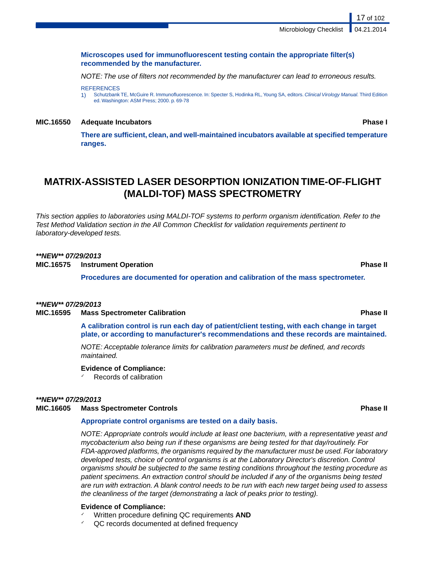### **Microscopes used for immunofluorescent testing contain the appropriate filter(s) recommended by the manufacturer.**

*NOTE: The use of filters not recommended by the manufacturer can lead to erroneous results.*

**REFERENCES** 

1) Schutzbank TE, McGuire R. Immunofluorescence. In: Specter S, Hodinka RL, Young SA, editors. *Clinical Virology Manual.* Third Edition ed. Washington: ASM Press; 2000. p. 69-78

#### **MIC.16550 Adequate Incubators Phase I**

17 of 102

**There are sufficient, clean, and well-maintained incubators available at specified temperature ranges.**

# **MATRIX-ASSISTED LASER DESORPTION IONIZATION TIME-OF-FLIGHT (MALDI-TOF) MASS SPECTROMETRY**

*This section applies to laboratories using MALDI-TOF systems to perform organism identification. Refer to the Test Method Validation section in the All Common Checklist for validation requirements pertinent to laboratory-developed tests.*

## *\*\*NEW\*\* 07/29/2013*

**MIC.16575 Instrument Operation Phase II**

**Procedures are documented for operation and calibration of the mass spectrometer.**

## *\*\*NEW\*\* 07/29/2013*

#### **MIC.16595 Mass Spectrometer Calibration Phase II**

**A calibration control is run each day of patient/client testing, with each change in target plate, or according to manufacturer's recommendations and these records are maintained.**

*NOTE: Acceptable tolerance limits for calibration parameters must be defined, and records maintained.*

### **Evidence of Compliance:**

Records of calibration

## *\*\*NEW\*\* 07/29/2013*

### **MIC.16605 Mass Spectrometer Controls Phase II**

#### **Appropriate control organisms are tested on a daily basis.**

*NOTE: Appropriate controls would include at least one bacterium, with a representative yeast and mycobacterium also being run if these organisms are being tested for that day/routinely. For FDA-approved platforms, the organisms required by the manufacturer must be used. For laboratory developed tests, choice of control organisms is at the Laboratory Director's discretion. Control organisms should be subjected to the same testing conditions throughout the testing procedure as patient specimens. An extraction control should be included if any of the organisms being tested are run with extraction. A blank control needs to be run with each new target being used to assess the cleanliness of the target (demonstrating a lack of peaks prior to testing).*

#### **Evidence of Compliance:**

- Written procedure defining QC requirements **AND**
- QC records documented at defined frequency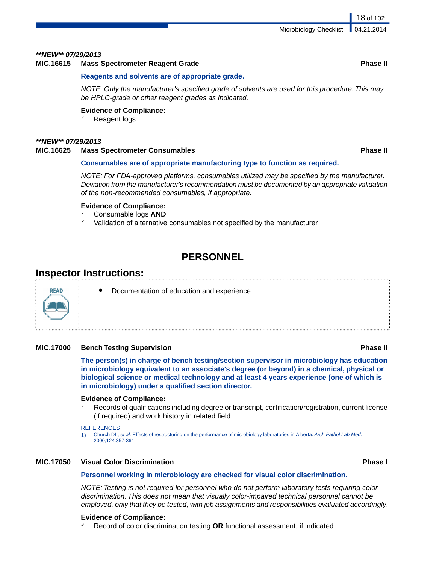### *\*\*NEW\*\* 07/29/2013*

### **MIC.16615 Mass Spectrometer Reagent Grade Phase II**

### **Reagents and solvents are of appropriate grade.**

*NOTE: Only the manufacturer's specified grade of solvents are used for this procedure. This may be HPLC-grade or other reagent grades as indicated.*

#### **Evidence of Compliance:**

Reagent logs

## *\*\*NEW\*\* 07/29/2013*

#### **MIC.16625 Mass Spectrometer Consumables Phase II**

### **Consumables are of appropriate manufacturing type to function as required.**

*NOTE: For FDA-approved platforms, consumables utilized may be specified by the manufacturer. Deviation from the manufacturer's recommendation must be documented by an appropriate validation of the non-recommended consumables, if appropriate.*

#### **Evidence of Compliance:**

- ✓ Consumable logs **AND**
- Validation of alternative consumables not specified by the manufacturer

# **PERSONNEL**

# **Inspector Instructions:**

**RFAD** 

Documentation of education and experience

# **MIC.17000 Bench Testing Supervision Phase II**

**The person(s) in charge of bench testing/section supervisor in microbiology has education in microbiology equivalent to an associate's degree (or beyond) in a chemical, physical or biological science or medical technology and at least 4 years experience (one of which is in microbiology) under a qualified section director.**

# **Evidence of Compliance:**

Records of qualifications including degree or transcript, certification/registration, current license (if required) and work history in related field

#### **REFERENCES**

1) Church DL, *et al.* Effects of restructuring on the performance of microbiology laboratories in Alberta. *Arch Pathol Lab Med.* 2000;124:357-361

# **MIC.17050 Visual Color Discrimination Phase I**

## **Personnel working in microbiology are checked for visual color discrimination.**

*NOTE: Testing is not required for personnel who do not perform laboratory tests requiring color discrimination. This does not mean that visually color-impaired technical personnel cannot be employed, only that they be tested, with job assignments and responsibilities evaluated accordingly.*

#### **Evidence of Compliance:**

✔ Record of color discrimination testing **OR** functional assessment, if indicated

18 of 102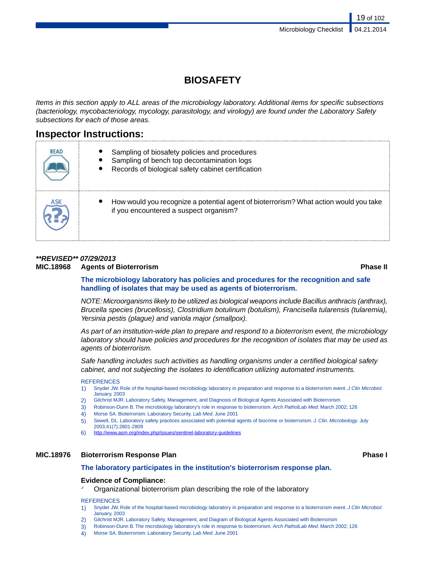# **BIOSAFETY**

*Items in this section apply to ALL areas of the microbiology laboratory. Additional items for specific subsections (bacteriology, mycobacteriology, mycology, parasitology, and virology) are found under the Laboratory Safety subsections for each of those areas.*

# **Inspector Instructions:**

| <b>READ</b> | Sampling of biosafety policies and procedures<br>Sampling of bench top decontamination logs<br>Records of biological safety cabinet certification |
|-------------|---------------------------------------------------------------------------------------------------------------------------------------------------|
| <b>ASK</b>  | How would you recognize a potential agent of bioterrorism? What action would you take<br>if you encountered a suspect organism?                   |

# *\*\*REVISED\*\* 07/29/2013* **MIC.18968 Agents of Bioterrorism Phase II**

**The microbiology laboratory has policies and procedures for the recognition and safe handling of isolates that may be used as agents of bioterrorism.**

*NOTE: Microorganisms likely to be utilized as biological weapons include Bacillus anthracis (anthrax), Brucella species (brucellosis), Clostridium botulinum (botulism), Francisella tularensis (tularemia), Yersinia pestis (plague) and variola major (smallpox).*

*As part of an institution-wide plan to prepare and respond to a bioterrorism event, the microbiology laboratory should have policies and procedures for the recognition of isolates that may be used as agents of bioterrorism.*

*Safe handling includes such activities as handling organisms under a certified biological safety cabinet, and not subjecting the isolates to identification utilizing automated instruments.*

#### **REFERENCES**

- 1) Snyder JW. Role of the hospital-based microbiology laboratory in preparation and response to a bioterrorism event. *J Clin Microbiol*. January, 2003
- 2) Gilchrist MJR. Laboratory Safety, Management, and Diagnosis of Biological Agents Associated with Bioterrorism
- 3) Robinson-Dunn B. The microbiology laboratory's role in response to bioterrorism. *Arch PatholLab Med*. March 2002; 126
- 4) Morse SA. Bioterrorism: Laboratory Security. *Lab Med*. June 2001
- 5) Sewell, DL. Laboratory safety practices associated with potential agents of biocrime or bioterrorism. *J. Clin. Microbiology.* July
- 2003;41(7):2801-2809
- 6) <http://www.asm.org/index.php/issues/sentinel-laboratory-guidelines>

## **MIC.18976 Bioterrorism Response Plan Phase I**

## **The laboratory participates in the institution's bioterrorism response plan.**

## **Evidence of Compliance:**

Organizational bioterrorism plan describing the role of the laboratory

#### **REFERENCES**

- 1) Snyder JW. Role of the hospital-based microbiology laboratory in preparation and response to a bioterrorism event. *J Clin Microbiol*. January, 2003
- 2) Gilchrist MJR. Laboratory Safety, Management, and Diagram of Biological Agents Associated with Bioterrorism
- 3) Robinson-Dunn B. The microbiology laboratory's role in response to bioterrorism. *Arch PatholLab Med*. March 2002; 126
- 4) Morse SA. Bioterrorism: Laboratory Security. *Lab Med*. June 2001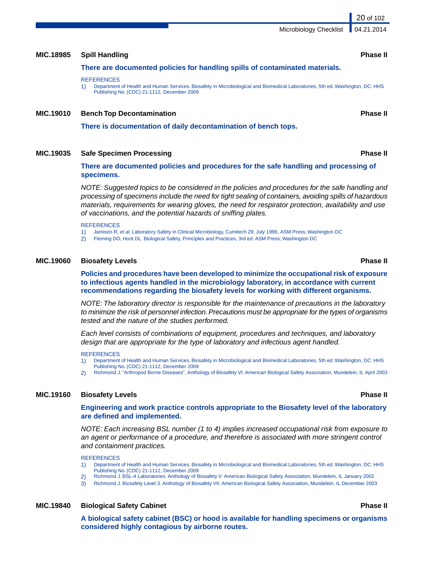**A biological safety cabinet (BSC) or hood is available for handling specimens or organisms considered highly contagious by airborne routes.**

# **MIC.18985 Spill Handling Phase II**

**There are documented policies for handling spills of contaminated materials.**

#### **REFERENCES**

1) Department of Health and Human Services. Biosafety in Microbiological and Biomedical Laboratories, 5th ed. Washington, DC: HHS Publishing No. (CDC) 21-1112, December 2009

### **MIC.19010 Bench Top Decontamination Phase II**

**There is documentation of daily decontamination of bench tops.**

## **MIC.19035 Safe Specimen Processing Phase II**

**There are documented policies and procedures for the safe handling and processing of specimens.**

*NOTE: Suggested topics to be considered in the policies and procedures for the safe handling and processing of specimens include the need for tight sealing of containers, avoiding spills of hazardous materials, requirements for wearing gloves, the need for respirator protection, availability and use of vaccinations, and the potential hazards of sniffing plates.*

**REFERENCES** 

- 1) Jamison R, *et al*. Laboratory Safety in Clinical Microbiology, Cumitech 29, July 1996, ASM Press; Washington DC
- 2) Fleming DO, Hunt DL. Biological Safety, Principles and Practices, 3rd ed. ASM Press; Washington DC

#### **MIC.19060 Biosafety Levels Phase II**

**Policies and procedures have been developed to minimize the occupational risk of exposure to infectious agents handled in the microbiology laboratory, in accordance with current recommendations regarding the biosafety levels for working with different organisms.**

*NOTE: The laboratory director is responsible for the maintenance of precautions in the laboratory to minimize the risk of personnel infection. Precautions must be appropriate for the types of organisms tested and the nature of the studies performed.*

*Each level consists of combinations of equipment, procedures and techniques, and laboratory design that are appropriate for the type of laboratory and infectious agent handled.*

**REFERENCES** 

- 1) Department of Health and Human Services. Biosafety in Microbiological and Biomedical Laboratories, 5th ed. Washington, DC: HHS
- Publishing No. (CDC) 21-1112, December 2009
- 2) Richmond J. "Arthropod Borne Diseases", Anthology of Biosafety VI: American Biological Safety Association, Mundelein, IL April 2003

#### **MIC.19160 Biosafety Levels Phase II**

#### **Engineering and work practice controls appropriate to the Biosafety level of the laboratory are defined and implemented.**

*NOTE: Each increasing BSL number (1 to 4) implies increased occupational risk from exposure to an agent or performance of a procedure, and therefore is associated with more stringent control and containment practices.*

**REFERENCES** 

- 1) Department of Health and Human Services. Biosafety in Microbiological and Biomedical Laboratories, 5th ed. Washington, DC: HHS Publishing No. (CDC) 21-1112, December 2009
- 2) Richmond J. BSL-4 Laboratories. Anthology of Biosafety V: American Biological Safety Association, Mundelein, IL January 2002
- 3) Richmond J. Biosafety Level 3. Anthology of Biosafety VII: American Biological Safety Association, Mundelein, IL December 2003

### **MIC.19840 Biological Safety Cabinet Phase II**

20 of 102

Microbiology Checklist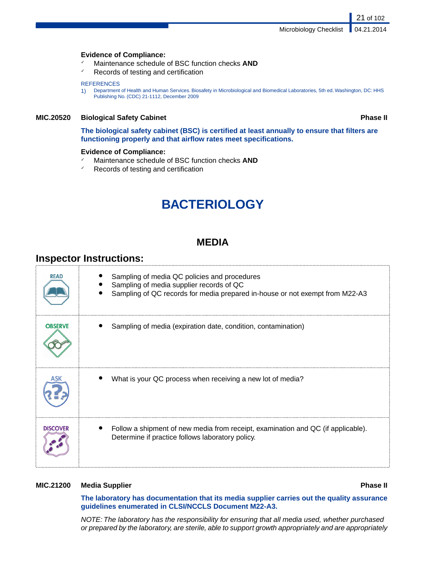### **Evidence of Compliance:**

- Maintenance schedule of BSC function checks **AND**
- ✓ Records of testing and certification

#### **REFERENCES**

1) Department of Health and Human Services. Biosafety in Microbiological and Biomedical Laboratories, 5th ed. Washington, DC: HHS Publishing No. (CDC) 21-1112, December 2009

## **MIC.20520 Biological Safety Cabinet Phase II**

21 of 102

**The biological safety cabinet (BSC) is certified at least annually to ensure that filters are functioning properly and that airflow rates meet specifications.**

### **Evidence of Compliance:**

- ✓ Maintenance schedule of BSC function checks **AND**
- Records of testing and certification

# **BACTERIOLOGY**

# **MEDIA**

# **Inspector Instructions:**

| <b>READ</b>     | Sampling of media QC policies and procedures<br>Sampling of media supplier records of QC<br>Sampling of QC records for media prepared in-house or not exempt from M22-A3 |
|-----------------|--------------------------------------------------------------------------------------------------------------------------------------------------------------------------|
| <b>OBSERVE</b>  | Sampling of media (expiration date, condition, contamination)                                                                                                            |
|                 | What is your QC process when receiving a new lot of media?                                                                                                               |
| <b>DISCOVER</b> | Follow a shipment of new media from receipt, examination and QC (if applicable).<br>Determine if practice follows laboratory policy.                                     |

#### **MIC.21200 Media Supplier Phase II**

**The laboratory has documentation that its media supplier carries out the quality assurance guidelines enumerated in CLSI/NCCLS Document M22-A3.**

*NOTE: The laboratory has the responsibility for ensuring that all media used, whether purchased or prepared by the laboratory, are sterile, able to support growth appropriately and are appropriately*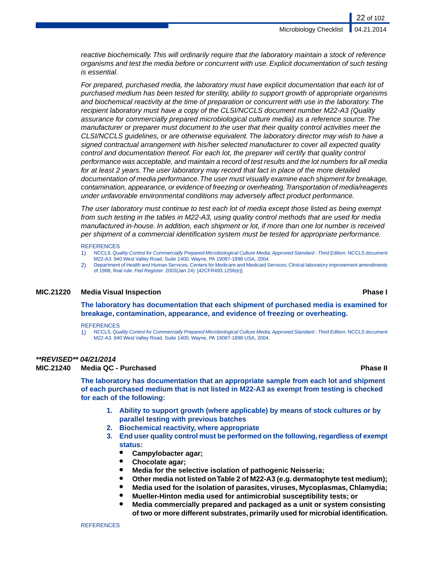*reactive biochemically. This will ordinarily require that the laboratory maintain a stock of reference organisms and test the media before or concurrent with use. Explicit documentation of such testing is essential.*

*For prepared, purchased media, the laboratory must have explicit documentation that each lot of purchased medium has been tested for sterility, ability to support growth of appropriate organisms and biochemical reactivity at the time of preparation or concurrent with use in the laboratory. The recipient laboratory must have a copy of the CLSI/NCCLS document number M22-A3 (Quality assurance for commercially prepared microbiological culture media) as a reference source. The manufacturer or preparer must document to the user that their quality control activities meet the CLSI/NCCLS guidelines, or are otherwise equivalent. The laboratory director may wish to have a signed contractual arrangement with his/her selected manufacturer to cover all expected quality control and documentation thereof. For each lot, the preparer will certify that quality control performance was acceptable, and maintain a record of test results and the lot numbers for all media for at least 2 years. The user laboratory may record that fact in place of the more detailed documentation of media performance.The user must visually examine each shipment for breakage, contamination, appearance, or evidence of freezing or overheating.Transportation of media/reagents under unfavorable environmental conditions may adversely affect product performance.*

*The user laboratory must continue to test each lot of media except those listed as being exempt from such testing in the tables in M22-A3, using quality control methods that are used for media manufactured in-house. In addition, each shipment or lot, if more than one lot number is received per shipment of a commercial identification system must be tested for appropriate performance.*

#### **REFERENCES**

- 1) NCCLS.*Quality Control for Commercially Prepared Microbiological Culture Media; Approved Standard Third Edition.* NCCLS document M22-A3. 940 West Valley Road, Suite 1400, Wayne, PA 19087-1898 USA, 2004.
- 2) Department of Health and Human Services, Centers for Medicare and Medicaid Services. Clinical laboratory improvement amendments of 1988, final rule. *Fed Register.* 2003(Jan 24): [42CFR493.1256(e)]

#### **MIC.21220 Media Visual Inspection Phase I**

**The laboratory has documentation that each shipment of purchased media is examined for breakage, contamination, appearance, and evidence of freezing or overheating.**

#### **REFERENCES**

1) NCCLS.*Quality Control for Commercially Prepared Microbiological Culture Media; Approved Standard - Third Edition.* NCCLS document M22-A3. 940 West Valley Road, Suite 1400, Wayne, PA 19087-1898 USA, 2004.

#### *\*\*REVISED\*\* 04/21/2014*

**MIC.21240 Media QC - Purchased Phase II**

**The laboratory has documentation that an appropriate sample from each lot and shipment of each purchased medium that is not listed in M22-A3 as exempt from testing is checked for each of the following:**

- **1. Ability to support growth (where applicable) by means of stock cultures or by parallel testing with previous batches**
- **2. Biochemical reactivity, where appropriate**
- **3. End user quality control must be performed on the following, regardless of exempt status:**
	- **Campylobacter agar;**
	- **Chocolate agar;**
	- **Media for the selective isolation of pathogenic Neisseria;**
	- **Other media not listed on Table 2 of M22-A3 (e.g. dermatophyte test medium);**
	- **Media used for the isolation of parasites, viruses, Mycoplasmas, Chlamydia;**
	- **Mueller-Hinton media used for antimicrobial susceptibility tests; or**
	- **Media commercially prepared and packaged as a unit or system consisting of two or more different substrates, primarily used for microbial identification.**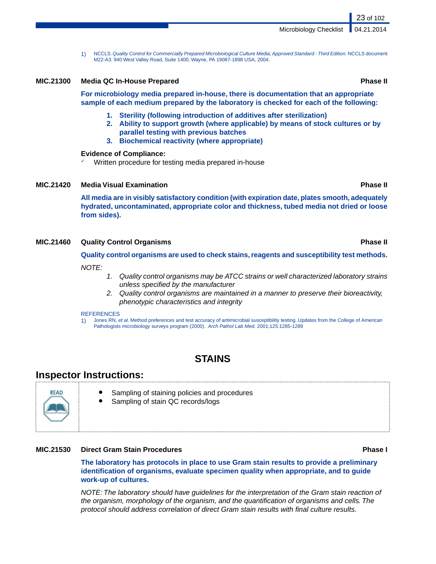1) NCCLS.*Quality Control for Commercially Prepared Microbiological Culture Media; Approved Standard - Third Edition.* NCCLS document M22-A3. 940 West Valley Road, Suite 1400, Wayne, PA 19087-1898 USA, 2004.

#### **MIC.21300 Media QC In-House Prepared Phase II**

**For microbiology media prepared in-house, there is documentation that an appropriate sample of each medium prepared by the laboratory is checked for each of the following:**

- **1. Sterility (following introduction of additives after sterilization)**
- **2. Ability to support growth (where applicable) by means of stock cultures or by parallel testing with previous batches**
- **3. Biochemical reactivity (where appropriate)**

#### **Evidence of Compliance:**

Written procedure for testing media prepared in-house

### **MIC.21420 Media Visual Examination Phase II**

**All media are in visibly satisfactory condition (with expiration date, plates smooth, adequately hydrated, uncontaminated, appropriate color and thickness, tubed media not dried or loose from sides).**

#### **MIC.21460 Quality Control Organisms Phase II**

#### **Quality control organisms are used to check stains, reagents and susceptibility test methods.**

#### *NOTE:*

- *1. Quality control organisms may be ATCC strains or well characterized laboratory strains unless specified by the manufacturer*
- *2. Quality control organisms are maintained in a manner to preserve their bioreactivity, phenotypic characteristics and integrity*

#### **REFERENCES**

1) Jones RN, *et al*. Method preferences and test accuracy of antimicrobial susceptibility testing. Updates from the College of American Pathologists microbiology surveys program (2000). *Arch Pathol Lab Med.* 2001;125:1285-1289

# **STAINS**

# **Inspector Instructions:**



- Sampling of staining policies and procedures
- Sampling of stain QC records/logs

# **MIC.21530 Direct Gram Stain Procedures Phase I**

**The laboratory has protocols in place to use Gram stain results to provide a preliminary identification of organisms, evaluate specimen quality when appropriate, and to guide work-up of cultures.**

*NOTE: The laboratory should have guidelines for the interpretation of the Gram stain reaction of the organism, morphology of the organism, and the quantification of organisms and cells. The protocol should address correlation of direct Gram stain results with final culture results.*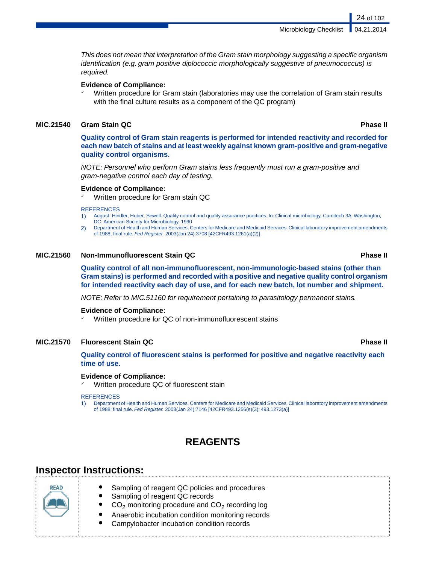Microbiology Checklist

*This does not mean that interpretation of the Gram stain morphology suggesting a specific organism identification (e.g. gram positive diplococcic morphologically suggestive of pneumococcus) is required.*

#### **Evidence of Compliance:**

Written procedure for Gram stain (laboratories may use the correlation of Gram stain results with the final culture results as a component of the QC program)

## **MIC.21540 Gram Stain QC Phase II**

**Quality control of Gram stain reagents is performed for intended reactivity and recorded for each new batch of stains and at least weekly against known gram-positive and gram-negative quality control organisms.**

*NOTE: Personnel who perform Gram stains less frequently must run a gram-positive and gram-negative control each day of testing.*

### **Evidence of Compliance:**

Written procedure for Gram stain QC

#### **REFERENCES**

- 1) August, Hindler, Huber, Sewell. Quality control and quality assurance practices. In: Clinical microbiology, Cumitech 3A. Washington, DC: American Society for Microbiology, 1990
- 2) Department of Health and Human Services, Centers for Medicare and Medicaid Services. Clinical laboratory improvement amendments of 1988, final rule. *Fed Register.* 2003(Jan 24):3708 [42CFR493.1261(a)(2)]

#### **MIC.21560 Non-Immunofluorescent Stain QC Phase II**

**Quality control of all non-immunofluorescent, non-immunologic-based stains (other than Gram stains) is performed and recorded with a positive and negative quality control organism for intended reactivity each day of use, and for each new batch, lot number and shipment.**

*NOTE: Refer to MIC.51160 for requirement pertaining to parasitology permanent stains.*

#### **Evidence of Compliance:**

✓ Written procedure for QC of non-immunofluorescent stains

### **MIC.21570 Fluorescent Stain QC Phase II**

**Quality control of fluorescent stains is performed for positive and negative reactivity each time of use.**

# **Evidence of Compliance:**

Written procedure QC of fluorescent stain

#### REFERENCES

1) Department of Health and Human Services, Centers for Medicare and Medicaid Services. Clinical laboratory improvement amendments of 1988; final rule. *Fed Register.* 2003(Jan 24):7146 [42CFR493.1256(e)(3); 493.1273(a)]

# **REAGENTS**

# **Inspector Instructions:**

READ

- Sampling of reagent QC policies and procedures
- Sampling of reagent QC records
- $\bullet$   $\circ$  CO<sub>2</sub> monitoring procedure and CO<sub>2</sub> recording log
	- Anaerobic incubation condition monitoring records
- Campylobacter incubation condition records

24 of 102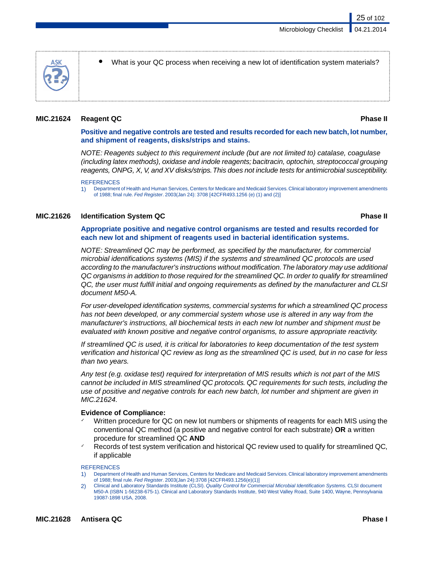

What is your QC process when receiving a new lot of identification system materials?

# **MIC.21624 Reagent QC Phase II**

### **Positive and negative controls are tested and results recorded for each new batch, lot number, and shipment of reagents, disks/strips and stains.**

*NOTE: Reagents subject to this requirement include (but are not limited to) catalase, coagulase (including latex methods), oxidase and indole reagents; bacitracin, optochin, streptococcal grouping reagents, ONPG, X, V, and XV disks/strips.This does not include tests for antimicrobial susceptibility.*

#### **REFERENCES**

1) Department of Health and Human Services, Centers for Medicare and Medicaid Services. Clinical laboratory improvement amendments of 1988; final rule. *Fed Register*. 2003(Jan 24): 3708 [42CFR493.1256 (e) (1) and (2)]

#### **MIC.21626 Identification System QC Phase II**

### **Appropriate positive and negative control organisms are tested and results recorded for each new lot and shipment of reagents used in bacterial identification systems.**

*NOTE: Streamlined QC may be performed, as specified by the manufacturer, for commercial microbial identifications systems (MIS) if the systems and streamlined QC protocols are used according to the manufacturer's instructions without modification.The laboratory may use additional QC organisms in addition to those required for the streamlined QC. In order to qualify for streamlined QC, the user must fulfill initial and ongoing requirements as defined by the manufacturer and CLSI document M50-A.*

*For user-developed identification systems, commercial systems for which a streamlined QC process has not been developed, or any commercial system whose use is altered in any way from the manufacturer's instructions, all biochemical tests in each new lot number and shipment must be evaluated with known positive and negative control organisms, to assure appropriate reactivity.*

*If streamlined QC is used, it is critical for laboratories to keep documentation of the test system verification and historical QC review as long as the streamlined QC is used, but in no case for less than two years.*

*Any test (e.g. oxidase test) required for interpretation of MIS results which is not part of the MIS cannot be included in MIS streamlined QC protocols. QC requirements for such tests, including the use of positive and negative controls for each new batch, lot number and shipment are given in MIC.21624.*

### **Evidence of Compliance:**

- Written procedure for QC on new lot numbers or shipments of reagents for each MIS using the conventional QC method (a positive and negative control for each substrate) **OR** a written procedure for streamlined QC **AND**
- Records of test system verification and historical QC review used to qualify for streamlined QC, if applicable

#### **REFERENCES**

- 1) Department of Health and Human Services, Centers for Medicare and Medicaid Services. Clinical laboratory improvement amendments of 1988; final rule. *Fed Register*. 2003(Jan 24):3708 [42CFR493.1256(e)(1)]
- 2) Clinical and Laboratory Standards Institute (CLSI). *Quality Control for Commercial Microbial Identification Systems.* CLSI document M50-A (ISBN 1-56238-675-1). Clinical and Laboratory Standards Institute, 940 West Valley Road, Suite 1400, Wayne, Pennsylvania 19087-1898 USA, 2008.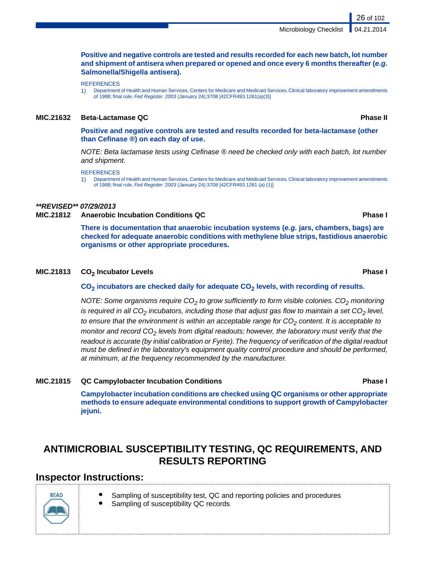Microbiology Checklist

**Positive and negative controls are tested and results recorded for each new batch, lot number and shipment of antisera when prepared or opened and once every 6 months thereafter (***e.g.* **Salmonella/Shigella antisera).**

**REFERENCES** 

1) Department of Health and Human Services, Centers for Medicare and Medicaid Services. Clinical laboratory improvement amendments of 1988; final rule. *Fed Register*. 2003 (January 24):3708 [42CFR493.1261(a)(3)]

### **MIC.21632 Beta-Lactamase QC Phase II**

**Positive and negative controls are tested and results recorded for beta-lactamase (other than Cefinase ®) on each day of use.**

*NOTE: Beta lactamase tests using Cefinase ® need be checked only with each batch, lot number and shipment.*

**REFERENCES** 

1) Department of Health and Human Services, Centers for Medicare and Medicaid Services. Clinical laboratory improvement amendments of 1988; final rule. *Fed Register*. 2003 (January 24):3708 [42CFR493.1261 (a) (1)]

# *\*\*REVISED\*\* 07/29/2013*

**MIC.21812 Anaerobic Incubation Conditions QC Phase I**

**There is documentation that anaerobic incubation systems (***e.g.* **jars, chambers, bags) are checked for adequate anaerobic conditions with methylene blue strips, fastidious anaerobic organisms or other appropriate procedures.**

## **CO**<sub>2</sub> Incubator Levels **Phase I Phase I 2 Phase I Phase I**

**CO<sup>2</sup> incubators are checked daily for adequate CO<sup>2</sup> levels, with recording of results.**

*NOTE: Some organisms require CO<sup>2</sup> to grow sufficiently to form visible colonies. CO<sup>2</sup> monitoring is required in all CO<sup>2</sup> incubators, including those that adjust gas flow to maintain a set CO<sup>2</sup> level, to ensure that the environment is within an acceptable range for CO<sup>2</sup> content. It is acceptable to monitor and record CO<sup>2</sup> levels from digital readouts; however, the laboratory must verify that the readout is accurate (by initial calibration or Fyrite).The frequency of verification of the digital readout must be defined in the laboratory's equipment quality control procedure and should be performed, at minimum, at the frequency recommended by the manufacturer.*

## **MIC.21815 QC Campylobacter Incubation Conditions Phase I**

**Campylobacter incubation conditions are checked using QC organisms or other appropriate methods to ensure adequate environmental conditions to support growth of Campylobacter jejuni.**

# **ANTIMICROBIAL SUSCEPTIBILITY TESTING, QC REQUIREMENTS, AND RESULTS REPORTING**

# **Inspector Instructions:**

- Sampling of susceptibility test, QC and reporting policies and procedures
	- Sampling of susceptibility QC records



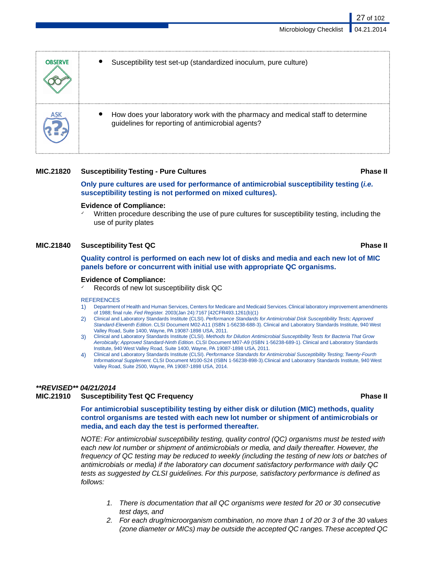| <b>OBSERVE</b> | Susceptibility test set-up (standardized inoculum, pure culture)                                                                    |
|----------------|-------------------------------------------------------------------------------------------------------------------------------------|
|                | How does your laboratory work with the pharmacy and medical staff to determine<br>guidelines for reporting of antimicrobial agents? |

## **MIC.21820 Susceptibility Testing - Pure Cultures Phase II**

# **Only pure cultures are used for performance of antimicrobial susceptibility testing (***i.e.* **susceptibility testing is not performed on mixed cultures).**

### **Evidence of Compliance:**

Written procedure describing the use of pure cultures for susceptibility testing, including the use of purity plates

# **MIC.21840 Susceptibility Test QC Phase II**

**Quality control is performed on each new lot of disks and media and each new lot of MIC panels before or concurrent with initial use with appropriate QC organisms.**

### **Evidence of Compliance:**

Records of new lot susceptibility disk QC

#### **REFERENCES**

- 1) Department of Health and Human Services, Centers for Medicare and Medicaid Services. Clinical laboratory improvement amendments of 1988; final rule. *Fed Register.* 2003(Jan 24):7167 [42CFR493.1261(b)(1)
- 2) Clinical and Laboratory Standards Institute (CLSI). *Performance Standards for Antimicrobial Disk Susceptibility Tests; Approved Standard-Eleventh Edition*. CLSI Document M02-A11 (ISBN 1-56238-688-3). Clinical and Laboratory Standards Institute, 940 West Valley Road, Suite 1400, Wayne, PA 19087-1898 USA, 2011.
- 3) Clinical and Laboratory Standards Institute (CLSI). *Methods for Dilution Antimicrobial Susceptibility Tests for Bacteria That Grow Aerobically; Approved Standard-Ninth Edition*. CLSI Document M07-A9 (ISBN 1-56238-689-1). Clinical and Laboratory Standards Institute, 940 West Valley Road, Suite 1400, Wayne, PA 19087-1898 USA, 2011.
- 4) Clinical and Laboratory Standards Institute (CLSI). *Performance Standards for Antimicrobial Susceptibility Testing; Twenty-Fourth Informational Supplement.* CLSI Document M100-S24 (ISBN 1-56238-898-3).Clinical and Laboratory Standards Institute, 940 West Valley Road, Suite 2500, Wayne, PA 19087-1898 USA, 2014.

# *\*\*REVISED\*\* 04/21/2014*

## **MIC.21910 Susceptibility Test QC Frequency Phase II**

**For antimicrobial susceptibility testing by either disk or dilution (MIC) methods, quality control organisms are tested with each new lot number or shipment of antimicrobials or media, and each day the test is performed thereafter.**

*NOTE: For antimicrobial susceptibility testing, quality control (QC) organisms must be tested with each new lot number or shipment of antimicrobials or media, and daily thereafter. However, the frequency of QC testing may be reduced to weekly (including the testing of new lots or batches of antimicrobials or media) if the laboratory can document satisfactory performance with daily QC tests as suggested by CLSI guidelines. For this purpose, satisfactory performance is defined as follows:*

- *1. There is documentation that all QC organisms were tested for 20 or 30 consecutive test days, and*
- *2. For each drug/microorganism combination, no more than 1 of 20 or 3 of the 30 values (zone diameter or MICs) may be outside the accepted QC ranges.These accepted QC*

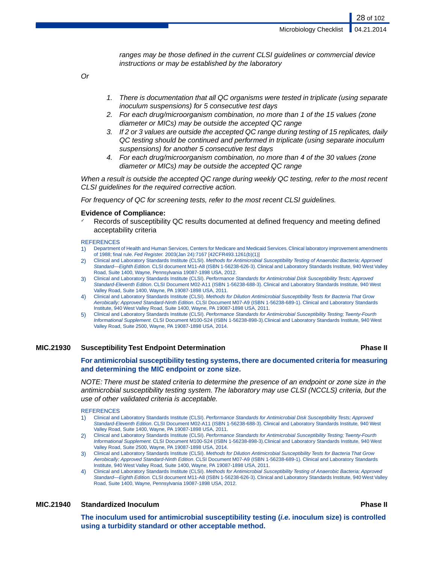28 of 102

*ranges may be those defined in the current CLSI guidelines or commercial device instructions or may be established by the laboratory*

*Or*

- *1. There is documentation that all QC organisms were tested in triplicate (using separate inoculum suspensions) for 5 consecutive test days*
- *2. For each drug/microorganism combination, no more than 1 of the 15 values (zone diameter or MICs) may be outside the accepted QC range*
- *3. If 2 or 3 values are outside the accepted QC range during testing of 15 replicates, daily QC testing should be continued and performed in triplicate (using separate inoculum suspensions) for another 5 consecutive test days*
- *4. For each drug/microorganism combination, no more than 4 of the 30 values (zone diameter or MICs) may be outside the accepted QC range*

*When a result is outside the accepted QC range during weekly QC testing, refer to the most recent CLSI guidelines for the required corrective action.*

*For frequency of QC for screening tests, refer to the most recent CLSI guidelines.*

#### **Evidence of Compliance:**

Records of susceptibility QC results documented at defined frequency and meeting defined acceptability criteria

**REFERENCES** 

- 1) Department of Health and Human Services, Centers for Medicare and Medicaid Services. Clinical laboratory improvement amendments of 1988; final rule. *Fed Register.* 2003(Jan 24):7167 [42CFR493.1261(b)(1)]
- 2) Clinical and Laboratory Standards Institute (CLSI). *Methods for Antimicrobial Susceptibility Testing of Anaerobic Bacteria; Approved Standard—Eighth Edition.* CLSI document M11-A8 (ISBN 1-56238-626-3). Clinical and Laboratory Standards Institute, 940 West Valley Road, Suite 1400, Wayne, Pennsylvania 19087-1898 USA, 2012.
- 3) Clinical and Laboratory Standards Institute (CLSI). *Performance Standards for Antimicrobial Disk Susceptibility Tests; Approved Standard-Eleventh Edition*. CLSI Document M02-A11 (ISBN 1-56238-688-3). Clinical and Laboratory Standards Institute, 940 West Valley Road, Suite 1400, Wayne, PA 19087-1898 USA, 2011.
- 4) Clinical and Laboratory Standards Institute (CLSI). *Methods for Dilution Antimicrobial Susceptibility Tests for Bacteria That Grow Aerobically; Approved Standard-Ninth Edition*. CLSI Document M07-A9 (ISBN 1-56238-689-1). Clinical and Laboratory Standards Institute, 940 West Valley Road, Suite 1400, Wayne, PA 19087-1898 USA, 2011.
- 5) Clinical and Laboratory Standards Institute (CLSI). *Performance Standards for Antimicrobial Susceptibility Testing; Twenty-Fourth Informational Supplement.* CLSI Document M100-S24 (ISBN 1-56238-898-3).Clinical and Laboratory Standards Institute, 940 West Valley Road, Suite 2500, Wayne, PA 19087-1898 USA, 2014.

### **MIC.21930 Susceptibility Test Endpoint Determination Phase II**

**For antimicrobial susceptibility testing systems, there are documented criteria for measuring and determining the MIC endpoint or zone size.**

*NOTE: There must be stated criteria to determine the presence of an endpoint or zone size in the antimicrobial susceptibility testing system. The laboratory may use CLSI (NCCLS) criteria, but the use of other validated criteria is acceptable.*

**REFERENCES** 

- 1) Clinical and Laboratory Standards Institute (CLSI). *Performance Standards for Antimicrobial Disk Susceptibility Tests; Approved Standard-Eleventh Edition*. CLSI Document M02-A11 (ISBN 1-56238-688-3). Clinical and Laboratory Standards Institute, 940 West Valley Road, Suite 1400, Wayne, PA 19087-1898 USA, 2011.
- 2) Clinical and Laboratory Standards Institute (CLSI). *Performance Standards for Antimicrobial Susceptibility Testing; Twenty-Fourth Informational Supplement.* CLSI Document M100-S24 (ISBN 1-56238-898-3).Clinical and Laboratory Standards Institute, 940 West Valley Road, Suite 2500, Wayne, PA 19087-1898 USA, 2014.
- 3) Clinical and Laboratory Standards Institute (CLSI). *Methods for Dilution Antimicrobial Susceptibility Tests for Bacteria That Grow Aerobically; Approved Standard-Ninth Edition*. CLSI Document M07-A9 (ISBN 1-56238-689-1). Clinical and Laboratory Standards Institute, 940 West Valley Road, Suite 1400, Wayne, PA 19087-1898 USA, 2011.
- 4) Clinical and Laboratory Standards Institute (CLSI). *Methods for Antimicrobial Susceptibility Testing of Anaerobic Bacteria; Approved Standard—Eighth Edition.* CLSI document M11-A8 (ISBN 1-56238-626-3). Clinical and Laboratory Standards Institute, 940 West Valley Road, Suite 1400, Wayne, Pennsylvania 19087-1898 USA, 2012.

### **MIC.21940 Standardized Inoculum Phase II**

**The inoculum used for antimicrobial susceptibility testing (***i.e.* **inoculum size) is controlled using a turbidity standard or other acceptable method.**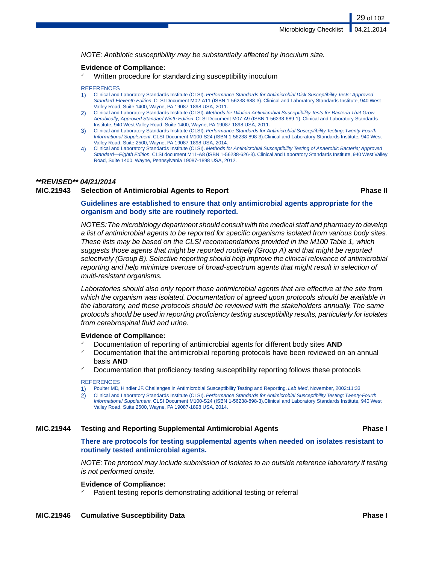*NOTE: Antibiotic susceptibility may be substantially affected by inoculum size.*

#### **Evidence of Compliance:**

Written procedure for standardizing susceptibility inoculum

#### **REFERENCES**

- 1) Clinical and Laboratory Standards Institute (CLSI). *Performance Standards for Antimicrobial Disk Susceptibility Tests; Approved Standard-Eleventh Edition*. CLSI Document M02-A11 (ISBN 1-56238-688-3). Clinical and Laboratory Standards Institute, 940 West Valley Road, Suite 1400, Wayne, PA 19087-1898 USA, 2011.
- 2) Clinical and Laboratory Standards Institute (CLSI). *Methods for Dilution Antimicrobial Susceptibility Tests for Bacteria That Grow Aerobically; Approved Standard-Ninth Edition*. CLSI Document M07-A9 (ISBN 1-56238-689-1). Clinical and Laboratory Standards Institute, 940 West Valley Road, Suite 1400, Wayne, PA 19087-1898 USA, 2011.
- 3) Clinical and Laboratory Standards Institute (CLSI). *Performance Standards for Antimicrobial Susceptibility Testing; Twenty-Fourth Informational Supplement.* CLSI Document M100-S24 (ISBN 1-56238-898-3).Clinical and Laboratory Standards Institute, 940 West Valley Road, Suite 2500, Wayne, PA 19087-1898 USA, 2014.
- 4) Clinical and Laboratory Standards Institute (CLSI). *Methods for Antimicrobial Susceptibility Testing of Anaerobic Bacteria; Approved Standard—Eighth Edition.* CLSI document M11-A8 (ISBN 1-56238-626-3). Clinical and Laboratory Standards Institute, 940 West Valley Road, Suite 1400, Wayne, Pennsylvania 19087-1898 USA, 2012.

#### *\*\*REVISED\*\* 04/21/2014*

## **MIC.21943 Selection of Antimicrobial Agents to Report Phase II**

29 of 102

### **Guidelines are established to ensure that only antimicrobial agents appropriate for the organism and body site are routinely reported.**

*NOTES:The microbiology department should consult with the medical staff and pharmacy to develop a list of antimicrobial agents to be reported for specific organisms isolated from various body sites. These lists may be based on the CLSI recommendations provided in the M100 Table 1, which suggests those agents that might be reported routinely (Group A) and that might be reported selectively (Group B). Selective reporting should help improve the clinical relevance of antimicrobial reporting and help minimize overuse of broad-spectrum agents that might result in selection of multi-resistant organisms.*

*Laboratories should also only report those antimicrobial agents that are effective at the site from which the organism was isolated. Documentation of agreed upon protocols should be available in the laboratory, and these protocols should be reviewed with the stakeholders annually. The same protocols should be used in reporting proficiency testing susceptibility results, particularly for isolates from cerebrospinal fluid and urine.*

#### **Evidence of Compliance:**

- ✓ Documentation of reporting of antimicrobial agents for different body sites **AND**
- Documentation that the antimicrobial reporting protocols have been reviewed on an annual basis **AND**
- Documentation that proficiency testing susceptibility reporting follows these protocols

#### **REFERENCES**

- 1) Poulter MD, Hindler JF. Challenges in Antimicrobial Susceptibility Testing and Reporting. *Lab Med*, November, 2002:11:33
- 2) Clinical and Laboratory Standards Institute (CLSI). *Performance Standards for Antimicrobial Susceptibility Testing; Twenty-Fourth Informational Supplement.* CLSI Document M100-S24 (ISBN 1-56238-898-3).Clinical and Laboratory Standards Institute, 940 West Valley Road, Suite 2500, Wayne, PA 19087-1898 USA, 2014.

#### **MIC.21944 Testing and Reporting Supplemental Antimicrobial Agents Phase I**

### **There are protocols for testing supplemental agents when needed on isolates resistant to routinely tested antimicrobial agents.**

*NOTE:The protocol may include submission of isolates to an outside reference laboratory if testing is not performed onsite.*

#### **Evidence of Compliance:**

Patient testing reports demonstrating additional testing or referral

#### **MIC.21946 Cumulative Susceptibility Data Phase I**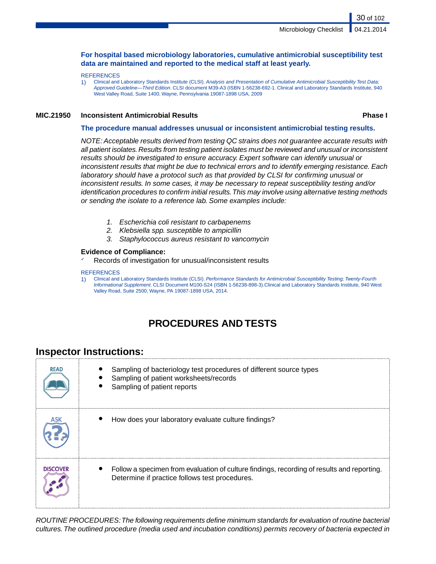## **For hospital based microbiology laboratories, cumulative antimicrobial susceptibility test data are maintained and reported to the medical staff at least yearly.**

#### **REFERENCES**

1) Clinical and Laboratory Standards Institute (CLSI). *Analysis and Presentation of Cumulative Antimicrobial Susceptibility Test Data; Approved Guideline—Third Edition*. CLSI document M39-A3 (ISBN 1-56238-692-1. Clinical and Laboratory Standards Institute, 940 West Valley Road, Suite 1400, Wayne, Pennsylvania 19087-1898 USA, 2009

#### **MIC.21950 Inconsistent Antimicrobial Results Phase I**

30 of 102

#### **The procedure manual addresses unusual or inconsistent antimicrobial testing results.**

*NOTE: Acceptable results derived from testing QC strains does not guarantee accurate results with all patient isolates. Results from testing patient isolates must be reviewed and unusual or inconsistent results should be investigated to ensure accuracy. Expert software can identify unusual or inconsistent results that might be due to technical errors and to identify emerging resistance. Each laboratory should have a protocol such as that provided by CLSI for confirming unusual or inconsistent results. In some cases, it may be necessary to repeat susceptibility testing and/or identification procedures to confirm initial results.This may involve using alternative testing methods or sending the isolate to a reference lab. Some examples include:*

- *1. Escherichia coli resistant to carbapenems*
- *2. Klebsiella spp. susceptible to ampicillin*
- *3. Staphylococcus aureus resistant to vancomycin*

#### **Evidence of Compliance:**

✓ Records of investigation for unusual/inconsistent results

#### **REFERENCES**

1) Clinical and Laboratory Standards Institute (CLSI). *Performance Standards for Antimicrobial Susceptibility Testing; Twenty-Fourth Informational Supplement.* CLSI Document M100-S24 (ISBN 1-56238-898-3).Clinical and Laboratory Standards Institute, 940 West Valley Road, Suite 2500, Wayne, PA 19087-1898 USA, 2014.

# **PROCEDURES AND TESTS**

# **Inspector Instructions:**

| <b>READ</b>     | Sampling of bacteriology test procedures of different source types<br>Sampling of patient worksheets/records<br>Sampling of patient reports  |
|-----------------|----------------------------------------------------------------------------------------------------------------------------------------------|
|                 | How does your laboratory evaluate culture findings?                                                                                          |
| <b>DISCOVER</b> | Follow a specimen from evaluation of culture findings, recording of results and reporting.<br>Determine if practice follows test procedures. |

*ROUTINE PROCEDURES:The following requirements define minimum standards for evaluation of routine bacterial cultures.The outlined procedure (media used and incubation conditions) permits recovery of bacteria expected in*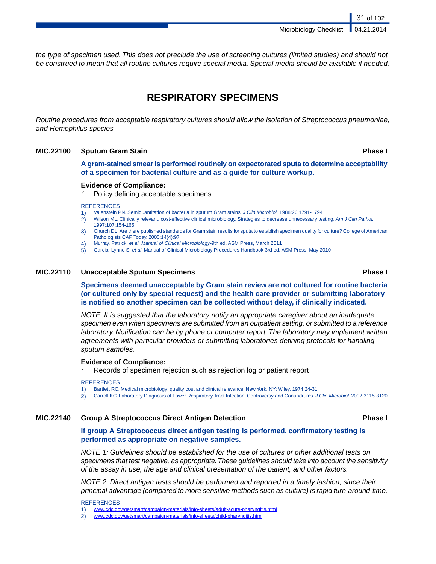Microbiology Checklist

*the type of specimen used. This does not preclude the use of screening cultures (limited studies) and should not be construed to mean that all routine cultures require special media. Special media should be available if needed.*

# **RESPIRATORY SPECIMENS**

*Routine procedures from acceptable respiratory cultures should allow the isolation of Streptococcus pneumoniae, and Hemophilus species.*

## **MIC.22100 Sputum Gram Stain Phase I**

31 of 102

**A gram-stained smear is performed routinely on expectorated sputa to determine acceptability of a specimen for bacterial culture and as a guide for culture workup.**

#### **Evidence of Compliance:**

Policy defining acceptable specimens

#### **REFERENCES**

- 1) Valenstein PN. Semiquantitation of bacteria in sputum Gram stains. *J Clin Microbiol.* 1988;26:1791-1794
- 2) Wilson ML. Clinically relevant, cost-effective clinical microbiology. Strategies to decrease unnecessary testing. *Am J Clin Pathol.* 1997;107:154-165
- 3) Church DL. Are there published standards for Gram stain results for sputa to establish specimen quality for culture? College of American Pathologists CAP Today. 2000;14(4):97
- 4) Murray, Patrick, *et al. Manual of Clinical Microbiology-*9th ed. ASM Press, March 2011
- 5) Garcia, Lynne S, *et al*. Manual of Clinical Microbiology Procedures Handbook 3rd ed. ASM Press, May 2010

#### **MIC.22110 Unacceptable Sputum Specimens Phase I**

**Specimens deemed unacceptable by Gram stain review are not cultured for routine bacteria (or cultured only by special request) and the health care provider or submitting laboratory is notified so another specimen can be collected without delay, if clinically indicated.**

*NOTE: It is suggested that the laboratory notify an appropriate caregiver about an inadequate specimen even when specimens are submitted from an outpatient setting, or submitted to a reference laboratory. Notification can be by phone or computer report. The laboratory may implement written agreements with particular providers or submitting laboratories defining protocols for handling sputum samples.*

#### **Evidence of Compliance:**

Records of specimen rejection such as rejection log or patient report

#### **REFERENCES**

- 1) Bartlett RC. Medical microbiology: quality cost and clinical relevance. New York, NY: Wiley, 1974:24-31
- 2) Carroll KC. Laboratory Diagnosis of Lower Respiratory Tract Infection: Controversy and Conundrums. *J Clin Microbiol*. 2002;3115-3120

#### **MIC.22140 Group A Streptococcus Direct Antigen Detection Phase I**

# **If group A Streptococcus direct antigen testing is performed, confirmatory testing is performed as appropriate on negative samples.**

*NOTE 1: Guidelines should be established for the use of cultures or other additional tests on specimens that test negative, as appropriate.These guidelines should take into account the sensitivity of the assay in use, the age and clinical presentation of the patient, and other factors.*

*NOTE 2: Direct antigen tests should be performed and reported in a timely fashion, since their principal advantage (compared to more sensitive methods such as culture) is rapid turn-around-time.*

#### **REFERENCES**

2) <www.cdc.gov/getsmart/campaign-materials/info-sheets/child-pharyngitis.html>

<sup>1)</sup> <www.cdc.gov/getsmart/campaign-materials/info-sheets/adult-acute-pharyngitis.html>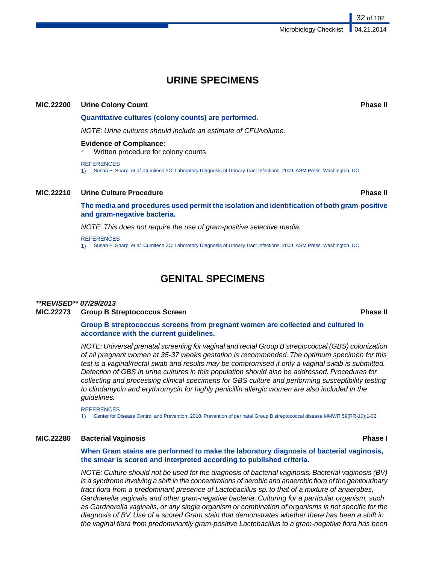# **URINE SPECIMENS**

### **MIC.22200 Urine Colony Count Phase II**

**Quantitative cultures (colony counts) are performed.**

*NOTE: Urine cultures should include an estimate of CFU/volume.*

#### **Evidence of Compliance:**

Written procedure for colony counts

**REFERENCES** 

1) Susan E. Sharp, *et al*, Cumitech 2C: Laboratory Diagnosis of Urinary Tract Infections, 2009. ASM Press, Washington, DC

### **MIC.22210 Urine Culture Procedure Phase II**

**The media and procedures used permit the isolation and identification of both gram-positive and gram-negative bacteria.**

*NOTE: This does not require the use of gram-positive selective media.*

#### **REFERENCES**

1) Susan E. Sharp, *et al*, Cumitech 2C: Laboratory Diagnosis of Urinary Tract Infections, 2009. ASM Press, Washington, DC

# **GENITAL SPECIMENS**

#### *\*\*REVISED\*\* 07/29/2013* **MIC.22273 Group B Streptococcus Screen Phase II**

**Group B streptococcus screens from pregnant women are collected and cultured in**

## **accordance with the current guidelines.**

*NOTE: Universal prenatal screening for vaginal and rectal Group B streptococcal (GBS) colonization of all pregnant women at 35-37 weeks gestation is recommended. The optimum specimen for this test is a vaginal/rectal swab and results may be compromised if only a vaginal swab is submitted. Detection of GBS in urine cultures in this population should also be addressed. Procedures for collecting and processing clinical specimens for GBS culture and performing susceptibility testing to clindamycin and erythromycin for highly penicillin allergic women are also included in the guidelines.*

**REFERENCES** 

1) Center for Disease Control and Prevention, 2010. Prevention of perinatal Group B streptococcal disease MMWR 59(RR-10);1-32

## **MIC.22280 Bacterial Vaginosis Phase I**

**When Gram stains are performed to make the laboratory diagnosis of bacterial vaginosis, the smear is scored and interpreted according to published criteria.**

*NOTE: Culture should not be used for the diagnosis of bacterial vaginosis. Bacterial vaginosis (BV) is a syndrome involving a shift in the concentrations of aerobic and anaerobic flora of the genitourinary tract flora from a predominant presence of Lactobacillus sp. to that of a mixture of anaerobes, Gardnerella vaginalis and other gram-negative bacteria. Culturing for a particular organism, such as Gardnerella vaginalis, or any single organism or combination of organisms is not specific for the diagnosis of BV. Use of a scored Gram stain that demonstrates whether there has been a shift in the vaginal flora from predominantly gram-positive Lactobacillus to a gram-negative flora has been*

32 of 102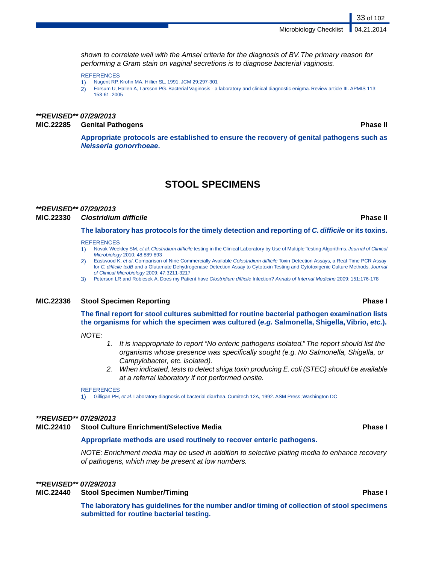*shown to correlate well with the Amsel criteria for the diagnosis of BV. The primary reason for performing a Gram stain on vaginal secretions is to diagnose bacterial vaginosis.*

#### **REFERENCES**

- 1) Nugent RP, Krohn MA, Hillier SL. 1991. JCM 29;297-301
- 2) Forsum U, Hallen A, Larsson PG. Bacterial Vaginosis a laboratory and clinical diagnostic enigma. Review article III. APMIS 113: 153-61. 2005

# *\*\*REVISED\*\* 07/29/2013* **MIC.22285 Genital Pathogens Phase II**

33 of 102

**Appropriate protocols are established to ensure the recovery of genital pathogens such as** *Neisseria gonorrhoeae***.**

# **STOOL SPECIMENS**

### *\*\*REVISED\*\* 07/29/2013*

## **MIC.22330** *Clostridium difficile* **Phase II**

**The laboratory has protocols for the timely detection and reporting of** *C. difficile* **or its toxins.**

#### **REFERENCES**

- 1) Novak-Weekley SM, *et al. Clostridium difficile* testing in the Clinical Laboratory by Use of Multiple Testing Algorithms. *Journal of Clinical Microbiology* 2010; 48:889-893
- 2) Eastwood K, *et al*. Comparison of Nine Commercially Available *Colostridium difficile* Toxin Detection Assays, a Real-Time PCR Assay for *C. difficile tcdB* and a Glutamate Dehydrogenase Detection Assay to Cytotoxin Testing and Cytotoxigenic Culture Methods. *Journal of Clinical Microbiology* 2009; 47:3211-3217
- 3) Peterson LR and Robicsek A. Does my Patient have *Clostridium difficile* Infection? *Annals of Internal Medicine* 2009; 151:176-178

#### **MIC.22336 Stool Specimen Reporting Phase I**

## **The final report for stool cultures submitted for routine bacterial pathogen examination lists the organisms for which the specimen was cultured (***e.g.* **Salmonella, Shigella,Vibrio,** *etc.***).**

#### *NOTE:*

- *1. It is inappropriate to report "No enteric pathogens isolated." The report should list the organisms whose presence was specifically sought (e.g. No Salmonella, Shigella, or Campylobacter, etc. isolated).*
- *2. When indicated, tests to detect shiga toxin producing E. coli (STEC) should be available at a referral laboratory if not performed onsite.*

#### **REFERENCES**

1) Gilligan PH, *et al*. Laboratory diagnosis of bacterial diarrhea. Cumitech 12A, 1992. ASM Press; Washington DC

#### *\*\*REVISED\*\* 07/29/2013*

#### **MIC.22410 Stool Culture Enrichment/Selective Media Phase I**

#### **Appropriate methods are used routinely to recover enteric pathogens.**

*NOTE: Enrichment media may be used in addition to selective plating media to enhance recovery of pathogens, which may be present at low numbers.*

#### *\*\*REVISED\*\* 07/29/2013*

### **MIC.22440 Stool Specimen Number/Timing Phase I**

**The laboratory has guidelines for the number and/or timing of collection of stool specimens submitted for routine bacterial testing.**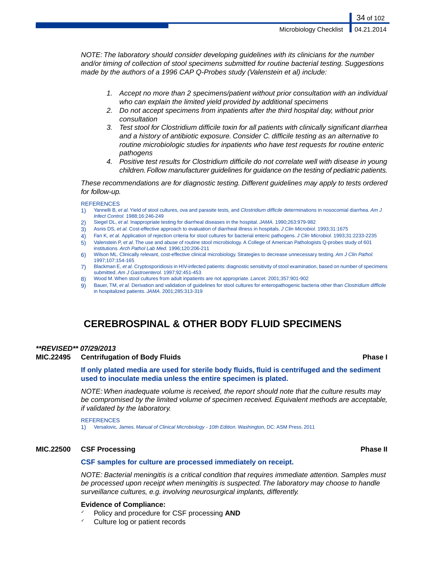*NOTE: The laboratory should consider developing guidelines with its clinicians for the number and/or timing of collection of stool specimens submitted for routine bacterial testing. Suggestions made by the authors of a 1996 CAP Q-Probes study (Valenstein et al) include:*

- *1. Accept no more than 2 specimens/patient without prior consultation with an individual who can explain the limited yield provided by additional specimens*
- *2. Do not accept specimens from inpatients after the third hospital day, without prior consultation*
- *3. Test stool for Clostridium difficile toxin for all patients with clinically significant diarrhea and a history of antibiotic exposure. Consider C. difficile testing as an alternative to routine microbiologic studies for inpatients who have test requests for routine enteric pathogens*
- *4. Positive test results for Clostridium difficile do not correlate well with disease in young children. Follow manufacturer guidelines for guidance on the testing of pediatric patients.*

*These recommendations are for diagnostic testing. Different guidelines may apply to tests ordered for follow-up.*

#### **REFERENCES**

- 1) Yannelli B, *et al.* Yield of stool cultures, ova and parasite tests, and *Clostridium difficile* determinations in nosocomial diarrhea. *Am J Infect Control.* 1988;16:246-249
- 2) Siegel DL, *et al.* Inappropriate testing for diarrheal diseases in the hospital. *JAMA.* 1990;263:979-982
- 3) Asnis DS, *et al.* Cost-effective approach to evaluation of diarrheal illness in hospitals. *J Clin Microbiol.* 1993;31:1675
- 4) Fan K, *et al.* Application of rejection criteria for stool cultures for bacterial enteric pathogens. *J Clin Microbiol.* 1993;31:2233-2235
- 5) Valenstein P, *et al.* The use and abuse of routine stool microbiology. A College of American Pathologists Q-probes study of 601 institutions. *Arch Pathol Lab Med.* 1996;120:206-211
- 6) Wilson ML. Clinically relevant, cost-effective clinical microbiology. Strategies to decrease unnecessary testing. *Am J Clin Pathol.* 1997;107:154-165
- 7) Blackman E, *et al.* Cryptosporidiosis in HIV-infected patients: diagnostic sensitivity of stool examination, based on number of specimens submitted. *Am J Gastroenterol.* 1997;92:451-453
- 8) Wood M. When stool cultures from adult inpatients are not appropriate. *Lancet.* 2001;357:901-902
- 9) Bauer, TM, *et al.* Derivation and validation of guidelines for stool cultures for enteropathogenic bacteria other than *Clostridium difficile* in hospitalized patients. *JAMA*. 2001;285:313-319

# **CEREBROSPINAL & OTHER BODY FLUID SPECIMENS**

### *\*\*REVISED\*\* 07/29/2013*

#### **MIC.22495 Centrifugation of Body Fluids Phase I**

**If only plated media are used for sterile body fluids, fluid is centrifuged and the sediment used to inoculate media unless the entire specimen is plated.**

*NOTE: When inadequate volume is received, the report should note that the culture results may be compromised by the limited volume of specimen received. Equivalent methods are acceptable, if validated by the laboratory.*

**REFERENCES** 

1) Versalovic, James. *Manual of Clinical Microbiology - 10th Edition.* Washington, DC: ASM Press. 2011

#### **MIC.22500 CSF Processing Phase II**

#### **CSF samples for culture are processed immediately on receipt.**

*NOTE: Bacterial meningitis is a critical condition that requires immediate attention. Samples must be processed upon receipt when meningitis is suspected. The laboratory may choose to handle surveillance cultures, e.g. involving neurosurgical implants, differently.*

#### **Evidence of Compliance:**

- ✓ Policy and procedure for CSF processing **AND**
- Culture log or patient records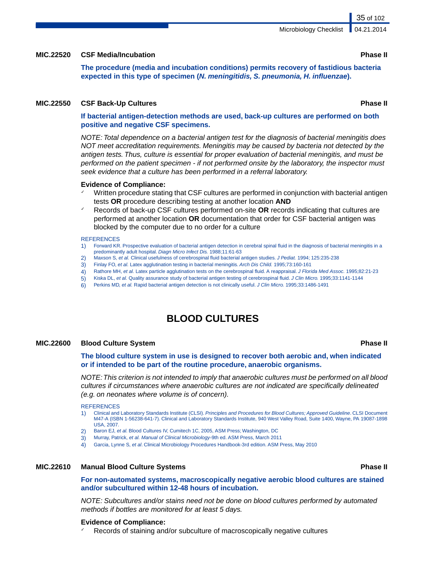#### **MIC.22520 CSF Media/Incubation Phase II**

**The procedure (media and incubation conditions) permits recovery of fastidious bacteria expected in this type of specimen (***N. meningitidis, S. pneumonia, H. influenzae***).**

#### **MIC.22550 CSF Back-Up Cultures Phase II**

**If bacterial antigen-detection methods are used, back-up cultures are performed on both positive and negative CSF specimens.**

*NOTE: Total dependence on a bacterial antigen test for the diagnosis of bacterial meningitis does NOT meet accreditation requirements. Meningitis may be caused by bacteria not detected by the antigen tests. Thus, culture is essential for proper evaluation of bacterial meningitis, and must be performed on the patient specimen - if not performed onsite by the laboratory, the inspector must seek evidence that a culture has been performed in a referral laboratory.*

#### **Evidence of Compliance:**

- Written procedure stating that CSF cultures are performed in conjunction with bacterial antigen tests **OR** procedure describing testing at another location **AND**
- ✓ Records of back-up CSF cultures performed on-site **OR** records indicating that cultures are performed at another location **OR** documentation that order for CSF bacterial antigen was blocked by the computer due to no order for a culture

#### **REFERENCES**

- 1) Forward KR. Prospective evaluation of bacterial antigen detection in cerebral spinal fluid in the diagnosis of bacterial meningitis in a predominantly adult hospital. *Diagn Micro Infect Dis.* 1988;11:61-63
- 2) Maxson S, *et al.* Clinical usefulness of cerebrospinal fluid bacterial antigen studies. *J Pediat.* 1994; 125:235-238
- 3) Finlay FO, *et al.* Latex agglutination testing in bacterial meningitis. *Arch Dis Child.* 1995;73:160-161
- 4) Rathore MH, *et al.* Latex particle agglutination tests on the cerebrospinal fluid. A reappraisal. *J Florida Med Assoc.* 1995;82:21-23
- 5) Kiska DL, *et al.* Quality assurance study of bacterial antigen testing of cerebrospinal fluid. *J Clin Micro.* 1995;33:1141-1144
- 6) Perkins MD, *et al.* Rapid bacterial antigen detection is not clinically useful. *J Clin Micro.* 1995;33:1486-1491

# **BLOOD CULTURES**

### **MIC.22600 Blood Culture System Phase II**

**The blood culture system in use is designed to recover both aerobic and, when indicated or if intended to be part of the routine procedure, anaerobic organisms.**

*NOTE:This criterion is not intended to imply that anaerobic cultures must be performed on all blood cultures if circumstances where anaerobic cultures are not indicated are specifically delineated (e.g. on neonates where volume is of concern).*

**REFERENCES** 

- 1) Clinical and Laboratory Standards Institute (CLSI). *Principles and Procedures for Blood Cultures; Approved Guideline*. CLSI Document M47-A (ISBN 1-56238-641-7). Clinical and Laboratory Standards Institute, 940 West Valley Road, Suite 1400, Wayne, PA 19087-1898 USA, 2007.
- 2) Baron EJ, *et al.* Blood Cultures IV, Cumitech 1C, 2005, ASM Press; Washington, DC
- 3) Murray, Patrick, *et al. Manual of Clinical Microbiology-*9th ed. ASM Press, March 2011
- 4) Garcia, Lynne S, *et al*. Clinical Microbiology Procedures Handbook-3rd edition. ASM Press, May 2010

### **MIC.22610 Manual Blood Culture Systems Phase II**

**For non-automated systems, macroscopically negative aerobic blood cultures are stained and/or subcultured within 12-48 hours of incubation.**

*NOTE: Subcultures and/or stains need not be done on blood cultures performed by automated methods if bottles are monitored for at least 5 days.*

#### **Evidence of Compliance:**

Records of staining and/or subculture of macroscopically negative cultures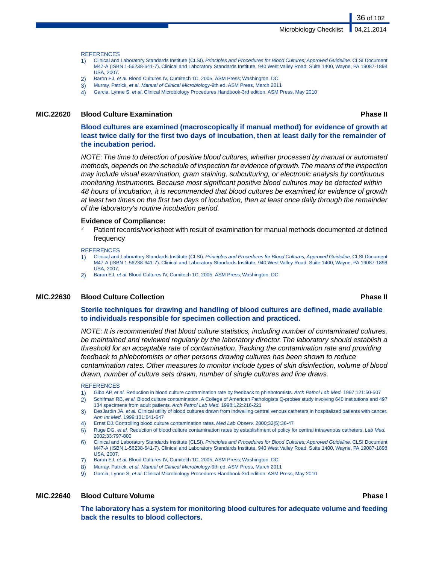Microbiology Checklist

#### **REFERENCES**

- 1) Clinical and Laboratory Standards Institute (CLSI). *Principles and Procedures for Blood Cultures; Approved Guideline*. CLSI Document M47-A (ISBN 1-56238-641-7). Clinical and Laboratory Standards Institute, 940 West Valley Road, Suite 1400, Wayne, PA 19087-1898 USA, 2007.
- 2) Baron EJ, *et al.* Blood Cultures IV, Cumitech 1C, 2005, ASM Press; Washington, DC
- 3) Murray, Patrick, *et al. Manual of Clinical Microbiology-*9th ed. ASM Press, March 2011
- 4) Garcia, Lynne S, *et al*. Clinical Microbiology Procedures Handbook-3rd edition. ASM Press, May 2010

#### **MIC.22620 Blood Culture Examination Phase II**

36 of 102

**Blood cultures are examined (macroscopically if manual method) for evidence of growth at least twice daily for the first two days of incubation, then at least daily for the remainder of the incubation period.**

*NOTE:The time to detection of positive blood cultures, whether processed by manual or automated methods, depends on the schedule of inspection for evidence of growth.The means of the inspection may include visual examination, gram staining, subculturing, or electronic analysis by continuous monitoring instruments. Because most significant positive blood cultures may be detected within 48 hours of incubation, it is recommended that blood cultures be examined for evidence of growth at least two times on the first two days of incubation, then at least once daily through the remainder of the laboratory's routine incubation period.*

#### **Evidence of Compliance:**

Patient records/worksheet with result of examination for manual methods documented at defined frequency

#### **REFERENCES**

- 1) Clinical and Laboratory Standards Institute (CLSI). *Principles and Procedures for Blood Cultures; Approved Guideline*. CLSI Document M47-A (ISBN 1-56238-641-7). Clinical and Laboratory Standards Institute, 940 West Valley Road, Suite 1400, Wayne, PA 19087-1898 USA, 2007.
- 2) Baron EJ, *et al.* Blood Cultures IV, Cumitech 1C, 2005, ASM Press; Washington, DC

### **MIC.22630 Blood Culture Collection Phase II**

**Sterile techniques for drawing and handling of blood cultures are defined, made available to individuals responsible for specimen collection and practiced.**

*NOTE: It is recommended that blood culture statistics, including number of contaminated cultures, be maintained and reviewed regularly by the laboratory director. The laboratory should establish a threshold for an acceptable rate of contamination. Tracking the contamination rate and providing feedback to phlebotomists or other persons drawing cultures has been shown to reduce contamination rates. Other measures to monitor include types of skin disinfection, volume of blood drawn, number of culture sets drawn, number of single cultures and line draws.*

#### **REFERENCES**

- 1) Gibb AP, *et al.* Reduction in blood culture contamination rate by feedback to phlebotomists. *Arch Pathol Lab Med.* 1997;121:50-507
- 2) Schifman RB, *et al.* Blood culture contamination. A College of American Pathologists Q-probes study involving 640 institutions and 497 134 specimens from adult patients. *Arch Pathol Lab Med.* 1998;122:216-221
- 3) DesJardin JA, *et al.* Clinical utility of blood cultures drawn from indwelling central venous catheters in hospitalized patients with cancer. *Ann Int Med.* 1999;131:641-647
- 4) Ernst DJ. Controlling blood culture contamination rates. *Med Lab Observ.* 2000;32(5):36-47
- 5) Ruge DG, *et al.* Reduction of blood culture contamination rates by establishment of policy for central intravenous catheters. *Lab Med.* 2002;33:797-800
- 6) Clinical and Laboratory Standards Institute (CLSI). *Principles and Procedures for Blood Cultures; Approved Guideline*. CLSI Document M47-A (ISBN 1-56238-641-7). Clinical and Laboratory Standards Institute, 940 West Valley Road, Suite 1400, Wayne, PA 19087-1898 USA, 2007.
- Baron EJ, et al. Blood Cultures IV, Cumitech 1C, 2005, ASM Press; Washington, DC
- 8) Murray, Patrick, *et al. Manual of Clinical Microbiology-*9th ed. ASM Press, March 2011
- 9) Garcia, Lynne S, *et al*. Clinical Microbiology Procedures Handbook-3rd edition. ASM Press, May 2010

#### **MIC.22640 Blood Culture Volume Phase I**

**The laboratory has a system for monitoring blood cultures for adequate volume and feeding back the results to blood collectors.**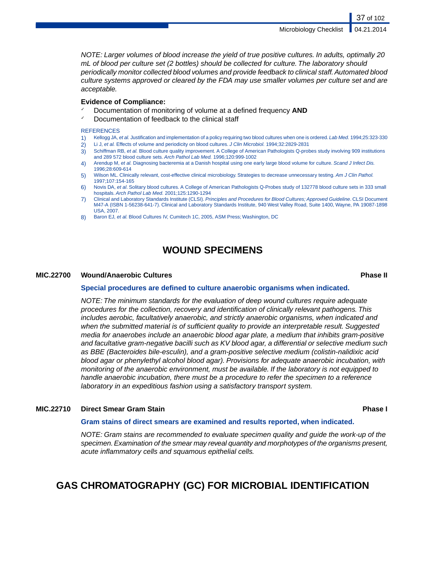37 of 102

*NOTE: Larger volumes of blood increase the yield of true positive cultures. In adults, optimally 20 mL of blood per culture set (2 bottles) should be collected for culture. The laboratory should periodically monitor collected blood volumes and provide feedback to clinical staff. Automated blood culture systems approved or cleared by the FDA may use smaller volumes per culture set and are acceptable.*

### **Evidence of Compliance:**

- ✓ Documentation of monitoring of volume at a defined frequency **AND**
- Documentation of feedback to the clinical staff

### **REFERENCES**

- 1) Kellogg JA, *et al.* Justification and implementation of a policy requiring two blood cultures when one is ordered. *Lab Med.* 1994;25:323-330
- 2) Li J, *et al.* Effects of volume and periodicity on blood cultures. *J Clin Microbiol.* 1994;32:2829-2831
- 3) Schiffman RB, *et al.* Blood culture quality improvement. A College of American Pathologists Q-probes study involving 909 institutions and 289 572 blood culture sets. *Arch Pathol Lab Med.* 1996;120:999-1002
- 4) Arendup M, *et al.* Diagnosing bacteremia at a Danish hospital using one early large blood volume for culture. *Scand J Infect Dis.* 1996;28:609-614
- 5) Wilson ML. Clinically relevant, cost-effective clinical microbiology. Strategies to decrease unnecessary testing. *Am J Clin Pathol.* 1997;107:154-165
- 6) Novis DA, *et al*. Solitary blood cultures. A College of American Pathologists Q-Probes study of 132778 blood culture sets in 333 small hospitals. *Arch Pathol Lab Med.* 2001;125:1290-1294
- 7) Clinical and Laboratory Standards Institute (CLSI). *Principles and Procedures for Blood Cultures; Approved Guideline*. CLSI Document M47-A (ISBN 1-56238-641-7). Clinical and Laboratory Standards Institute, 940 West Valley Road, Suite 1400, Wayne, PA 19087-1898 USA, 2007.
- 8) Baron EJ, *et al.* Blood Cultures IV, Cumitech 1C, 2005, ASM Press; Washington, DC

# **WOUND SPECIMENS**

### **MIC.22700 Wound/Anaerobic Cultures Phase II**

### **Special procedures are defined to culture anaerobic organisms when indicated.**

*NOTE: The minimum standards for the evaluation of deep wound cultures require adequate procedures for the collection, recovery and identification of clinically relevant pathogens. This includes aerobic, facultatively anaerobic, and strictly anaerobic organisms, when indicated and when the submitted material is of sufficient quality to provide an interpretable result. Suggested media for anaerobes include an anaerobic blood agar plate, a medium that inhibits gram-positive and facultative gram-negative bacilli such as KV blood agar, a differential or selective medium such as BBE (Bacteroides bile-esculin), and a gram-positive selective medium (colistin-nalidixic acid blood agar or phenylethyl alcohol blood agar). Provisions for adequate anaerobic incubation, with monitoring of the anaerobic environment, must be available. If the laboratory is not equipped to handle anaerobic incubation, there must be a procedure to refer the specimen to a reference laboratory in an expeditious fashion using a satisfactory transport system.*

### **MIC.22710 Direct Smear Gram Stain Phase I**

### **Gram stains of direct smears are examined and results reported, when indicated.**

*NOTE: Gram stains are recommended to evaluate specimen quality and guide the work-up of the specimen. Examination of the smear may reveal quantity and morphotypes of the organisms present, acute inflammatory cells and squamous epithelial cells.*

# **GAS CHROMATOGRAPHY (GC) FOR MICROBIAL IDENTIFICATION**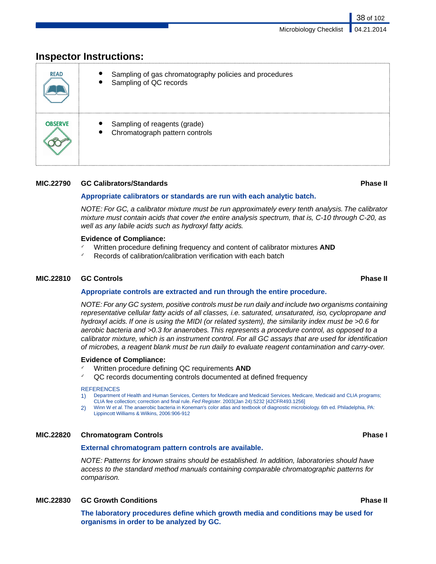# **Inspector Instructions:**

| <b>READ</b>    | Sampling of gas chromatography policies and procedures<br>Sampling of QC records |
|----------------|----------------------------------------------------------------------------------|
| <b>OBSERVE</b> | Sampling of reagents (grade)<br>Chromatograph pattern controls                   |

### **MIC.22790 GC Calibrators/Standards Phase II**

38 of 102

### **Appropriate calibrators or standards are run with each analytic batch.**

*NOTE: For GC, a calibrator mixture must be run approximately every tenth analysis. The calibrator mixture must contain acids that cover the entire analysis spectrum, that is, C-10 through C-20, as well as any labile acids such as hydroxyl fatty acids.*

### **Evidence of Compliance:**

- ✓ Written procedure defining frequency and content of calibrator mixtures **AND**
- Records of calibration/calibration verification with each batch

### **MIC.22810 GC Controls Phase II**

### **Appropriate controls are extracted and run through the entire procedure.**

*NOTE: For any GC system, positive controls must be run daily and include two organisms containing representative cellular fatty acids of all classes, i.e. saturated, unsaturated, iso, cyclopropane and hydroxyl acids. If one is using the MIDI (or related system), the similarity index must be >0.6 for aerobic bacteria and >0.3 for anaerobes. This represents a procedure control, as opposed to a calibrator mixture, which is an instrument control. For all GC assays that are used for identification of microbes, a reagent blank must be run daily to evaluate reagent contamination and carry-over.*

### **Evidence of Compliance:**

- Written procedure defining QC requirements **AND**
- ✓ QC records documenting controls documented at defined frequency

### **REFERENCES**

- 1) Department of Health and Human Services, Centers for Medicare and Medicaid Services. Medicare, Medicaid and CLIA programs; CLIA fee collection; correction and final rule. *Fed Register*. 2003(Jan 24):5232 [42CFR493.1256]
- 2) Winn W *et al.* The anaerobic bacteria in Koneman's color atlas and textbook of diagnostic microbiology. 6th ed. Philadelphia, PA: Lippincott Williams & Wilkins, 2006:906-912

### **MIC.22820 Chromatogram Controls Phase I**

### **External chromatogram pattern controls are available.**

*NOTE: Patterns for known strains should be established. In addition, laboratories should have access to the standard method manuals containing comparable chromatographic patterns for comparison.*

### **MIC.22830 GC Growth Conditions Phase II**

**The laboratory procedures define which growth media and conditions may be used for organisms in order to be analyzed by GC.**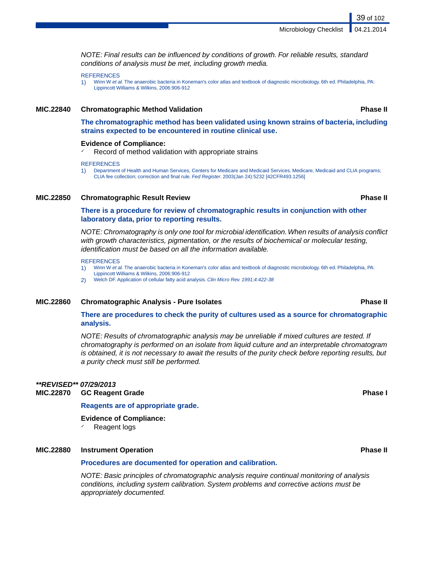*NOTE: Final results can be influenced by conditions of growth. For reliable results, standard conditions of analysis must be met, including growth media.*

**REFERENCES** 

1) Winn W *et al.* The anaerobic bacteria in Koneman's color atlas and textbook of diagnostic microbiology. 6th ed. Philadelphia, PA: Lippincott Williams & Wilkins, 2006:906-912

### **MIC.22840 Chromatographic Method Validation Phase II**

**The chromatographic method has been validated using known strains of bacteria, including strains expected to be encountered in routine clinical use.**

### **Evidence of Compliance:**

Record of method validation with appropriate strains

**REFERENCES** 

1) Department of Health and Human Services, Centers for Medicare and Medicaid Services. Medicare, Medicaid and CLIA programs; CLIA fee collection; correction and final rule. *Fed Register*. 2003(Jan 24):5232 [42CFR493.1256]

### **MIC.22850 Chromatographic Result Review Phase II**

**There is a procedure for review of chromatographic results in conjunction with other laboratory data, prior to reporting results.**

*NOTE: Chromatography is only one tool for microbial identification.When results of analysis conflict with growth characteristics, pigmentation, or the results of biochemical or molecular testing, identification must be based on all the information available.*

### **REFERENCES**

- 1) Winn W *et al.* The anaerobic bacteria in Koneman's color atlas and textbook of diagnostic microbiology. 6th ed. Philadelphia, PA:
- Lippincott Williams & Wilkins, 2006:906-912

2) Welch DF. Application of cellular fatty acid analysis. *Clin Micro Rev. 1991;4:422-38*

### **MIC.22860 Chromatographic Analysis - Pure Isolates Phase II**

**There are procedures to check the purity of cultures used as a source for chromatographic analysis.**

*NOTE: Results of chromatographic analysis may be unreliable if mixed cultures are tested. If chromatography is performed on an isolate from liquid culture and an interpretable chromatogram is obtained, it is not necessary to await the results of the purity check before reporting results, but a purity check must still be performed.*

### *\*\*REVISED\*\* 07/29/2013*

**MIC.22870 GC Reagent Grade Phase I**

**Reagents are of appropriate grade.**

**Evidence of Compliance:**

Reagent logs

### **MIC.22880 Instrument Operation Phase II**

### **Procedures are documented for operation and calibration.**

*NOTE: Basic principles of chromatographic analysis require continual monitoring of analysis conditions, including system calibration. System problems and corrective actions must be appropriately documented.*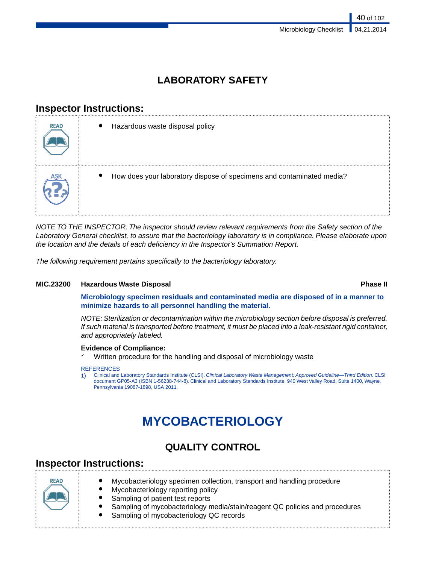# **LABORATORY SAFETY**

# **Inspector Instructions:**

| <b>READ</b> | Hazardous waste disposal policy                                                    |
|-------------|------------------------------------------------------------------------------------|
|             | How does your laboratory dispose of specimens and contaminated media?<br>$\bullet$ |

*NOTE TO THE INSPECTOR: The inspector should review relevant requirements from the Safety section of the Laboratory General checklist, to assure that the bacteriology laboratory is in compliance. Please elaborate upon the location and the details of each deficiency in the Inspector's Summation Report.*

*The following requirement pertains specifically to the bacteriology laboratory.*

### **MIC.23200 Hazardous Waste Disposal Phase II**

**Microbiology specimen residuals and contaminated media are disposed of in a manner to minimize hazards to all personnel handling the material.**

*NOTE: Sterilization or decontamination within the microbiology section before disposal is preferred. If such material is transported before treatment, it must be placed into a leak-resistant rigid container, and appropriately labeled.*

### **Evidence of Compliance:**

Written procedure for the handling and disposal of microbiology waste

### **REFERENCES**

1) Clinical and Laboratory Standards Institute (CLSI). *Clinical Laboratory Waste Management; Approved Guideline—Third Edition*. CLSI document GP05-A3 (ISBN 1-56238-744-8). Clinical and Laboratory Standards Institute, 940 West Valley Road, Suite 1400, Wayne, Pennsylvania 19087-1898, USA 2011.

# **MYCOBACTERIOLOGY**

# **QUALITY CONTROL**

# **Inspector Instructions:**

| <b>READ</b> | Mycobacteriology specimen collection, transport and handling procedure<br>Mycobacteriology reporting policy<br>Sampling of patient test reports<br>Sampling of mycobacteriology media/stain/reagent QC policies and procedures |
|-------------|--------------------------------------------------------------------------------------------------------------------------------------------------------------------------------------------------------------------------------|
|             | Sampling of mycobacteriology QC records                                                                                                                                                                                        |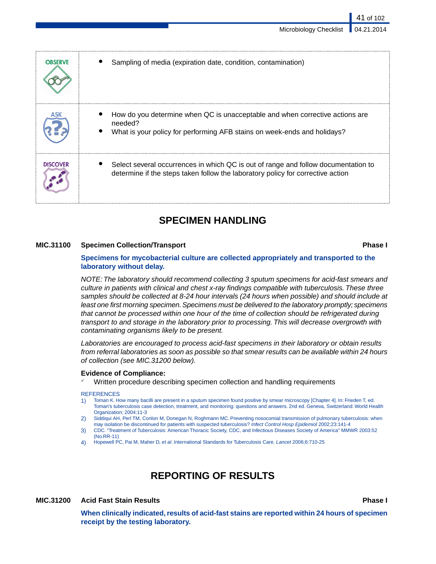41 of 102

| <b>OBSERVE</b>  | Sampling of media (expiration date, condition, contamination)                                                                                                         |
|-----------------|-----------------------------------------------------------------------------------------------------------------------------------------------------------------------|
|                 | How do you determine when QC is unacceptable and when corrective actions are<br>needed?<br>What is your policy for performing AFB stains on week-ends and holidays?   |
| <b>DISCOVER</b> | Select several occurrences in which QC is out of range and follow documentation to<br>determine if the steps taken follow the laboratory policy for corrective action |

# **SPECIMEN HANDLING**

### **MIC.31100 Specimen Collection/Transport Phase I**

### **Specimens for mycobacterial culture are collected appropriately and transported to the laboratory without delay.**

*NOTE: The laboratory should recommend collecting 3 sputum specimens for acid-fast smears and culture in patients with clinical and chest x-ray findings compatible with tuberculosis. These three samples should be collected at 8-24 hour intervals (24 hours when possible) and should include at least one first morning specimen. Specimens must be delivered to the laboratory promptly; specimens that cannot be processed within one hour of the time of collection should be refrigerated during transport to and storage in the laboratory prior to processing. This will decrease overgrowth with contaminating organisms likely to be present.*

*Laboratories are encouraged to process acid-fast specimens in their laboratory or obtain results from referral laboratories as soon as possible so that smear results can be available within 24 hours of collection (see MIC.31200 below).*

### **Evidence of Compliance:**

Written procedure describing specimen collection and handling requirements

### **REFERENCES**

- 1) Toman K. How many bacilli are present in a sputum specimen found positive by smear microscopy [Chapter 4]. In: Frieden T, ed. Toman's tuberculosis case detection, treatment, and monitoring: questions and answers. 2nd ed. Geneva, Switzerland: World Health Organization; 2004:11-3
- 2) Siddiqui AH, Perl TM, Conlon M, Donegan N, Roghmann MC. Preventing nosocomial transmission of pulmonary tuberculosis: when may isolation be discontinued for patients with suspected tuberculosis? *Infect Control Hosp Epidemiol* 2002;23:141-4
- 3) CDC. "Treatment of Tuberculosis: American Thoracic Society, CDC, and Infectious Diseases Society of America" MMWR 2003:52 (No.RR-11)
- 4) Hopewell PC, Pai M, Maher D, *et al*. International Standards for Tuberculosis Care. *Lancet* 2006;6:710-25

# **REPORTING OF RESULTS**

### **MIC.31200 Acid Fast Stain Results Phase I**

**When clinically indicated, results of acid-fast stains are reported within 24 hours of specimen receipt by the testing laboratory.**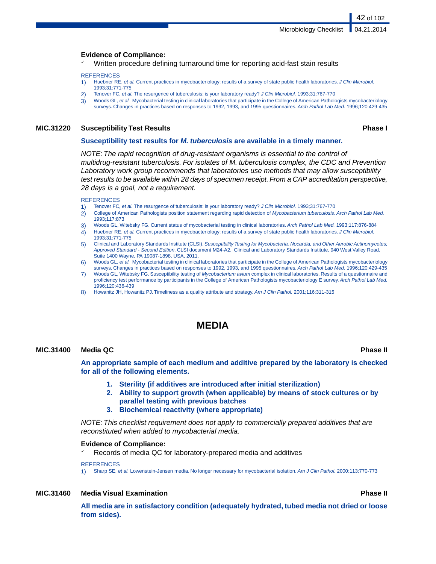### **Evidence of Compliance:**

Written procedure defining turnaround time for reporting acid-fast stain results

### **REFERENCES**

- 1) Huebner RE, *et al.* Current practices in mycobacteriology: results of a survey of state public health laboratories. *J Clin Microbiol.* 1993;31:771-775
- 2) Tenover FC, *et al.* The resurgence of tuberculosis: is your laboratory ready? *J Clin Microbiol.* 1993;31:767-770
- 3) Woods GL, *et al.* Mycobacterial testing in clinical laboratories that participate in the College of American Pathologists mycobacteriology surveys. Changes in practices based on responses to 1992, 1993, and 1995 questionnaires. *Arch Pathol Lab Med.* 1996;120:429-435

### **MIC.31220 Susceptibility Test Results Phase I**

42 of 102

### **Susceptibility test results for** *M. tuberculosis* **are available in a timely manner.**

*NOTE: The rapid recognition of drug-resistant organisms is essential to the control of multidrug-resistant tuberculosis. For isolates of M. tuberculosis complex, the CDC and Prevention Laboratory work group recommends that laboratories use methods that may allow susceptibility test results to be available within 28 days of specimen receipt. From a CAP accreditation perspective, 28 days is a goal, not a requirement.*

### **REFERENCES**

- 1) Tenover FC, *et al.* The resurgence of tuberculosis: is your laboratory ready? *J Clin Microbiol.* 1993;31:767-770
- 2) College of American Pathologists position statement regarding rapid detection of *Mycobacterium tuberculosis*. *Arch Pathol Lab Med.* 1993;117:873
- 3) Woods GL, Witebsky FG. Current status of mycobacterial testing in clinical laboratories. *Arch Pathol Lab Med.* 1993;117:876-884
- 4) Huebner RE, *et al.* Current practices in mycobacteriology: results of a survey of state public health laboratories. *J Clin Microbiol.* 1993;31:771-775
- 5) Clinical and Laboratory Standards Institute (CLSI).*Susceptibility Testing for Mycobacteria, Nocardia, and Other Aerobic Actinomycetes; Approved Standard - Second Edition*. CLSI document M24-A2. Clinical and Laboratory Standards Institute, 940 West Valley Road, Suite 1400 Wayne, PA 19087-1898, USA, 2011.
- 6) Woods GL, *et al.* Mycobacterial testing in clinical laboratories that participate in the College of American Pathologists mycobacteriology surveys. Changes in practices based on responses to 1992, 1993, and 1995 questionnaires. *Arch Pathol Lab Med.* 1996;120:429-435
- 7) Woods GL, Witebsky FG. Susceptibility testing of *Mycobacterium avium* complex in clinical laboratories. Results of a questionnaire and proficiency test performance by participants in the College of American Pathologists mycobacteriology E survey. *Arch Pathol Lab Med.* 1996;120:436-439
- 8) Howanitz JH, Howanitz PJ. Timeliness as a quality attribute and strategy. *Am J Clin Pathol.* 2001;116:311-315

## **MEDIA**

### **MIC.31400 Media QC Phase II**

**An appropriate sample of each medium and additive prepared by the laboratory is checked for all of the following elements.**

- **1. Sterility (if additives are introduced after initial sterilization)**
- **2. Ability to support growth (when applicable) by means of stock cultures or by parallel testing with previous batches**
- **3. Biochemical reactivity (where appropriate)**

*NOTE: This checklist requirement does not apply to commercially prepared additives that are reconstituted when added to mycobacterial media.*

### **Evidence of Compliance:**

Records of media QC for laboratory-prepared media and additives

### **REFERENCES**

1) Sharp SE, *et al.* Lowenstein-Jensen media. No longer necessary for mycobacterial isolation. *Am J Clin Pathol.* 2000:113:770-773

### **MIC.31460 Media Visual Examination Phase II**

**All media are in satisfactory condition (adequately hydrated, tubed media not dried or loose from sides).**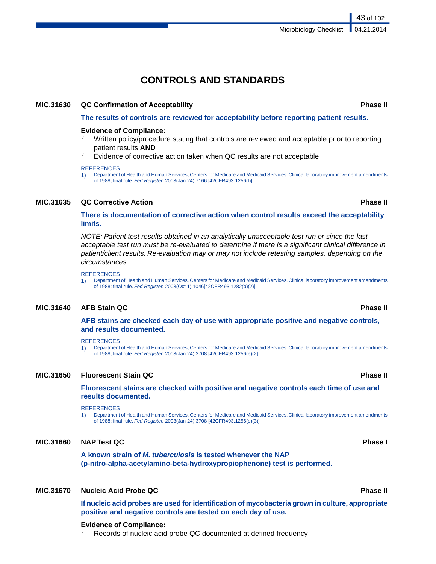# **CONTROLS AND STANDARDS**

### **MIC.31630 QC Confirmation of Acceptability Phase II**

**The results of controls are reviewed for acceptability before reporting patient results.**

### **Evidence of Compliance:**

- $\checkmark$  Written policy/procedure stating that controls are reviewed and acceptable prior to reporting patient results **AND**
- Evidence of corrective action taken when QC results are not acceptable

### **REFERENCES**

1) Department of Health and Human Services, Centers for Medicare and Medicaid Services. Clinical laboratory improvement amendments of 1988; final rule. *Fed Register.* 2003(Jan 24):7166 [42CFR493.1256(f)]

### **MIC.31635 QC Corrective Action Phase II**

**There is documentation of corrective action when control results exceed the acceptability limits.**

*NOTE: Patient test results obtained in an analytically unacceptable test run or since the last acceptable test run must be re-evaluated to determine if there is a significant clinical difference in patient/client results. Re-evaluation may or may not include retesting samples, depending on the circumstances.*

### **REFERENCES**

1) Department of Health and Human Services, Centers for Medicare and Medicaid Services. Clinical laboratory improvement amendments of 1988; final rule. *Fed Register.* 2003(Oct 1):1046[42CFR493.1282(b)(2)]

### **MIC.31640 AFB Stain QC Phase II**

**AFB stains are checked each day of use with appropriate positive and negative controls, and results documented.**

### **REFERENCES**

1) Department of Health and Human Services, Centers for Medicare and Medicaid Services. Clinical laboratory improvement amendments of 1988; final rule. *Fed Register.* 2003(Jan 24):3708 [42CFR493.1256(e)(2)]

### **MIC.31650 Fluorescent Stain QC Phase II**

**Fluorescent stains are checked with positive and negative controls each time of use and results documented.**

### **REFERENCES**

1) Department of Health and Human Services, Centers for Medicare and Medicaid Services. Clinical laboratory improvement amendments of 1988; final rule. *Fed Register.* 2003(Jan 24):3708 [42CFR493.1256(e)(3)]

### **MIC.31660 NAP Test QC Phase I**

**A known strain of** *M. tuberculosis* **is tested whenever the NAP (p-nitro-alpha-acetylamino-beta-hydroxypropiophenone) test is performed.**

### **MIC.31670 Nucleic Acid Probe QC Phase II**

**If nucleic acid probes are used for identification of mycobacteria grown in culture, appropriate positive and negative controls are tested on each day of use.**

### **Evidence of Compliance:**

Records of nucleic acid probe QC documented at defined frequency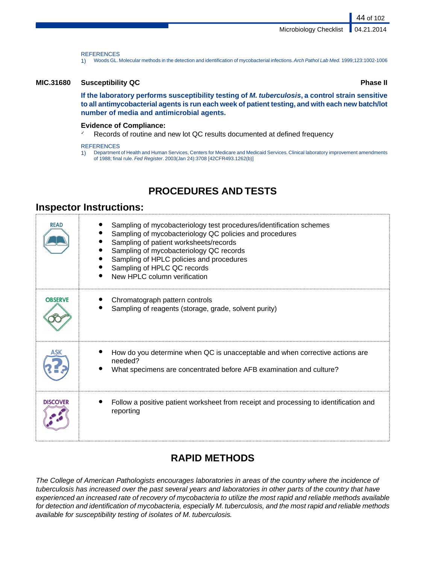**REFERENCES** 

1) Woods GL. Molecular methods in the detection and identification of mycobacterial infections.*Arch Pathol Lab Med.* 1999;123:1002-1006

### **MIC.31680 Susceptibility QC Phase II**

**If the laboratory performs susceptibility testing of** *M. tuberculosis***, a control strain sensitive to all antimycobacterial agents is run each week of patient testing, and with each new batch/lot number of media and antimicrobial agents.**

### **Evidence of Compliance:**

Records of routine and new lot QC results documented at defined frequency

### **REFERENCES**

1) Department of Health and Human Services, Centers for Medicare and Medicaid Services. Clinical laboratory improvement amendments of 1988; final rule. *Fed Register*. 2003(Jan 24):3708 [42CFR493.1262(b)]

# **PROCEDURES AND TESTS**

## **Inspector Instructions:**

| <b>READ</b>     | Sampling of mycobacteriology test procedures/identification schemes<br>Sampling of mycobacteriology QC policies and procedures<br>Sampling of patient worksheets/records<br>Sampling of mycobacteriology QC records<br>Sampling of HPLC policies and procedures<br>Sampling of HPLC QC records<br>New HPLC column verification |
|-----------------|--------------------------------------------------------------------------------------------------------------------------------------------------------------------------------------------------------------------------------------------------------------------------------------------------------------------------------|
| <b>OBSERVE</b>  | Chromatograph pattern controls<br>Sampling of reagents (storage, grade, solvent purity)                                                                                                                                                                                                                                        |
|                 | How do you determine when QC is unacceptable and when corrective actions are<br>needed?<br>What specimens are concentrated before AFB examination and culture?                                                                                                                                                                 |
| <b>DISCOVER</b> | Follow a positive patient worksheet from receipt and processing to identification and<br>reporting                                                                                                                                                                                                                             |

# **RAPID METHODS**

*The College of American Pathologists encourages laboratories in areas of the country where the incidence of tuberculosis has increased over the past several years and laboratories in other parts of the country that have experienced an increased rate of recovery of mycobacteria to utilize the most rapid and reliable methods available for detection and identification of mycobacteria, especially M. tuberculosis, and the most rapid and reliable methods available for susceptibility testing of isolates of M. tuberculosis.*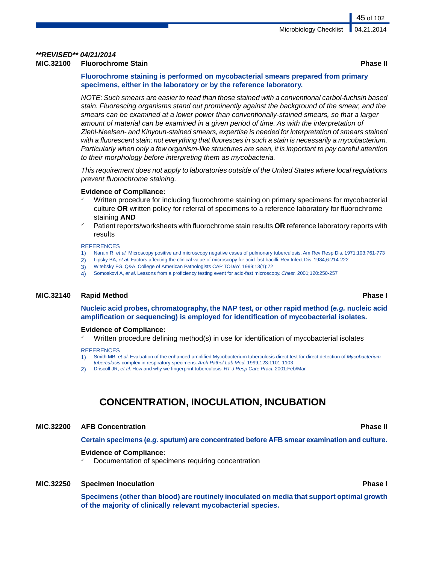## *\*\*REVISED\*\* 04/21/2014*

### **MIC.32100 Fluorochrome Stain Phase II**

**Fluorochrome staining is performed on mycobacterial smears prepared from primary specimens, either in the laboratory or by the reference laboratory.**

*NOTE: Such smears are easier to read than those stained with a conventional carbol-fuchsin based stain. Fluorescing organisms stand out prominently against the background of the smear, and the smears can be examined at a lower power than conventionally-stained smears, so that a larger amount of material can be examined in a given period of time. As with the interpretation of Ziehl-Neelsen- and Kinyoun-stained smears, expertise is needed for interpretation of smears stained with a fluorescent stain; not everything that fluoresces in such a stain is necessarily a mycobacterium. Particularly when only a few organism-like structures are seen, it is important to pay careful attention to their morphology before interpreting them as mycobacteria.*

*This requirement does not apply to laboratories outside of the United States where local regulations prevent fluorochrome staining.*

### **Evidence of Compliance:**

- Written procedure for including fluorochrome staining on primary specimens for mycobacterial culture **OR** written policy for referral of specimens to a reference laboratory for fluorochrome staining **AND**
- Patient reports/worksheets with fluorochrome stain results **OR** reference laboratory reports with results

### **REFERENCES**

- 1) Narain R, *et al.* Microscopy positive and microscopy negative cases of pulmonary tuberculosis. Am Rev Resp Dis. 1971;103:761-773
- 2) Lipsky BA, *et al.* Factors affecting the clinical value of microscopy for acid-fast bacilli. Rev Infect Dis. 1984;6:214-222
- 3) Witebsky FG. Q&A. College of American Pathologists CAP TODAY, 1999;13(1):72
- 4) Somoskovi A, *et al*. Lessons from a proficiency testing event for acid-fast microscopy. *Chest.* 2001;120:250-257

### **MIC.32140 Rapid Method Phase I**

**Nucleic acid probes, chromatography, the NAP test, or other rapid method (***e.g.* **nucleic acid amplification or sequencing) is employed for identification of mycobacterial isolates.**

### **Evidence of Compliance:**

Written procedure defining method(s) in use for identification of mycobacterial isolates

### **REFERENCES**

- 1) Smith MB, *et al*. Evaluation of the enhanced amplified Mycobacterium tuberculosis direct test for direct detection of *Mycobacterium tuberculosis* complex in respiratory specimens. *Arch Pathol Lab Med.* 1999;123:1101-1103
- 2) Driscoll JR, *et al*. How and why we fingerprint tuberculosis. *RT J Resp Care Pract.* 2001:Feb/Mar

# **CONCENTRATION, INOCULATION, INCUBATION**

### **MIC.32200 AFB Concentration Phase II**

**Certain specimens (***e.g.* **sputum) are concentrated before AFB smear examination and culture.**

### **Evidence of Compliance:**

Documentation of specimens requiring concentration

### **MIC.32250 Specimen Inoculation Phase I**

**Specimens (other than blood) are routinely inoculated on media that support optimal growth of the majority of clinically relevant mycobacterial species.**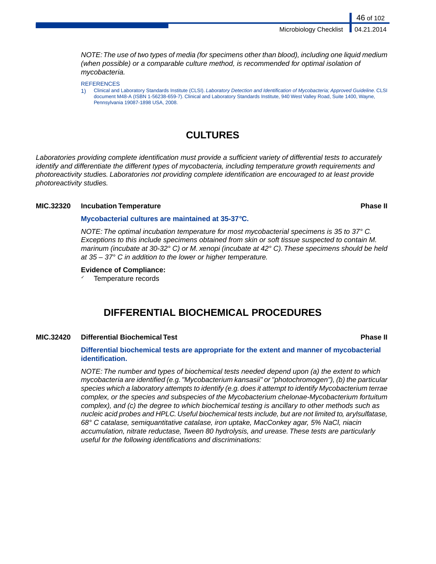*NOTE:The use of two types of media (for specimens other than blood), including one liquid medium (when possible) or a comparable culture method, is recommended for optimal isolation of mycobacteria.*

### **REFERENCES**

1) Clinical and Laboratory Standards Institute (CLSI). *Laboratory Detection and Identification of Mycobacteria; Approved Guideline*. CLSI document M48-A (ISBN 1-56238-659-7). Clinical and Laboratory Standards Institute, 940 West Valley Road, Suite 1400, Wayne, Pennsylvania 19087-1898 USA, 2008.

## **CULTURES**

*Laboratories providing complete identification must provide a sufficient variety of differential tests to accurately identify and differentiate the different types of mycobacteria, including temperature growth requirements and photoreactivity studies. Laboratories not providing complete identification are encouraged to at least provide photoreactivity studies.*

### **MIC.32320 Incubation Temperature Phase II**

### **Mycobacterial cultures are maintained at 35-37***°***C.**

*NOTE: The optimal incubation temperature for most mycobacterial specimens is 35 to 37° C. Exceptions to this include specimens obtained from skin or soft tissue suspected to contain M. marinum (incubate at 30-32° C) or M. xenopi (incubate at 42° C).These specimens should be held at 35 – 37° C in addition to the lower or higher temperature.*

### **Evidence of Compliance:**

Temperature records

## **DIFFERENTIAL BIOCHEMICAL PROCEDURES**

### **MIC.32420 Differential Biochemical Test Phase II**

### **Differential biochemical tests are appropriate for the extent and manner of mycobacterial identification.**

*NOTE: The number and types of biochemical tests needed depend upon (a) the extent to which mycobacteria are identified (e.g. "Mycobacterium kansasii" or "photochromogen"), (b) the particular species which a laboratory attempts to identify (e.g. does it attempt to identify Mycobacterium terrae complex, or the species and subspecies of the Mycobacterium chelonae-Mycobacterium fortuitum complex), and (c) the degree to which biochemical testing is ancillary to other methods such as nucleic acid probes and HPLC. Useful biochemical tests include, but are not limited to, arylsulfatase, 68° C catalase, semiquantitative catalase, iron uptake, MacConkey agar, 5% NaCl, niacin accumulation, nitrate reductase, Tween 80 hydrolysis, and urease. These tests are particularly useful for the following identifications and discriminations:*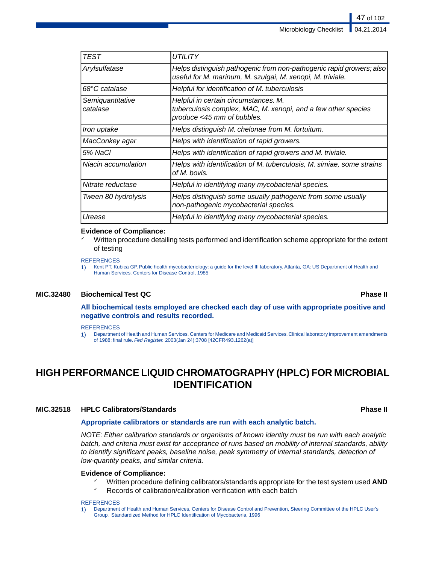| TEST                         | UTILITY                                                                                                                             |
|------------------------------|-------------------------------------------------------------------------------------------------------------------------------------|
| Arylsulfatase                | Helps distinguish pathogenic from non-pathogenic rapid growers; also<br>useful for M. marinum, M. szulgai, M. xenopi, M. triviale.  |
| 68°C catalase                | Helpful for identification of M. tuberculosis                                                                                       |
| Semiquantitative<br>catalase | Helpful in certain circumstances. M.<br>tuberculosis complex, MAC, M. xenopi, and a few other species<br>produce <45 mm of bubbles. |
| Iron uptake                  | Helps distinguish M. chelonae from M. fortuitum.                                                                                    |
| MacConkey agar               | Helps with identification of rapid growers.                                                                                         |
| 5% NaCl                      | Helps with identification of rapid growers and M. triviale.                                                                         |
| Niacin accumulation          | Helps with identification of M. tuberculosis, M. simiae, some strains<br>of M. bovis.                                               |
| Nitrate reductase            | Helpful in identifying many mycobacterial species.                                                                                  |
| Tween 80 hydrolysis          | Helps distinguish some usually pathogenic from some usually<br>non-pathogenic mycobacterial species.                                |
| Urease                       | Helpful in identifying many mycobacterial species.                                                                                  |

### **Evidence of Compliance:**

Written procedure detailing tests performed and identification scheme appropriate for the extent of testing

**REFERENCES** 

1) Kent PT, Kubica GP. Public health mycobacteriology: a guide for the level III laboratory. Atlanta, GA: US Department of Health and Human Services, Centers for Disease Control, 1985

### **MIC.32480 Biochemical Test QC Phase II**

**All biochemical tests employed are checked each day of use with appropriate positive and negative controls and results recorded.**

### **REFERENCES**

1) Department of Health and Human Services, Centers for Medicare and Medicaid Services. Clinical laboratory improvement amendments of 1988; final rule. *Fed Register.* 2003(Jan 24):3708 [42CFR493.1262(a)]

# **HIGH PERFORMANCE LIQUID CHROMATOGRAPHY (HPLC) FOR MICROBIAL IDENTIFICATION**

### **MIC.32518 HPLC Calibrators/Standards Phase II**

### **Appropriate calibrators or standards are run with each analytic batch.**

*NOTE: Either calibration standards or organisms of known identity must be run with each analytic batch, and criteria must exist for acceptance of runs based on mobility of internal standards, ability to identify significant peaks, baseline noise, peak symmetry of internal standards, detection of low-quantity peaks, and similar criteria.*

### **Evidence of Compliance:**

- ✓ Written procedure defining calibrators/standards appropriate for the test system used **AND**
- Records of calibration/calibration verification with each batch

### **REFERENCES**

1) Department of Health and Human Services, Centers for Disease Control and Prevention, Steering Committee of the HPLC User's Group. Standardized Method for HPLC Identification of Mycobacteria, 1996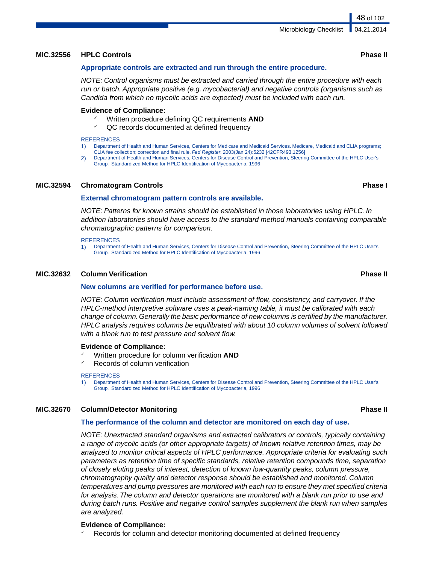### **MIC.32556 HPLC Controls Phase II**

### **Appropriate controls are extracted and run through the entire procedure.**

*NOTE: Control organisms must be extracted and carried through the entire procedure with each run or batch. Appropriate positive (e.g. mycobacterial) and negative controls (organisms such as Candida from which no mycolic acids are expected) must be included with each run.*

### **Evidence of Compliance:**

- Written procedure defining QC requirements **AND**
- ✓ QC records documented at defined frequency

### **REFERENCES**

- 1) Department of Health and Human Services, Centers for Medicare and Medicaid Services. Medicare, Medicaid and CLIA programs; CLIA fee collection; correction and final rule. *Fed Register*. 2003(Jan 24):5232 [42CFR493.1256]
- 2) Department of Health and Human Services, Centers for Disease Control and Prevention, Steering Committee of the HPLC User's Group. Standardized Method for HPLC Identification of Mycobacteria, 1996

### **MIC.32594 Chromatogram Controls Phase I**

### **External chromatogram pattern controls are available.**

*NOTE: Patterns for known strains should be established in those laboratories using HPLC. In addition laboratories should have access to the standard method manuals containing comparable chromatographic patterns for comparison.*

### **REFERENCES**

1) Department of Health and Human Services, Centers for Disease Control and Prevention, Steering Committee of the HPLC User's Group. Standardized Method for HPLC Identification of Mycobacteria, 1996

### **MIC.32632 Column Verification Phase II**

### **New columns are verified for performance before use.**

*NOTE: Column verification must include assessment of flow, consistency, and carryover. If the HPLC-method interpretive software uses a peak-naming table, it must be calibrated with each change of column. Generally the basic performance of new columns is certified by the manufacturer. HPLC analysis requires columns be equilibrated with about 10 column volumes of solvent followed with a blank run to test pressure and solvent flow.*

### **Evidence of Compliance:**

- ✓ Written procedure for column verification **AND**
- Records of column verification

### **REFERENCES**

1) Department of Health and Human Services, Centers for Disease Control and Prevention, Steering Committee of the HPLC User's Group. Standardized Method for HPLC Identification of Mycobacteria, 1996

### **MIC.32670 Column/Detector Monitoring Phase II**

### **The performance of the column and detector are monitored on each day of use.**

*NOTE: Unextracted standard organisms and extracted calibrators or controls, typically containing a range of mycolic acids (or other appropriate targets) of known relative retention times, may be analyzed to monitor critical aspects of HPLC performance. Appropriate criteria for evaluating such parameters as retention time of specific standards, relative retention compounds time, separation of closely eluting peaks of interest, detection of known low-quantity peaks, column pressure, chromatography quality and detector response should be established and monitored. Column temperatures and pump pressures are monitored with each run to ensure they met specified criteria for analysis. The column and detector operations are monitored with a blank run prior to use and during batch runs. Positive and negative control samples supplement the blank run when samples are analyzed.*

### **Evidence of Compliance:**

Records for column and detector monitoring documented at defined frequency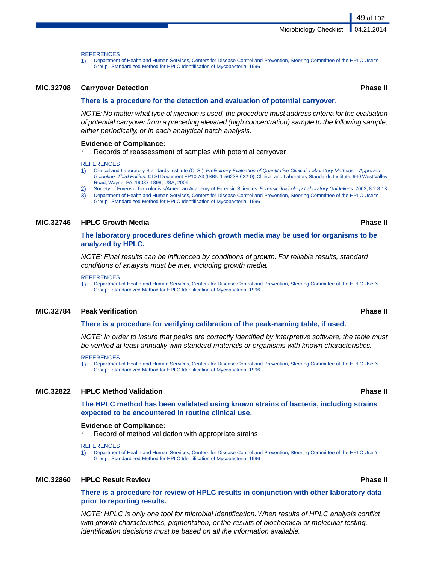### **REFERENCES**

1) Department of Health and Human Services, Centers for Disease Control and Prevention, Steering Committee of the HPLC User's Group. Standardized Method for HPLC Identification of Mycobacteria, 1996

### **MIC.32708 Carryover Detection Phase II**

### **There is a procedure for the detection and evaluation of potential carryover.**

*NOTE: No matter what type of injection is used, the procedure must address criteria for the evaluation of potential carryover from a preceding elevated (high concentration) sample to the following sample, either periodically, or in each analytical batch analysis.*

### **Evidence of Compliance:**

Records of reassessment of samples with potential carryover

### **REFERENCES**

- 1) Clinical and Laboratory Standards Institute (CLSI). *Preliminary Evaluation of Quantitative Clinical Laboratory Methods Approved Guideline- Third Edition.* CLSI Document EP10-A3 (ISBN 1-56238-622-0). Clinical and Laboratory Standards Institute, 940 West Valley Road, Wayne, PA, 19087-1898, USA, 2006.
- 2) Society of Forensic Toxicologists/American Academy of Forensic Sciences. *Forensic Toxicology Laboratory Guidelines.* 2002; 8.2.8:13
- 3) Department of Health and Human Services, Centers for Disease Control and Prevention, Steering Committee of the HPLC User's Group. Standardized Method for HPLC Identification of Mycobacteria, 1996

### **MIC.32746 HPLC Growth Media Phase II**

### **The laboratory procedures define which growth media may be used for organisms to be analyzed by HPLC.**

*NOTE: Final results can be influenced by conditions of growth. For reliable results, standard conditions of analysis must be met, including growth media.*

**REFERENCES** 

1) Department of Health and Human Services, Centers for Disease Control and Prevention, Steering Committee of the HPLC User's Group. Standardized Method for HPLC Identification of Mycobacteria, 1996

### **MIC.32784 Peak Verification Phase II**

### **There is a procedure for verifying calibration of the peak-naming table, if used.**

*NOTE: In order to insure that peaks are correctly identified by interpretive software, the table must be verified at least annually with standard materials or organisms with known characteristics.*

### **REFERENCES**

1) Department of Health and Human Services, Centers for Disease Control and Prevention, Steering Committee of the HPLC User's Group. Standardized Method for HPLC Identification of Mycobacteria, 1996

### **MIC.32822 HPLC Method Validation Phase II**

**The HPLC method has been validated using known strains of bacteria, including strains expected to be encountered in routine clinical use.**

### **Evidence of Compliance:**

Record of method validation with appropriate strains

### **REFERENCES**

1) Department of Health and Human Services, Centers for Disease Control and Prevention, Steering Committee of the HPLC User's Group. Standardized Method for HPLC Identification of Mycobacteria, 1996

### **MIC.32860 HPLC Result Review Phase II**

### **There is a procedure for review of HPLC results in conjunction with other laboratory data prior to reporting results.**

*NOTE: HPLC is only one tool for microbial identification. When results of HPLC analysis conflict with growth characteristics, pigmentation, or the results of biochemical or molecular testing, identification decisions must be based on all the information available.*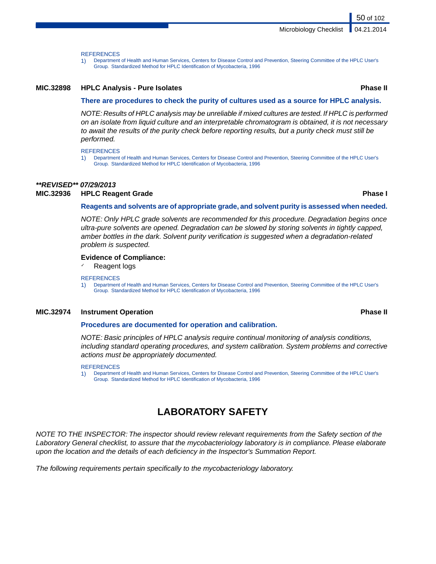**REFERENCES** 

1) Department of Health and Human Services, Centers for Disease Control and Prevention, Steering Committee of the HPLC User's Group. Standardized Method for HPLC Identification of Mycobacteria, 1996

### **MIC.32898 HPLC Analysis - Pure Isolates Phase II**

### **There are procedures to check the purity of cultures used as a source for HPLC analysis.**

*NOTE: Results of HPLC analysis may be unreliable if mixed cultures are tested. If HPLC is performed on an isolate from liquid culture and an interpretable chromatogram is obtained, it is not necessary to await the results of the purity check before reporting results, but a purity check must still be performed.*

### **REFERENCES**

1) Department of Health and Human Services, Centers for Disease Control and Prevention, Steering Committee of the HPLC User's Group. Standardized Method for HPLC Identification of Mycobacteria, 1996

### *\*\*REVISED\*\* 07/29/2013*

### **MIC.32936 HPLC Reagent Grade Phase I**

### **Reagents and solvents are of appropriate grade, and solvent purity is assessed when needed.**

*NOTE: Only HPLC grade solvents are recommended for this procedure. Degradation begins once ultra-pure solvents are opened. Degradation can be slowed by storing solvents in tightly capped, amber bottles in the dark. Solvent purity verification is suggested when a degradation-related problem is suspected.*

### **Evidence of Compliance:**

Reagent logs

### **REFERENCES**

1) Department of Health and Human Services, Centers for Disease Control and Prevention, Steering Committee of the HPLC User's Group. Standardized Method for HPLC Identification of Mycobacteria, 1996

### **MIC.32974 Instrument Operation Phase II**

### **Procedures are documented for operation and calibration.**

*NOTE: Basic principles of HPLC analysis require continual monitoring of analysis conditions, including standard operating procedures, and system calibration. System problems and corrective actions must be appropriately documented.*

### REFERENCES

1) Department of Health and Human Services, Centers for Disease Control and Prevention, Steering Committee of the HPLC User's Group. Standardized Method for HPLC Identification of Mycobacteria, 1996

# **LABORATORY SAFETY**

*NOTE TO THE INSPECTOR: The inspector should review relevant requirements from the Safety section of the Laboratory General checklist, to assure that the mycobacteriology laboratory is in compliance. Please elaborate upon the location and the details of each deficiency in the Inspector's Summation Report.*

*The following requirements pertain specifically to the mycobacteriology laboratory.*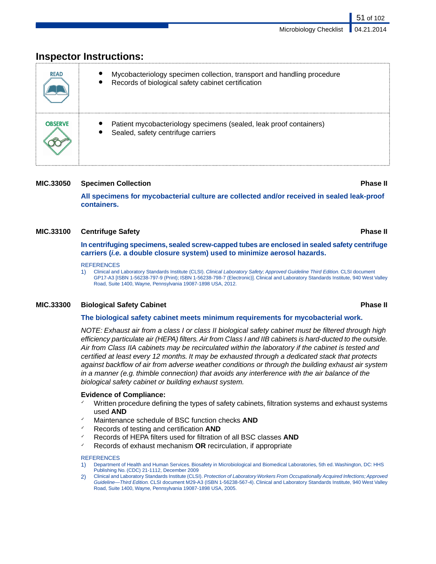51 of 102

| <b>READ</b>    | Mycobacteriology specimen collection, transport and handling procedure<br>Records of biological safety cabinet certification |
|----------------|------------------------------------------------------------------------------------------------------------------------------|
| <b>OBSERVE</b> | Patient mycobacteriology specimens (sealed, leak proof containers)<br>Sealed, safety centrifuge carriers                     |

# **Inspector Instructions:**

### **MIC.33050 Specimen Collection Phase II**

**All specimens for mycobacterial culture are collected and/or received in sealed leak-proof containers.**

### **MIC.33100 Centrifuge Safety Phase II**

**In centrifuging specimens, sealed screw-capped tubes are enclosed in sealed safety centrifuge carriers (***i.e.* **a double closure system) used to minimize aerosol hazards.**

### **REFERENCES**

1) Clinical and Laboratory Standards Institute (CLSI). *Clinical Laboratory Safety; Approved Guideline Third Edition.* CLSI document GP17-A3 [ISBN 1-56238-797-9 (Print); ISBN 1-56238-798-7 (Electronic)]. Clinical and Laboratory Standards Institute, 940 West Valley Road, Suite 1400, Wayne, Pennsylvania 19087-1898 USA, 2012.

### **MIC.33300 Biological Safety Cabinet Phase II**

### **The biological safety cabinet meets minimum requirements for mycobacterial work.**

*NOTE: Exhaust air from a class I or class II biological safety cabinet must be filtered through high efficiency particulate air (HEPA) filters. Air from Class I and IIB cabinets is hard-ducted to the outside. Air from Class IIA cabinets may be recirculated within the laboratory if the cabinet is tested and certified at least every 12 months. It may be exhausted through a dedicated stack that protects against backflow of air from adverse weather conditions or through the building exhaust air system in a manner (e.g. thimble connection) that avoids any interference with the air balance of the biological safety cabinet or building exhaust system.*

### **Evidence of Compliance:**

- Written procedure defining the types of safety cabinets, filtration systems and exhaust systems used **AND**
- Maintenance schedule of BSC function checks **AND**
- ✓ Records of testing and certification **AND**
- ✓ Records of HEPA filters used for filtration of all BSC classes **AND**
- ✓ Records of exhaust mechanism **OR** recirculation, if appropriate

### **REFERENCES**

- 1) Department of Health and Human Services. Biosafety in Microbiological and Biomedical Laboratories, 5th ed. Washington, DC: HHS Publishing No. (CDC) 21-1112, December 2009
- 2) Clinical and Laboratory Standards Institute (CLSI). *Protection of Laboratory Workers From Occupationally Acquired Infections; Approved Guideline—Third Edition.* CLSI document M29-A3 (ISBN 1-56238-567-4). Clinical and Laboratory Standards Institute, 940 West Valley Road, Suite 1400, Wayne, Pennsylvania 19087-1898 USA, 2005.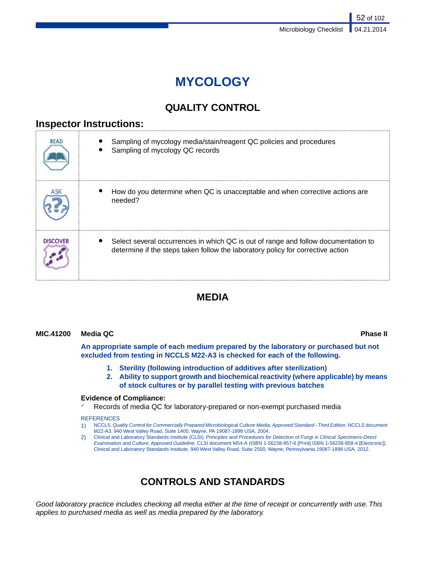# **MYCOLOGY**

# **QUALITY CONTROL**

## **Inspector Instructions:**

| <b>READ</b> | Sampling of mycology media/stain/reagent QC policies and procedures<br>Sampling of mycology QC records                                                                |
|-------------|-----------------------------------------------------------------------------------------------------------------------------------------------------------------------|
|             | How do you determine when QC is unacceptable and when corrective actions are<br>needed?                                                                               |
| DISCOVER    | Select several occurrences in which QC is out of range and follow documentation to<br>determine if the steps taken follow the laboratory policy for corrective action |

# **MEDIA**

### **MIC.41200 Media QC Phase II**

**An appropriate sample of each medium prepared by the laboratory or purchased but not excluded from testing in NCCLS M22-A3 is checked for each of the following.**

- **1. Sterility (following introduction of additives after sterilization)**
- **2. Ability to support growth and biochemical reactivity (where applicable) by means of stock cultures or by parallel testing with previous batches**

### **Evidence of Compliance:**

Records of media QC for laboratory-prepared or non-exempt purchased media

### REFERENCES

- 1) NCCLS.*Quality Control for Commercially Prepared Microbiological Culture Media; Approved Standard Third Edition.* NCCLS document M22-A3. 940 West Valley Road, Suite 1400, Wayne, PA 19087-1898 USA, 2004.
- 2) Clinical and Laboratory Standards Institute (CLSI). *Principles and Procedures for Detection of Fungi in Clinical Specimens-Direct Examination and Culture; Approved Guideline.* CLSI document M54-A (ISBN 1-56238-857-6 [Print] ISBN 1-56238-858-4 [Electronic]). Clinical and Laboratory Standards Institute, 940 West Valley Road, Suite 2500, Wayne, Pennsylvania 19087-1898 USA, 2012.

# **CONTROLS AND STANDARDS**

*Good laboratory practice includes checking all media either at the time of receipt or concurrently with use. This applies to purchased media as well as media prepared by the laboratory.*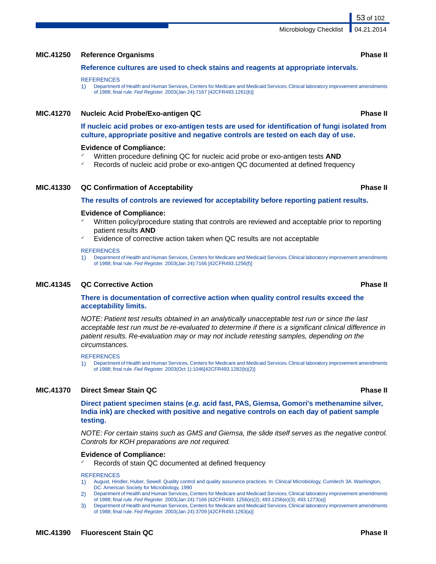## **MIC.41250 Reference Organisms Phase II**

### **Reference cultures are used to check stains and reagents at appropriate intervals.**

### **REFERENCES**

1) Department of Health and Human Services, Centers for Medicare and Medicaid Services. Clinical laboratory improvement amendments of 1988; final rule. *Fed Register.* 2003(Jan 24):7167 [42CFR493.1261(b)]

### **MIC.41270 Nucleic Acid Probe/Exo-antigen QC Phase II**

**If nucleic acid probes or exo-antigen tests are used for identification of fungi isolated from culture, appropriate positive and negative controls are tested on each day of use.**

### **Evidence of Compliance:**

- Written procedure defining QC for nucleic acid probe or exo-antigen tests **AND**
- Records of nucleic acid probe or exo-antigen QC documented at defined frequency

### **MIC.41330 QC Confirmation of Acceptability Phase II**

### **The results of controls are reviewed for acceptability before reporting patient results.**

### **Evidence of Compliance:**

- Written policy/procedure stating that controls are reviewed and acceptable prior to reporting patient results **AND**
- Evidence of corrective action taken when QC results are not acceptable

### **REFERENCES**

1) Department of Health and Human Services, Centers for Medicare and Medicaid Services. Clinical laboratory improvement amendments of 1988; final rule. *Fed Register.* 2003(Jan 24):7166 [42CFR493.1256(f)]

### **MIC.41345 QC Corrective Action Phase II**

### **There is documentation of corrective action when quality control results exceed the acceptability limits.**

*NOTE: Patient test results obtained in an analytically unacceptable test run or since the last acceptable test run must be re-evaluated to determine if there is a significant clinical difference in patient results. Re-evaluation may or may not include retesting samples, depending on the circumstances.*

### **REFERENCES**

1) Department of Health and Human Services, Centers for Medicare and Medicaid Services. Clinical laboratory improvement amendments of 1988; final rule. *Fed Register.* 2003(Oct 1):1046[42CFR493.1282(b)(2)]

### **MIC.41370 Direct Smear Stain QC Phase II**

**Direct patient specimen stains (***e.g.* **acid fast, PAS, Giemsa, Gomori's methenamine silver, India ink) are checked with positive and negative controls on each day of patient sample testing.**

*NOTE: For certain stains such as GMS and Giemsa, the slide itself serves as the negative control. Controls for KOH preparations are not required.*

### **Evidence of Compliance:**

Records of stain QC documented at defined frequency

### **REFERENCES**

- 1) August, Hindler, Huber, Sewell. Quality control and quality assurance practices. In: Clinical Microbiology, Cumitech 3A. Washington, DC: American Society for Microbiology, 1990
- 2) Department of Health and Human Services, Centers for Medicare and Medicaid Services. Clinical laboratory improvement amendments of 1988; final rule. *Fed Register.* 2003(Jan 24):7166 [42CFR493. 1256(e)(2); 493.1256(e)(3); 493.1273(a)]
- 3) Department of Health and Human Services, Centers for Medicare and Medicaid Services. Clinical laboratory improvement amendments of 1988; final rule. *Fed Register.* 2003(Jan 24):3709 [42CFR493.1263(a)]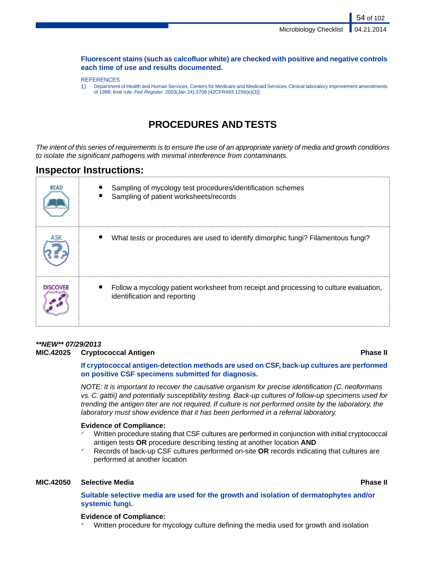54 of 102

### **Fluorescent stains (such as calcofluor white) are checked with positive and negative controls each time of use and results documented.**

### **REFERENCES**

1) Department of Health and Human Services, Centers for Medicare and Medicaid Services. Clinical laboratory improvement amendments of 1988; final rule. *Fed Register.* 2003(Jan 24):3708 [42CFR493.1256(e)(3)]

# **PROCEDURES AND TESTS**

*The intent of this series of requirements is to ensure the use of an appropriate variety of media and growth conditions to isolate the significant pathogens with minimal interference from contaminants.*

## **Inspector Instructions:**

| <b>READ</b>     | Sampling of mycology test procedures/identification schemes<br>Sampling of patient worksheets/records                  |
|-----------------|------------------------------------------------------------------------------------------------------------------------|
|                 | What tests or procedures are used to identify dimorphic fungi? Filamentous fungi?                                      |
| <b>DISCOVER</b> | Follow a mycology patient worksheet from receipt and processing to culture evaluation,<br>identification and reporting |

## *\*\*NEW\*\* 07/29/2013*

### **MIC.42025 Cryptococcal Antigen Phase II**

**If cryptococcal antigen-detection methods are used on CSF, back-up cultures are performed on positive CSF specimens submitted for diagnosis.**

*NOTE: It is important to recover the causative organism for precise identification (C. neoformans vs. C. gattii) and potentially susceptibility testing. Back-up cultures of follow-up specimens used for trending the antigen titer are not required. If culture is not performed onsite by the laboratory, the laboratory must show evidence that it has been performed in a referral laboratory.*

### **Evidence of Compliance:**

- Written procedure stating that CSF cultures are performed in conjunction with initial cryptococcal antigen tests **OR** procedure describing testing at another location **AND**
- ✓ Records of back-up CSF cultures performed on-site **OR** records indicating that cultures are performed at another location

### **MIC.42050 Selective Media Phase II**

**Suitable selective media are used for the growth and isolation of dermatophytes and/or systemic fungi.**

### **Evidence of Compliance:**

Written procedure for mycology culture defining the media used for growth and isolation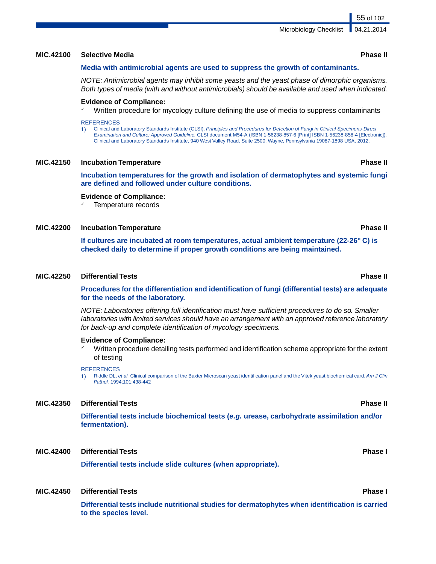### **MIC.42100 Selective Media Phase II**

### **Media with antimicrobial agents are used to suppress the growth of contaminants.**

*NOTE: Antimicrobial agents may inhibit some yeasts and the yeast phase of dimorphic organisms. Both types of media (with and without antimicrobials) should be available and used when indicated.*

### **Evidence of Compliance:**

 $\checkmark$  Written procedure for mycology culture defining the use of media to suppress contaminants

### **REFERENCES**

1) Clinical and Laboratory Standards Institute (CLSI). *Principles and Procedures for Detection of Fungi in Clinical Specimens-Direct Examination and Culture; Approved Guideline.* CLSI document M54-A (ISBN 1-56238-857-6 [Print] ISBN 1-56238-858-4 [Electronic]). Clinical and Laboratory Standards Institute, 940 West Valley Road, Suite 2500, Wayne, Pennsylvania 19087-1898 USA, 2012.

### **MIC.42150 Incubation Temperature Phase II**

**Incubation temperatures for the growth and isolation of dermatophytes and systemic fungi are defined and followed under culture conditions.**

### **Evidence of Compliance:**

Temperature records

### **MIC.42200 Incubation Temperature Phase II**

**If cultures are incubated at room temperatures, actual ambient temperature (22-26***°* **C) is checked daily to determine if proper growth conditions are being maintained.**

### **MIC.42250 Differential Tests Phase II**

**Procedures for the differentiation and identification of fungi (differential tests) are adequate for the needs of the laboratory.**

*NOTE: Laboratories offering full identification must have sufficient procedures to do so. Smaller laboratories with limited services should have an arrangement with an approved reference laboratory for back-up and complete identification of mycology specimens.*

### **Evidence of Compliance:**

Written procedure detailing tests performed and identification scheme appropriate for the extent of testing

### REFERENCES

1) Riddle DL, *et al.* Clinical comparison of the Baxter Microscan yeast identification panel and the Vitek yeast biochemical card. *Am J Clin Pathol.* 1994;101:438-442

### **MIC.42350 Differential Tests Phase II**

**Differential tests include biochemical tests (***e.g.* **urease, carbohydrate assimilation and/or fermentation).**

### **MIC.42400 Differential Tests Phase I**

**Differential tests include slide cultures (when appropriate).**

### **MIC.42450 Differential Tests Phase I**

**Differential tests include nutritional studies for dermatophytes when identification is carried to the species level.**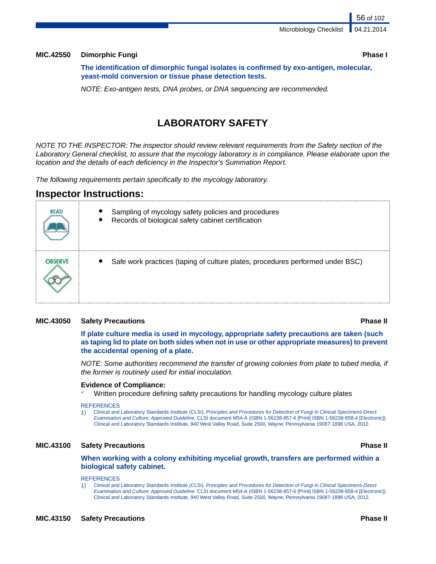56 of 102

### **MIC.42550 Dimorphic Fungi Phase I**

**The identification of dimorphic fungal isolates is confirmed by exo-antigen, molecular, yeast-mold conversion or tissue phase detection tests.**

*NOTE: Exo-antigen tests, DNA probes, or DNA sequencing are recommended.*

# **LABORATORY SAFETY**

*NOTE TO THE INSPECTOR: The inspector should review relevant requirements from the Safety section of the Laboratory General checklist, to assure that the mycology laboratory is in compliance. Please elaborate upon the location and the details of each deficiency in the Inspector's Summation Report.*

*The following requirements pertain specifically to the mycology laboratory.*

## **Inspector Instructions:**

| <b>READ</b> | Sampling of mycology safety policies and procedures<br>Records of biological safety cabinet certification |
|-------------|-----------------------------------------------------------------------------------------------------------|
| OBSERVE     | Safe work practices (taping of culture plates, procedures performed under BSC)                            |

### **MIC.43050 Safety Precautions Phase II**

**If plate culture media is used in mycology, appropriate safety precautions are taken (such as taping lid to plate on both sides when not in use or other appropriate measures) to prevent the accidental opening of a plate.**

*NOTE: Some authorities recommend the transfer of growing colonies from plate to tubed media, if the former is routinely used for initial inoculation.*

### **Evidence of Compliance:**

Written procedure defining safety precautions for handling mycology culture plates

### **REFERENCES**

1) Clinical and Laboratory Standards Institute (CLSI). *Principles and Procedures for Detection of Fungi in Clinical Specimens-Direct Examination and Culture; Approved Guideline.* CLSI document M54-A (ISBN 1-56238-857-6 [Print] ISBN 1-56238-858-4 [Electronic]). Clinical and Laboratory Standards Institute, 940 West Valley Road, Suite 2500, Wayne, Pennsylvania 19087-1898 USA, 2012.

### **MIC.43100 Safety Precautions Phase II**

### **When working with a colony exhibiting mycelial growth, transfers are performed within a biological safety cabinet.**

### **REFERENCES**

1) Clinical and Laboratory Standards Institute (CLSI). *Principles and Procedures for Detection of Fungi in Clinical Specimens-Direct Examination and Culture; Approved Guideline.* CLSI document M54-A (ISBN 1-56238-857-6 [Print] ISBN 1-56238-858-4 [Electronic]). Clinical and Laboratory Standards Institute, 940 West Valley Road, Suite 2500, Wayne, Pennsylvania 19087-1898 USA, 2012.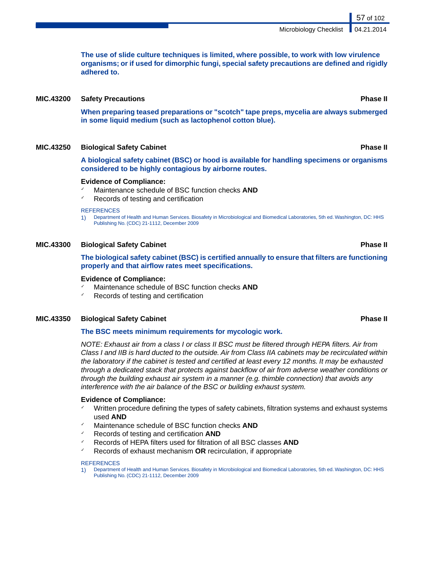**The use of slide culture techniques is limited, where possible, to work with low virulence organisms; or if used for dimorphic fungi, special safety precautions are defined and rigidly adhered to.**

### **MIC.43200 Safety Precautions Phase II**

**When preparing teased preparations or "scotch" tape preps, mycelia are always submerged in some liquid medium (such as lactophenol cotton blue).**

### **MIC.43250 Biological Safety Cabinet Phase II**

**A biological safety cabinet (BSC) or hood is available for handling specimens or organisms considered to be highly contagious by airborne routes.**

### **Evidence of Compliance:**

- Maintenance schedule of BSC function checks **AND**
- $\sqrt{ }$  Records of testing and certification

**REFERENCES** 

1) Department of Health and Human Services. Biosafety in Microbiological and Biomedical Laboratories, 5th ed. Washington, DC: HHS Publishing No. (CDC) 21-1112, December 2009

### **MIC.43300 Biological Safety Cabinet Phase II**

**The biological safety cabinet (BSC) is certified annually to ensure that filters are functioning properly and that airflow rates meet specifications.**

### **Evidence of Compliance:**

- Maintenance schedule of BSC function checks **AND**
- $\sqrt{ }$  Records of testing and certification

### **MIC.43350 Biological Safety Cabinet Phase II**

### **The BSC meets minimum requirements for mycologic work.**

*NOTE: Exhaust air from a class I or class II BSC must be filtered through HEPA filters. Air from Class I and IIB is hard ducted to the outside. Air from Class IIA cabinets may be recirculated within the laboratory if the cabinet is tested and certified at least every 12 months. It may be exhausted through a dedicated stack that protects against backflow of air from adverse weather conditions or through the building exhaust air system in a manner (e.g. thimble connection) that avoids any interference with the air balance of the BSC or building exhaust system.*

### **Evidence of Compliance:**

- ✓ Written procedure defining the types of safety cabinets, filtration systems and exhaust systems used **AND**
- Maintenance schedule of BSC function checks **AND**
- ✓ Records of testing and certification **AND**
- ✓ Records of HEPA filters used for filtration of all BSC classes **AND**
- ✓ Records of exhaust mechanism **OR** recirculation, if appropriate

### **REFERENCES**

1) Department of Health and Human Services. Biosafety in Microbiological and Biomedical Laboratories, 5th ed. Washington, DC: HHS Publishing No. (CDC) 21-1112, December 2009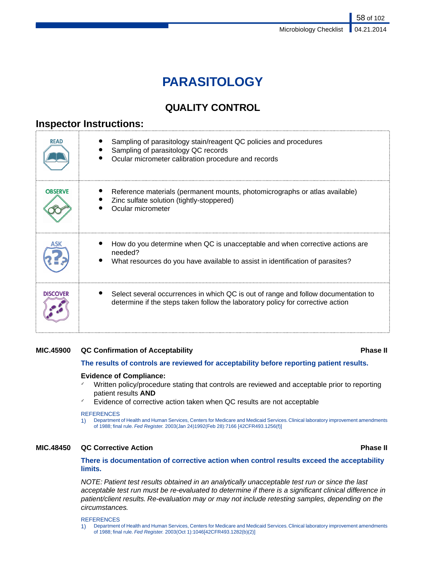# **PARASITOLOGY**

# **QUALITY CONTROL**

# **Inspector Instructions:**

| <b>READ</b>     | Sampling of parasitology stain/reagent QC policies and procedures<br>Sampling of parasitology QC records<br>Ocular micrometer calibration procedure and records           |
|-----------------|---------------------------------------------------------------------------------------------------------------------------------------------------------------------------|
| <b>OBSERVE</b>  | Reference materials (permanent mounts, photomicrographs or atlas available)<br>Zinc sulfate solution (tightly-stoppered)<br>Ocular micrometer                             |
|                 | How do you determine when QC is unacceptable and when corrective actions are<br>needed?<br>What resources do you have available to assist in identification of parasites? |
| <b>DISCOVER</b> | Select several occurrences in which QC is out of range and follow documentation to<br>determine if the steps taken follow the laboratory policy for corrective action     |

### **MIC.45900 QC Confirmation of Acceptability Phase II**

**The results of controls are reviewed for acceptability before reporting patient results.**

### **Evidence of Compliance:**

- Written policy/procedure stating that controls are reviewed and acceptable prior to reporting patient results **AND**
- Evidence of corrective action taken when QC results are not acceptable

### REFERENCES

1) Department of Health and Human Services, Centers for Medicare and Medicaid Services. Clinical laboratory improvement amendments of 1988; final rule. *Fed Register.* 2003(Jan 24)1992(Feb 28):7166 [42CFR493.1256(f)]

### **MIC.48450 QC Corrective Action Phase II**

### **There is documentation of corrective action when control results exceed the acceptability limits.**

*NOTE: Patient test results obtained in an analytically unacceptable test run or since the last acceptable test run must be re-evaluated to determine if there is a significant clinical difference in patient/client results. Re-evaluation may or may not include retesting samples, depending on the circumstances.*

**REFERENCES** 

1) Department of Health and Human Services, Centers for Medicare and Medicaid Services. Clinical laboratory improvement amendments of 1988; final rule. *Fed Register.* 2003(Oct 1):1046[42CFR493.1282(b)(2)]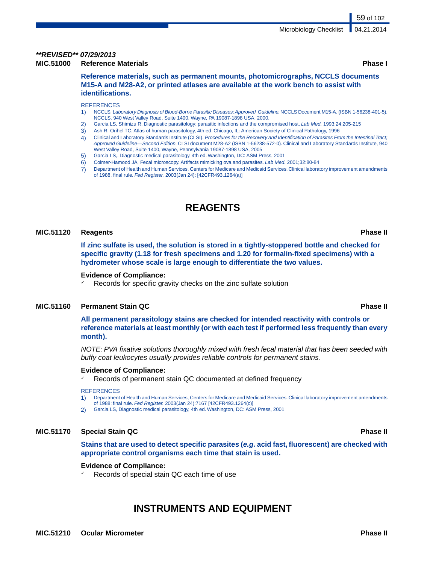# *\*\*REVISED\*\* 07/29/2013*

**MIC.51000 Reference Materials Phase I**

**Reference materials, such as permanent mounts, photomicrographs, NCCLS documents M15-A and M28-A2, or printed atlases are available at the work bench to assist with identifications.**

**REFERENCES** 

- 1) NCCLS. *Laboratory Diagnosis of Blood-Borne Parasitic Diseases; Approved Guideline.*NCCLS Document M15-A*.* (ISBN 1-56238-401-5). NCCLS, 940 West Valley Road, Suite 1400, Wayne, PA 19087-1898 USA, 2000.
- 2) Garcia LS, Shimizu R. Diagnostic parasitology: parasitic infections and the compromised host. *Lab Med.* 1993;24:205-215
- 
- 3) Ash R, Orihel TC. Atlas of human parasitology, 4th ed. Chicago, IL: American Society of Clinical Pathology, 1996<br>4) Clinical and Laboratory Standards Institute (CLSI). Procedures for the Recovery and Identification of P 4) Clinical and Laboratory Standards Institute (CLSI). *Procedures for the Recovery and Identification of Parasites From the Intestinal Tract; Approved Guideline—Second Edition.* CLSI document M28-A2 (ISBN 1-56238-572-0). Clinical and Laboratory Standards Institute, 940 West Valley Road, Suite 1400, Wayne, Pennsylvania 19087-1898 USA, 2005
- 5) Garcia LS,. Diagnostic medical parasitology. 4th ed. Washington, DC: ASM Press, 2001
- 6) Colmer-Hamood JA, Fecal microscopy. Artifacts mimicking ova and parasites. *Lab Med.* 2001;32:80-84
- 7) Department of Health and Human Services, Centers for Medicare and Medicaid Services. Clinical laboratory improvement amendments of 1988, final rule. *Fed Register.* 2003(Jan 24): [42CFR493.1264(a)]

# **REAGENTS**

### **MIC.51120 Reagents Phase II**

**If zinc sulfate is used, the solution is stored in a tightly-stoppered bottle and checked for specific gravity (1.18 for fresh specimens and 1.20 for formalin-fixed specimens) with a hydrometer whose scale is large enough to differentiate the two values.**

### **Evidence of Compliance:**

Records for specific gravity checks on the zinc sulfate solution

### **MIC.51160 Permanent Stain QC Phase II**

**All permanent parasitology stains are checked for intended reactivity with controls or reference materials at least monthly (or with each test if performed less frequently than every month).**

*NOTE: PVA fixative solutions thoroughly mixed with fresh fecal material that has been seeded with buffy coat leukocytes usually provides reliable controls for permanent stains.*

### **Evidence of Compliance:**

Records of permanent stain QC documented at defined frequency

### **REFERENCES**

1) Department of Health and Human Services, Centers for Medicare and Medicaid Services. Clinical laboratory improvement amendments of 1988; final rule. *Fed Register.* 2003(Jan 24):7167 [42CFR493.1264(c)]

2) Garcia LS, Diagnostic medical parasitology, 4th ed. Washington, DC: ASM Press, 2001

### **MIC.51170 Special Stain QC Phase II**

**Stains that are used to detect specific parasites (***e.g.* **acid fast, fluorescent) are checked with appropriate control organisms each time that stain is used.**

### **Evidence of Compliance:**

Records of special stain QC each time of use

# **INSTRUMENTS AND EQUIPMENT**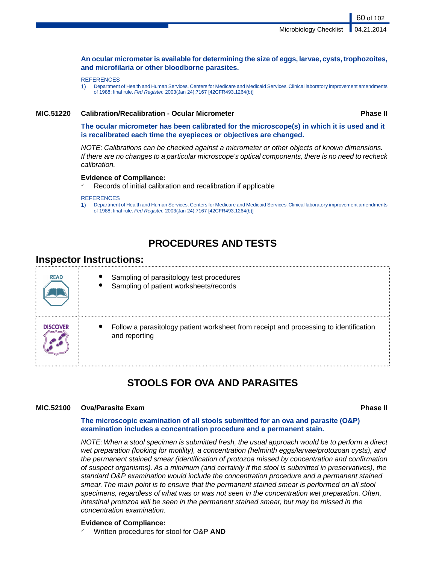### **An ocular micrometer is available for determining the size of eggs, larvae, cysts, trophozoites, and microfilaria or other bloodborne parasites.**

### **REFERENCES**

1) Department of Health and Human Services, Centers for Medicare and Medicaid Services. Clinical laboratory improvement amendments of 1988; final rule. *Fed Register.* 2003(Jan 24):7167 [42CFR493.1264(b)]

### **MIC.51220 Calibration/Recalibration - Ocular Micrometer Phase II**

60 of 102

**The ocular micrometer has been calibrated for the microscope(s) in which it is used and it is recalibrated each time the eyepieces or objectives are changed.**

*NOTE: Calibrations can be checked against a micrometer or other objects of known dimensions. If there are no changes to a particular microscope's optical components, there is no need to recheck calibration.*

### **Evidence of Compliance:**

Records of initial calibration and recalibration if applicable

### **REFERENCES**

1) Department of Health and Human Services, Centers for Medicare and Medicaid Services. Clinical laboratory improvement amendments of 1988; final rule. *Fed Register.* 2003(Jan 24):7167 [42CFR493.1264(b)]

# **PROCEDURES AND TESTS**

### **Inspector Instructions:**

| <b>READ</b>     | Sampling of parasitology test procedures<br>Sampling of patient worksheets/records                     |
|-----------------|--------------------------------------------------------------------------------------------------------|
| <b>DISCOVER</b> | Follow a parasitology patient worksheet from receipt and processing to identification<br>and reporting |

## **STOOLS FOR OVA AND PARASITES**

### **MIC.52100 Ova/Parasite Exam Phase II**

### **The microscopic examination of all stools submitted for an ova and parasite (O&P) examination includes a concentration procedure and a permanent stain.**

*NOTE: When a stool specimen is submitted fresh, the usual approach would be to perform a direct wet preparation (looking for motility), a concentration (helminth eggs/larvae/protozoan cysts), and the permanent stained smear (identification of protozoa missed by concentration and confirmation of suspect organisms). As a minimum (and certainly if the stool is submitted in preservatives), the standard O&P examination would include the concentration procedure and a permanent stained smear. The main point is to ensure that the permanent stained smear is performed on all stool specimens, regardless of what was or was not seen in the concentration wet preparation. Often, intestinal protozoa will be seen in the permanent stained smear, but may be missed in the concentration examination.*

### **Evidence of Compliance:**

Written procedures for stool for O&P **AND**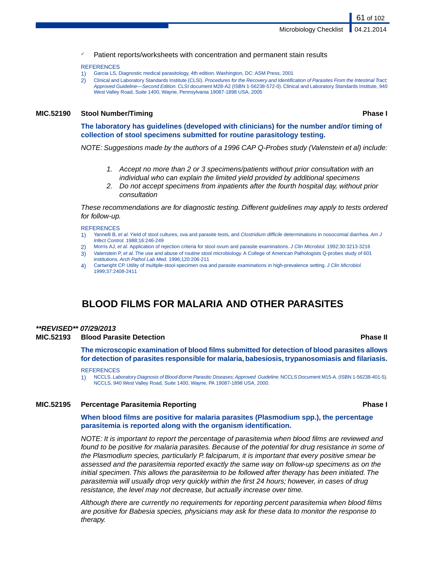Patient reports/worksheets with concentration and permanent stain results

### **REFERENCES**

- 1) Garcia LS, Diagnostic medical parasitology, 4th edition. Washington, DC: ASM Press, 2001
- 2) Clinical and Laboratory Standards Institute (CLSI). *Procedures for the Recovery and Identification of Parasites From the Intestinal Tract; Approved Guideline—Second Edition.* CLSI document M28-A2 (ISBN 1-56238-572-0). Clinical and Laboratory Standards Institute, 940 West Valley Road, Suite 1400, Wayne, Pennsylvania 19087-1898 USA, 2005

### **MIC.52190 Stool Number/Timing Phase I**

61 of 102

**The laboratory has guidelines (developed with clinicians) for the number and/or timing of collection of stool specimens submitted for routine parasitology testing.**

*NOTE: Suggestions made by the authors of a 1996 CAP Q-Probes study (Valenstein et al) include:*

- *1. Accept no more than 2 or 3 specimens/patients without prior consultation with an individual who can explain the limited yield provided by additional specimens*
- *2. Do not accept specimens from inpatients after the fourth hospital day, without prior consultation*

*These recommendations are for diagnostic testing. Different guidelines may apply to tests ordered for follow-up.*

### **REFERENCES**

- 1) Yannelli B, *et al.* Yield of stool cultures, ova and parasite tests, and *Clostridium difficile* determinations in nosocomial diarrhea. *Am J Infect Control.* 1988;16:246-249
- 2) Morris AJ, *et al.* Application of rejection criteria for stool ovum and parasite examinations. *J Clin Microbiol.* 1992;30:3213-3216
- 3) Valenstein P, *et al.* The use and abuse of routine stool microbiology. A College of American Pathologists Q-probes study of 601 institutions. *Arch Pathol Lab Med.* 1996;120:206-211
- 4) Cartwright CP. Utility of multiple-stool-specimen ova and parasite examinations in high-prevalence setting. *J Clin Microbiol.* 1999;37:2408-2411

# **BLOOD FILMS FOR MALARIA AND OTHER PARASITES**

### *\*\*REVISED\*\* 07/29/2013*

### **MIC.52193 Blood Parasite Detection Phase II**

**The microscopic examination of blood films submitted for detection of blood parasites allows for detection of parasites responsible for malaria, babesiosis, trypanosomiasis and filariasis.**

### REFERENCES

1) NCCLS. *Laboratory Diagnosis of Blood-Borne Parasitic Diseases; Approved Guideline.*NCCLS Document M15-A*.* (ISBN 1-56238-401-5). NCCLS, 940 West Valley Road, Suite 1400, Wayne, PA 19087-1898 USA, 2000.

### **MIC.52195 Percentage Parasitemia Reporting Phase I**

### **When blood films are positive for malaria parasites (Plasmodium spp.), the percentage parasitemia is reported along with the organism identification.**

*NOTE: It is important to report the percentage of parasitemia when blood films are reviewed and found to be positive for malaria parasites. Because of the potential for drug resistance in some of the Plasmodium species, particularly P. falciparum, it is important that every positive smear be assessed and the parasitemia reported exactly the same way on follow-up specimens as on the initial specimen. This allows the parasitemia to be followed after therapy has been initiated. The parasitemia will usually drop very quickly within the first 24 hours; however, in cases of drug resistance, the level may not decrease, but actually increase over time.*

*Although there are currently no requirements for reporting percent parasitemia when blood films are positive for Babesia species, physicians may ask for these data to monitor the response to therapy.*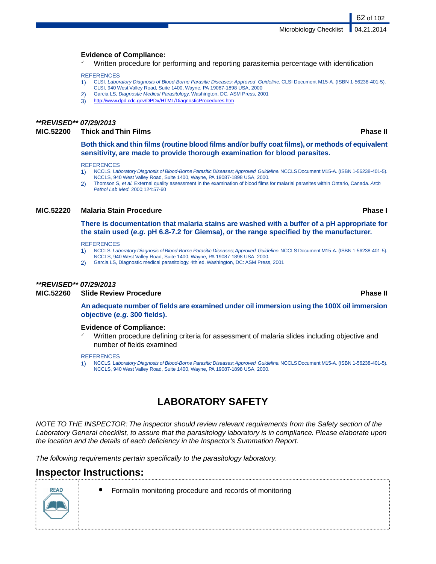### **Evidence of Compliance:**

Written procedure for performing and reporting parasitemia percentage with identification

### **REFERENCES**

- 1) CLSI. *Laboratory Diagnosis of Blood-Borne Parasitic Diseases; Approved Guideline.* CLSI Document M15-A*.* (ISBN 1-56238-401-5).
- CLSI, 940 West Valley Road, Suite 1400, Wayne, PA 19087-1898 USA, 2000 2) Garcia LS, *Diagnostic Medical Parasitology*. Washington, DC, ASM Press, 2001
- 3) <http://www.dpd.cdc.gov/DPDx/HTML/DiagnosticProcedures.htm>

### *\*\*REVISED\*\* 07/29/2013*

### **MIC.52200 Thick and Thin Films Phase II**

**Both thick and thin films (routine blood films and/or buffy coat films), or methods of equivalent sensitivity, are made to provide thorough examination for blood parasites.**

### **REFERENCES**

- 1) NCCLS. *Laboratory Diagnosis of Blood-Borne Parasitic Diseases; Approved Guideline.*NCCLS Document M15-A*.* (ISBN 1-56238-401-5). NCCLS, 940 West Valley Road, Suite 1400, Wayne, PA 19087-1898 USA, 2000.
- 2) Thomson S, *et al.* External quality assessment in the examination of blood films for malarial parasites within Ontario, Canada. *Arch Pathol Lab Med.* 2000;124:57-60

### **MIC.52220 Malaria Stain Procedure Phase I**

**There is documentation that malaria stains are washed with a buffer of a pH appropriate for the stain used (***e.g.* **pH 6.8-7.2 for Giemsa), or the range specified by the manufacturer.**

### **REFERENCES**

- 1) NCCLS. *Laboratory Diagnosis of Blood-Borne Parasitic Diseases; Approved Guideline.*NCCLS Document M15-A*.* (ISBN 1-56238-401-5). NCCLS, 940 West Valley Road, Suite 1400, Wayne, PA 19087-1898 USA, 2000.
- 2) Garcia LS, Diagnostic medical parasitology. 4th ed. Washington, DC: ASM Press, 2001

### *\*\*REVISED\*\* 07/29/2013*

### **MIC.52260 Slide Review Procedure Phase II**

**An adequate number of fields are examined under oil immersion using the 100X oil immersion objective (***e.g.* **300 fields).**

### **Evidence of Compliance:**

Written procedure defining criteria for assessment of malaria slides including objective and number of fields examined

### REFERENCES

1) NCCLS. *Laboratory Diagnosis of Blood-Borne Parasitic Diseases; Approved Guideline.*NCCLS Document M15-A*.* (ISBN 1-56238-401-5). NCCLS, 940 West Valley Road, Suite 1400, Wayne, PA 19087-1898 USA, 2000.

# **LABORATORY SAFETY**

*NOTE TO THE INSPECTOR: The inspector should review relevant requirements from the Safety section of the Laboratory General checklist, to assure that the parasitology laboratory is in compliance. Please elaborate upon the location and the details of each deficiency in the Inspector's Summation Report.*

*The following requirements pertain specifically to the parasitology laboratory.*

## **Inspector Instructions:**

- 
- Formalin monitoring procedure and records of monitoring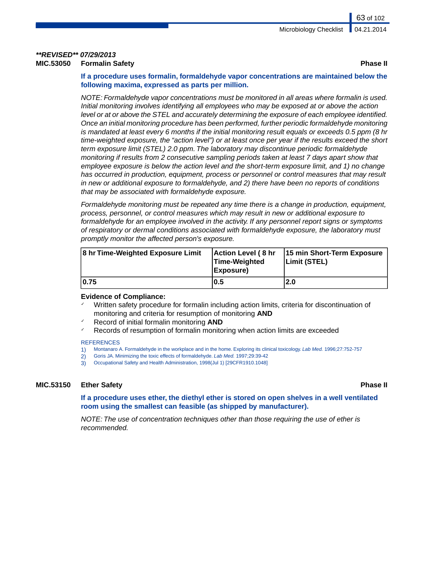### *\*\*REVISED\*\* 07/29/2013* **Formalin Safety** *MIC.53050* **<b>Phase III**

### **If a procedure uses formalin, formaldehyde vapor concentrations are maintained below the following maxima, expressed as parts per million.**

*NOTE: Formaldehyde vapor concentrations must be monitored in all areas where formalin is used. Initial monitoring involves identifying all employees who may be exposed at or above the action level or at or above the STEL and accurately determining the exposure of each employee identified. Once an initial monitoring procedure has been performed, further periodic formaldehyde monitoring is mandated at least every 6 months if the initial monitoring result equals or exceeds 0.5 ppm (8 hr time-weighted exposure, the "action level") or at least once per year if the results exceed the short term exposure limit (STEL) 2.0 ppm. The laboratory may discontinue periodic formaldehyde monitoring if results from 2 consecutive sampling periods taken at least 7 days apart show that employee exposure is below the action level and the short-term exposure limit, and 1) no change has occurred in production, equipment, process or personnel or control measures that may result in new or additional exposure to formaldehyde, and 2) there have been no reports of conditions that may be associated with formaldehyde exposure.*

*Formaldehyde monitoring must be repeated any time there is a change in production, equipment, process, personnel, or control measures which may result in new or additional exposure to formaldehyde for an employee involved in the activity. If any personnel report signs or symptoms of respiratory or dermal conditions associated with formaldehyde exposure, the laboratory must promptly monitor the affected person's exposure.*

| 8 hr Time-Weighted Exposure Limit | Action Level (8 hr<br>Time-Weighted<br>(Exposure | 15 min Short-Term Exposure<br>Limit (STEL) |
|-----------------------------------|--------------------------------------------------|--------------------------------------------|
| 10.75                             | 10.5                                             | 2.0                                        |

### **Evidence of Compliance:**

- Written safety procedure for formalin including action limits, criteria for discontinuation of monitoring and criteria for resumption of monitoring **AND**
- ✓ Record of initial formalin monitoring **AND**
- Records of resumption of formalin monitoring when action limits are exceeded

### **REFERENCES**

- 1) Montanaro A. Formaldehyde in the workplace and in the home. Exploring its clinical toxicology. *Lab Med.* 1996;27:752-757
- 2) Goris JA. Minimizing the toxic effects of formaldehyde. *Lab Med.* 1997;29:39-42
- 3) Occupational Safety and Health Administration, 1998(Jul 1) [29CFR1910.1048]

### **MIC.53150 Ether Safety Phase II**

**If a procedure uses ether, the diethyl ether is stored on open shelves in a well ventilated room using the smallest can feasible (as shipped by manufacturer).**

*NOTE: The use of concentration techniques other than those requiring the use of ether is recommended.*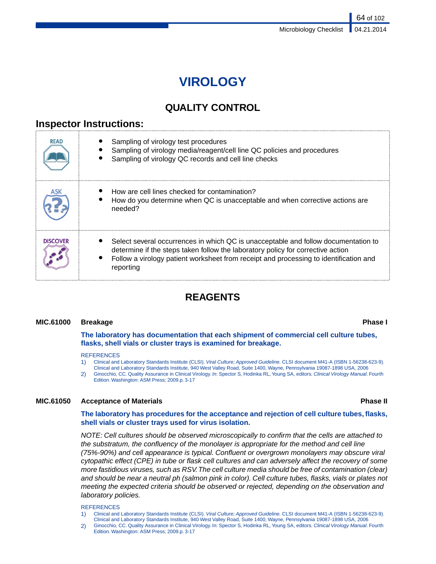# **VIROLOGY**

# **QUALITY CONTROL**

## **Inspector Instructions:**

| <b>READ</b> | Sampling of virology test procedures<br>Sampling of virology media/reagent/cell line QC policies and procedures<br>Sampling of virology QC records and cell line checks                                                                                                     |
|-------------|-----------------------------------------------------------------------------------------------------------------------------------------------------------------------------------------------------------------------------------------------------------------------------|
|             | How are cell lines checked for contamination?<br>How do you determine when QC is unacceptable and when corrective actions are<br>needed?                                                                                                                                    |
| DISCOVER    | Select several occurrences in which QC is unacceptable and follow documentation to<br>determine if the steps taken follow the laboratory policy for corrective action<br>Follow a virology patient worksheet from receipt and processing to identification and<br>reporting |

# **REAGENTS**

### **MIC.61000 Breakage Phase I**

**The laboratory has documentation that each shipment of commercial cell culture tubes, flasks, shell vials or cluster trays is examined for breakage.**

### **REFERENCES**

- 1) Clinical and Laboratory Standards Institute (CLSI). *Viral Culture; Approved Guideline.* CLSI document M41-A (ISBN 1-56238-623-9).
- Clinical and Laboratory Standards Institute, 940 West Valley Road, Suite 1400, Wayne, Pennsylvania 19087-1898 USA, 2006
- 2) Ginocchio, CC. Quality Assurance in Clinical Virology. *In*: Spector S, Hodinka RL, Young SA, editors. *Clinical Virology Manual*. Fourth Edition. Washington: ASM Press; 2009.p. 3-17

### **MIC.61050 Acceptance of Materials Phase II**

### **The laboratory has procedures for the acceptance and rejection of cell culture tubes, flasks, shell vials or cluster trays used for virus isolation.**

*NOTE: Cell cultures should be observed microscopically to confirm that the cells are attached to the substratum, the confluency of the monolayer is appropriate for the method and cell line (75%-90%) and cell appearance is typical. Confluent or overgrown monolayers may obscure viral cytopathic effect (CPE) in tube or flask cell cultures and can adversely affect the recovery of some more fastidious viruses, such as RSV.The cell culture media should be free of contamination (clear) and should be near a neutral ph (salmon pink in color). Cell culture tubes, flasks, vials or plates not meeting the expected criteria should be observed or rejected, depending on the observation and laboratory policies.*

### REFERENCES

- 1) Clinical and Laboratory Standards Institute (CLSI). *Viral Culture; Approved Guideline.* CLSI document M41-A (ISBN 1-56238-623-9). Clinical and Laboratory Standards Institute, 940 West Valley Road, Suite 1400, Wayne, Pennsylvania 19087-1898 USA, 2006
- 2) Ginocchio, CC. Quality Assurance in Clinical Virology. In: Spector S, Hodinka RL, Young SA, editors. *Clinical Virology Manual*. Fourth Edition. Washington: ASM Press; 2009.p. 3-17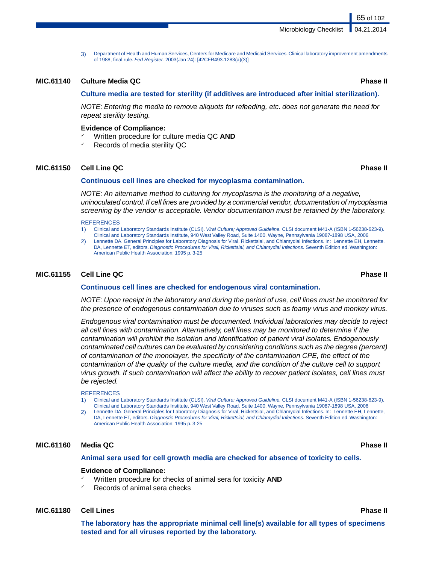3) Department of Health and Human Services, Centers for Medicare and Medicaid Services. Clinical laboratory improvement amendments of 1988, final rule. *Fed Register.* 2003(Jan 24): [42CFR493.1283(a)(3)]

### **MIC.61140 Culture Media QC Phase II**

### **Culture media are tested for sterility (if additives are introduced after initial sterilization).**

*NOTE: Entering the media to remove aliquots for refeeding, etc. does not generate the need for repeat sterility testing.*

### **Evidence of Compliance:**

- ✓ Written procedure for culture media QC **AND**
- Records of media sterility QC

### **MIC.61150 Cell Line QC Phase II**

### **Continuous cell lines are checked for mycoplasma contamination.**

*NOTE: An alternative method to culturing for mycoplasma is the monitoring of a negative, uninoculated control. If cell lines are provided by a commercial vendor, documentation of mycoplasma screening by the vendor is acceptable. Vendor documentation must be retained by the laboratory.*

### **REFERENCES**

1) Clinical and Laboratory Standards Institute (CLSI). *Viral Culture; Approved Guideline.* CLSI document M41-A (ISBN 1-56238-623-9). Clinical and Laboratory Standards Institute, 940 West Valley Road, Suite 1400, Wayne, Pennsylvania 19087-1898 USA, 2006

2) Lennette DA. General Principles for Laboratory Diagnosis for Viral, Rickettsial, and Chlamydial Infections. In: Lennette EH, Lennette, DA, Lennette ET, editors. *Diagnostic Procedures for Viral, Rickettsial, and Chlamydial Infections.* Seventh Edition ed. Washington: American Public Health Association; 1995 p. 3-25

### **MIC.61155 Cell Line QC Phase II**

### **Continuous cell lines are checked for endogenous viral contamination.**

*NOTE: Upon receipt in the laboratory and during the period of use, cell lines must be monitored for the presence of endogenous contamination due to viruses such as foamy virus and monkey virus.*

*Endogenous viral contamination must be documented. Individual laboratories may decide to reject all cell lines with contamination. Alternatively, cell lines may be monitored to determine if the contamination will prohibit the isolation and identification of patient viral isolates. Endogenously contaminated cell cultures can be evaluated by considering conditions such as the degree (percent) of contamination of the monolayer, the specificity of the contamination CPE, the effect of the contamination of the quality of the culture media, and the condition of the culture cell to support virus growth. If such contamination will affect the ability to recover patient isolates, cell lines must be rejected.*

### **REFERENCES**

- 1) Clinical and Laboratory Standards Institute (CLSI). *Viral Culture; Approved Guideline.* CLSI document M41-A (ISBN 1-56238-623-9). Clinical and Laboratory Standards Institute, 940 West Valley Road, Suite 1400, Wayne, Pennsylvania 19087-1898 USA, 2006
- Lennette DA. General Principles for Laboratory Diagnosis for Viral, Rickettsial, and Chlamydial Infections. In: Lennette EH, Lennette, DA, Lennette ET, editors. *Diagnostic Procedures for Viral, Rickettsial, and Chlamydial Infections.* Seventh Edition ed. Washington: American Public Health Association; 1995 p. 3-25

### **MIC.61160 Media QC Phase II**

### **Animal sera used for cell growth media are checked for absence of toxicity to cells.**

### **Evidence of Compliance:**

- Written procedure for checks of animal sera for toxicity **AND**
- Records of animal sera checks

### **MIC.61180 Cell Lines Phase II**

**The laboratory has the appropriate minimal cell line(s) available for all types of specimens tested and for all viruses reported by the laboratory.**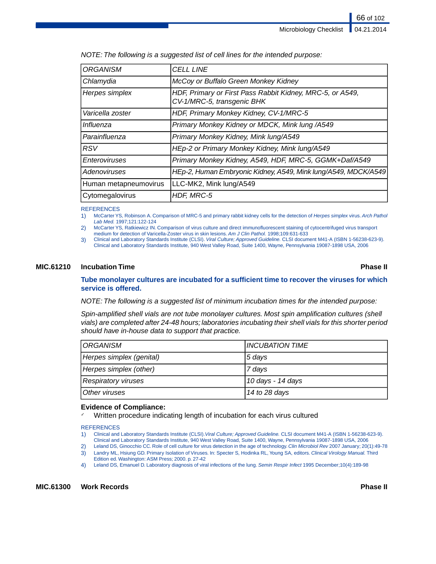| <b>ORGANISM</b>       | <b>CELL LINE</b>                                                                        |
|-----------------------|-----------------------------------------------------------------------------------------|
| Chlamydia             | McCoy or Buffalo Green Monkey Kidney                                                    |
| Herpes simplex        | HDF, Primary or First Pass Rabbit Kidney, MRC-5, or A549,<br>CV-1/MRC-5, transgenic BHK |
| Varicella zoster      | HDF, Primary Monkey Kidney, CV-1/MRC-5                                                  |
| <i>Influenza</i>      | Primary Monkey Kidney or MDCK, Mink lung /A549                                          |
| Parainfluenza         | Primary Monkey Kidney, Mink lung/A549                                                   |
| RSV                   | HEp-2 or Primary Monkey Kidney, Mink lung/A549                                          |
| Enteroviruses         | Primary Monkey Kidney, A549, HDF, MRC-5, GGMK+Daf/A549                                  |
| Adenoviruses          | HEp-2, Human Embryonic Kidney, A549, Mink lung/A549, MDCK/A549                          |
| Human metapneumovirus | LLC-MK2, Mink lung/A549                                                                 |
| Cytomegalovirus       | HDF, MRC-5                                                                              |

*NOTE: The following is a suggested list of cell lines for the intended purpose:*

**REFERENCES** 

1) McCarter YS, Robinson A. Comparison of MRC-5 and primary rabbit kidney cells for the detection of *Herpes simplex* virus. *Arch Pathol Lab Med.* 1997;121:122-124

2) McCarter YS, Ratkiewicz IN. Comparison of virus culture and direct immunofluorescent staining of cytocentrifuged virus transport medium for detection of Varicella-Zoster virus in skin lesions. *Am J Clin Pathol.* 1998;109:631-633

3) Clinical and Laboratory Standards Institute (CLSI). *Viral Culture; Approved Guideline.* CLSI document M41-A (ISBN 1-56238-623-9). Clinical and Laboratory Standards Institute, 940 West Valley Road, Suite 1400, Wayne, Pennsylvania 19087-1898 USA, 2006

### **MIC.61210 Incubation Time Phase II**

### **Tube monolayer cultures are incubated for a sufficient time to recover the viruses for which service is offered.**

*NOTE: The following is a suggested list of minimum incubation times for the intended purpose:*

*Spin-amplified shell vials are not tube monolayer cultures. Most spin amplification cultures (shell vials) are completed after 24-48 hours; laboratories incubating their shell vials for this shorter period should have in-house data to support that practice.*

| ' ORGANISM                 | <b>INCUBATION TIME</b> |
|----------------------------|------------------------|
| Herpes simplex (genital)   | 15 days                |
| Herpes simplex (other)     | 7 days                 |
| <b>Respiratory viruses</b> | 10 days - 14 days      |
| Other viruses              | 14 to 28 days          |

### **Evidence of Compliance:**

Written procedure indicating length of incubation for each virus cultured

**REFERENCES** 

- 1) Clinical and Laboratory Standards Institute (CLSI).*Viral Culture; Approved Guideline.* CLSI document M41-A (ISBN 1-56238-623-9). Clinical and Laboratory Standards Institute, 940 West Valley Road, Suite 1400, Wayne, Pennsylvania 19087-1898 USA, 2006
- 2) Leland DS, Ginocchio CC. Role of cell culture for virus detection in the age of technology. Clin Microbiol Rev 2007 January; 20(1):49-78<br>3) Landry ML, Hsiung GD. Primary Isolation of Viruses. In: Specter S, Hodinka RL,
- 3) Landry ML, Hsiung GD. Primary Isolation of Viruses. In: Specter S, Hodinka RL, Young SA, editors. *Clinical Virology Manual.* Third Edition ed. Washington: ASM Press; 2000. p. 27-42
- 4) Leland DS, Emanuel D. Laboratory diagnosis of viral infections of the lung. *Semin Respir Infect* 1995 December;10(4):189-98

**MIC.61300 Work Records Phase II**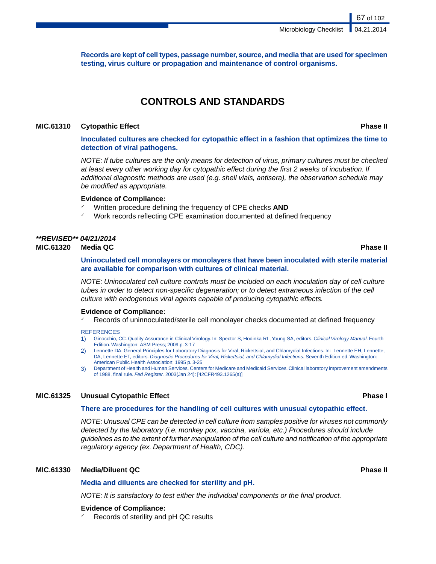**Records are kept of cell types, passage number, source, and media that are used for specimen testing, virus culture or propagation and maintenance of control organisms.**

# **CONTROLS AND STANDARDS**

### **MIC.61310 Cytopathic Effect Phase II**

**Inoculated cultures are checked for cytopathic effect in a fashion that optimizes the time to detection of viral pathogens.**

*NOTE: If tube cultures are the only means for detection of virus, primary cultures must be checked at least every other working day for cytopathic effect during the first 2 weeks of incubation. If additional diagnostic methods are used (e.g. shell vials, antisera), the observation schedule may be modified as appropriate.*

### **Evidence of Compliance:**

- Written procedure defining the frequency of CPE checks **AND**
- Work records reflecting CPE examination documented at defined frequency

# *\*\*REVISED\*\* 04/21/2014*

**MIC.61320 Media QC Phase II**

**Uninoculated cell monolayers or monolayers that have been inoculated with sterile material are available for comparison with cultures of clinical material.**

*NOTE: Uninoculated cell culture controls must be included on each inoculation day of cell culture tubes in order to detect non-specific degeneration; or to detect extraneous infection of the cell culture with endogenous viral agents capable of producing cytopathic effects.*

### **Evidence of Compliance:**

Records of uninnoculated/sterile cell monolayer checks documented at defined frequency

**REFERENCES** 

- 1) Ginocchio, CC. Quality Assurance in Clinical Virology. In: Spector S, Hodinka RL, Young SA, editors. *Clinical Virology Manual*. Fourth Edition. Washington: ASM Press; 2009.p. 3-17
- 2) Lennette DA. General Principles for Laboratory Diagnosis for Viral, Rickettsial, and Chlamydial Infections. In: Lennette EH, Lennette, DA, Lennette ET, editors. *Diagnostic Procedures for Viral, Rickettsial, and Chlamydial Infections.* Seventh Edition ed. Washington: American Public Health Association; 1995 p. 3-25
- 3) Department of Health and Human Services, Centers for Medicare and Medicaid Services. Clinical laboratory improvement amendments of 1988, final rule. *Fed Register.* 2003(Jan 24): [42CFR493.1265(a)]

### **MIC.61325 Unusual Cytopathic Effect Phase I**

### **There are procedures for the handling of cell cultures with unusual cytopathic effect.**

*NOTE: Unusual CPE can be detected in cell culture from samples positive for viruses not commonly detected by the laboratory (i.e. monkey pox, vaccina, variola, etc.) Procedures should include guidelines as to the extent of further manipulation of the cell culture and notification of the appropriate regulatory agency (ex. Department of Health, CDC).*

### **MIC.61330 Media/Diluent QC Phase II**

### **Media and diluents are checked for sterility and pH.**

*NOTE: It is satisfactory to test either the individual components or the final product.*

### **Evidence of Compliance:**

Records of sterility and pH QC results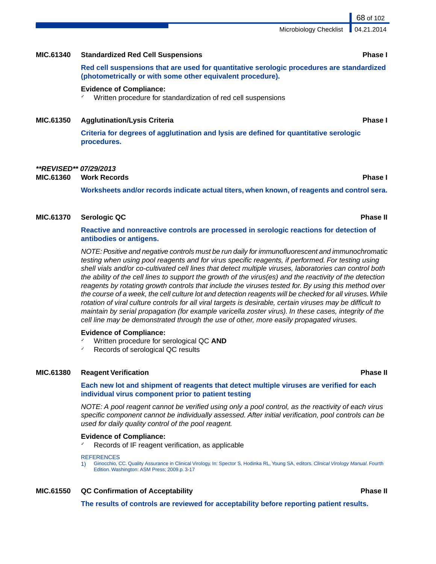### **MIC.61340 Standardized Red Cell Suspensions Phase I**

**Red cell suspensions that are used for quantitative serologic procedures are standardized (photometrically or with some other equivalent procedure).**

### **Evidence of Compliance:**

✓ Written procedure for standardization of red cell suspensions

### **MIC.61350 Agglutination/Lysis Criteria Phase I**

**Criteria for degrees of agglutination and lysis are defined for quantitative serologic procedures.**

### *\*\*REVISED\*\* 07/29/2013*

**MIC.61360 Work Records Phase I**

**Worksheets and/or records indicate actual titers, when known, of reagents and control sera.**

### **MIC.61370 Serologic QC Phase II**

### **Reactive and nonreactive controls are processed in serologic reactions for detection of antibodies or antigens.**

*NOTE: Positive and negative controls must be run daily for immunofluorescent and immunochromatic testing when using pool reagents and for virus specific reagents, if performed. For testing using shell vials and/or co-cultivated cell lines that detect multiple viruses, laboratories can control both the ability of the cell lines to support the growth of the virus(es) and the reactivity of the detection reagents by rotating growth controls that include the viruses tested for. By using this method over the course of a week, the cell culture lot and detection reagents will be checked for all viruses.While rotation of viral culture controls for all viral targets is desirable, certain viruses may be difficult to maintain by serial propagation (for example varicella zoster virus). In these cases, integrity of the cell line may be demonstrated through the use of other, more easily propagated viruses.*

### **Evidence of Compliance:**

- ✓ Written procedure for serological QC **AND**
- Records of serological QC results

### **MIC.61380 Reagent Verification Phase II**

### **Each new lot and shipment of reagents that detect multiple viruses are verified for each individual virus component prior to patient testing**

*NOTE: A pool reagent cannot be verified using only a pool control, as the reactivity of each virus specific component cannot be individually assessed. After initial verification, pool controls can be used for daily quality control of the pool reagent.*

### **Evidence of Compliance:**

Records of IF reagent verification, as applicable

**REFERENCES** 

1) Ginocchio, CC. Quality Assurance in Clinical Virology. In: Spector S, Hodinka RL, Young SA, editors. *Clinical Virology Manual*. Fourth Edition. Washington: ASM Press; 2009.p. 3-17

### **MIC.61550 QC Confirmation of Acceptability Phase II**

**The results of controls are reviewed for acceptability before reporting patient results.**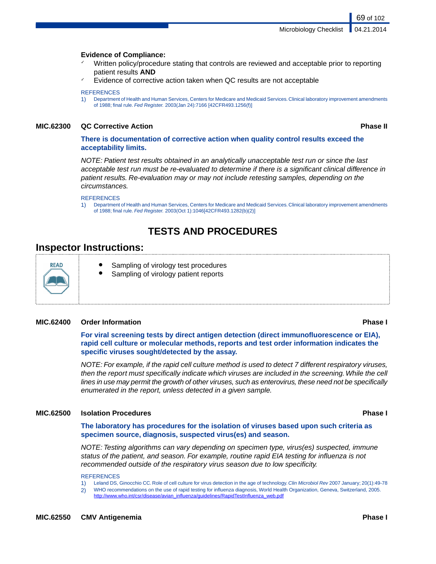### **Evidence of Compliance:**

- Written policy/procedure stating that controls are reviewed and acceptable prior to reporting patient results **AND**
- Evidence of corrective action taken when QC results are not acceptable

### **REFERENCES**

1) Department of Health and Human Services, Centers for Medicare and Medicaid Services. Clinical laboratory improvement amendments of 1988; final rule. *Fed Register.* 2003(Jan 24):7166 [42CFR493.1256(f)]

### **MIC.62300 QC Corrective Action Phase II**

69 of 102

### **There is documentation of corrective action when quality control results exceed the acceptability limits.**

*NOTE: Patient test results obtained in an analytically unacceptable test run or since the last acceptable test run must be re-evaluated to determine if there is a significant clinical difference in patient results. Re-evaluation may or may not include retesting samples, depending on the circumstances.*

### **REFERENCES**

1) Department of Health and Human Services, Centers for Medicare and Medicaid Services. Clinical laboratory improvement amendments of 1988; final rule. *Fed Register.* 2003(Oct 1):1046[42CFR493.1282(b)(2)]

# **TESTS AND PROCEDURES**

## **Inspector Instructions:**



- Sampling of virology test procedures
- Sampling of virology patient reports

### **MIC.62400 Order Information Phase I**

**For viral screening tests by direct antigen detection (direct immunofluorescence or EIA), rapid cell culture or molecular methods, reports and test order information indicates the specific viruses sought/detected by the assay.**

*NOTE: For example, if the rapid cell culture method is used to detect 7 different respiratory viruses, then the report must specifically indicate which viruses are included in the screening.While the cell lines in use may permit the growth of other viruses, such as enterovirus, these need not be specifically enumerated in the report, unless detected in a given sample.*

### **MIC.62500 Isolation Procedures Phase I**

**The laboratory has procedures for the isolation of viruses based upon such criteria as specimen source, diagnosis, suspected virus(es) and season.**

*NOTE: Testing algorithms can vary depending on specimen type, virus(es) suspected, immune status of the patient, and season. For example, routine rapid EIA testing for influenza is not recommended outside of the respiratory virus season due to low specificity.*

**REFERENCES** 

- 1) Leland DS, Ginocchio CC. Role of cell culture for virus detection in the age of technology. *Clin Microbiol Rev* 2007 January; 20(1):49-78
- 2) WHO recommendations on the use of rapid testing for influenza diagnosis, World Health Organization, Geneva, Switzerland, 2005. [http://www.who.int/csr/disease/avian\\_influenza/guidelines/RapidTestInfluenza\\_web.pdf](http://www.who.int/csr/disease/avian_influenza/guidelines/RapidTestInfluenza_web.pdf)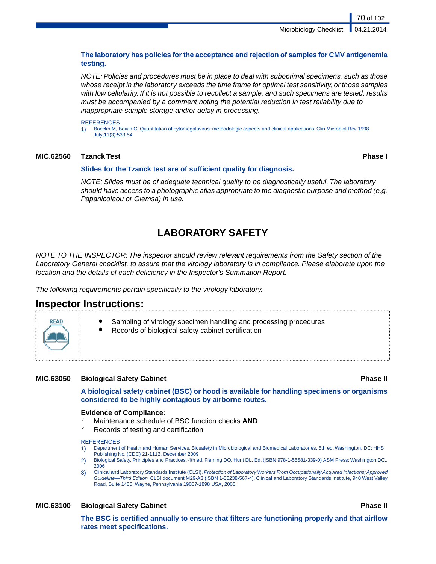70 of 102

### **The laboratory has policies for the acceptance and rejection of samples for CMV antigenemia testing.**

*NOTE: Policies and procedures must be in place to deal with suboptimal specimens, such as those whose receipt in the laboratory exceeds the time frame for optimal test sensitivity, or those samples with low cellularity. If it is not possible to recollect a sample, and such specimens are tested, results must be accompanied by a comment noting the potential reduction in test reliability due to inappropriate sample storage and/or delay in processing.*

### **REFERENCES**

1) Boeckh M, Boivin G. Quantitation of cytomegalovirus: methodologic aspects and clinical applications. Clin Microbiol Rev 1998 July;11(3):533-54

### **MIC.62560 Tzanck Test Phase I**

### **Slides for the Tzanck test are of sufficient quality for diagnosis.**

*NOTE: Slides must be of adequate technical quality to be diagnostically useful. The laboratory should have access to a photographic atlas appropriate to the diagnostic purpose and method (e.g. Papanicolaou or Giemsa) in use.*

# **LABORATORY SAFETY**

*NOTE TO THE INSPECTOR: The inspector should review relevant requirements from the Safety section of the Laboratory General checklist, to assure that the virology laboratory is in compliance. Please elaborate upon the location and the details of each deficiency in the Inspector's Summation Report.*

*The following requirements pertain specifically to the virology laboratory.*

## **Inspector Instructions:**

- Sampling of virology specimen handling and processing procedures
- Records of biological safety cabinet certification

### **MIC.63050 Biological Safety Cabinet Phase II**

**A biological safety cabinet (BSC) or hood is available for handling specimens or organisms considered to be highly contagious by airborne routes.**

### **Evidence of Compliance:**

- Maintenance schedule of BSC function checks **AND**
- Records of testing and certification

### **REFERENCES**

- 1) Department of Health and Human Services. Biosafety in Microbiological and Biomedical Laboratories, 5th ed. Washington, DC: HHS Publishing No. (CDC) 21-1112, December 2009
- 2) Biological Safety, Principles and Practices, 4th ed. Fleming DO, Hunt DL, Ed. (ISBN 978-1-55581-339-0) ASM Press; Washington DC., 2006
- 3) Clinical and Laboratory Standards Institute (CLSI). *Protection of Laboratory Workers From Occupationally Acquired Infections; Approved Guideline—Third Edition.* CLSI document M29-A3 (ISBN 1-56238-567-4). Clinical and Laboratory Standards Institute, 940 West Valley Road, Suite 1400, Wayne, Pennsylvania 19087-1898 USA, 2005.

### **MIC.63100 Biological Safety Cabinet Phase II**

**The BSC is certified annually to ensure that filters are functioning properly and that airflow rates meet specifications.**

**READ**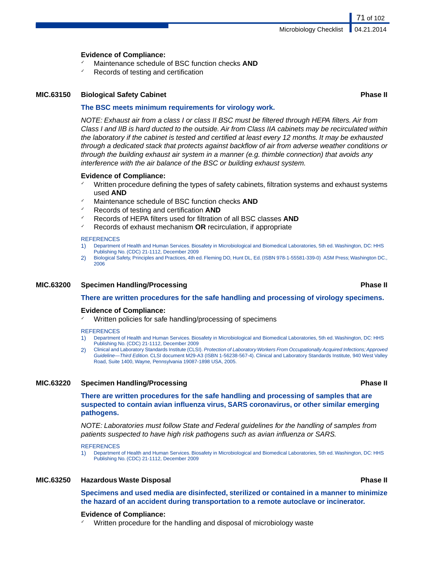### **Evidence of Compliance:**

- Maintenance schedule of BSC function checks **AND**
- Records of testing and certification

### **MIC.63150 Biological Safety Cabinet Phase II**

### **The BSC meets minimum requirements for virology work.**

*NOTE: Exhaust air from a class I or class II BSC must be filtered through HEPA filters. Air from Class I and IIB is hard ducted to the outside. Air from Class IIA cabinets may be recirculated within the laboratory if the cabinet is tested and certified at least every 12 months. It may be exhausted through a dedicated stack that protects against backflow of air from adverse weather conditions or through the building exhaust air system in a manner (e.g. thimble connection) that avoids any interference with the air balance of the BSC or building exhaust system.*

### **Evidence of Compliance:**

- ✓ Written procedure defining the types of safety cabinets, filtration systems and exhaust systems used **AND**
- Maintenance schedule of BSC function checks **AND**
- ✓ Records of testing and certification **AND**
- ✓ Records of HEPA filters used for filtration of all BSC classes **AND**
- ✓ Records of exhaust mechanism **OR** recirculation, if appropriate

### **REFERENCES**

- 1) Department of Health and Human Services. Biosafety in Microbiological and Biomedical Laboratories, 5th ed. Washington, DC: HHS Publishing No. (CDC) 21-1112, December 2009
- 2) Biological Safety, Principles and Practices, 4th ed. Fleming DO, Hunt DL, Ed. (ISBN 978-1-55581-339-0) ASM Press; Washington DC., 2006

### **MIC.63200 Specimen Handling/Processing Phase II**

**There are written procedures for the safe handling and processing of virology specimens.**

### **Evidence of Compliance:**

✓ Written policies for safe handling/processing of specimens

### **REFERENCES**

- 1) Department of Health and Human Services. Biosafety in Microbiological and Biomedical Laboratories, 5th ed. Washington, DC: HHS Publishing No. (CDC) 21-1112, December 2009
- 2) Clinical and Laboratory Standards Institute (CLSI). *Protection of Laboratory Workers From Occupationally Acquired Infections; Approved Guideline—Third Edition.* CLSI document M29-A3 (ISBN 1-56238-567-4). Clinical and Laboratory Standards Institute, 940 West Valley Road, Suite 1400, Wayne, Pennsylvania 19087-1898 USA, 2005.

### **MIC.63220 Specimen Handling/Processing Phase II**

**There are written procedures for the safe handling and processing of samples that are suspected to contain avian influenza virus, SARS coronavirus, or other similar emerging pathogens.**

*NOTE: Laboratories must follow State and Federal guidelines for the handling of samples from patients suspected to have high risk pathogens such as avian influenza or SARS.*

**REFERENCES** 

1) Department of Health and Human Services. Biosafety in Microbiological and Biomedical Laboratories, 5th ed. Washington, DC: HHS Publishing No. (CDC) 21-1112, December 2009

### **MIC.63250 Hazardous Waste Disposal Phase II**

**Specimens and used media are disinfected, sterilized or contained in a manner to minimize the hazard of an accident during transportation to a remote autoclave or incinerator.**

### **Evidence of Compliance:**

Written procedure for the handling and disposal of microbiology waste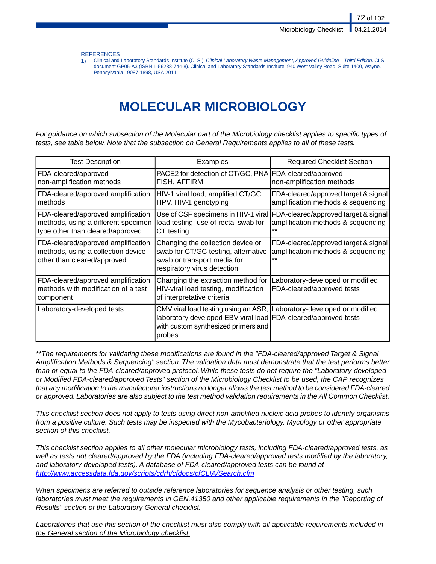**REFERENCES** 

1) Clinical and Laboratory Standards Institute (CLSI). *Clinical Laboratory Waste Management; Approved Guideline—Third Edition*. CLSI document GP05-A3 (ISBN 1-56238-744-8). Clinical and Laboratory Standards Institute, 940 West Valley Road, Suite 1400, Wayne, Pennsylvania 19087-1898, USA 2011.

# **MOLECULAR MICROBIOLOGY**

*For guidance on which subsection of the Molecular part of the Microbiology checklist applies to specific types of tests, see table below. Note that the subsection on General Requirements applies to all of these tests.*

| <b>Test Description</b>                                                                                       | Examples                                                                                                                                                                                 | <b>Required Checklist Section</b>                                                                                       |
|---------------------------------------------------------------------------------------------------------------|------------------------------------------------------------------------------------------------------------------------------------------------------------------------------------------|-------------------------------------------------------------------------------------------------------------------------|
| FDA-cleared/approved<br>non-amplification methods                                                             | PACE2 for detection of CT/GC, PNA FDA-cleared/approved<br>FISH, AFFIRM                                                                                                                   | non-amplification methods                                                                                               |
| FDA-cleared/approved amplification<br>methods                                                                 | HIV-1 viral load, amplified CT/GC,<br>HPV, HIV-1 genotyping                                                                                                                              | FDA-cleared/approved target & signal<br>amplification methods & sequencing                                              |
| FDA-cleared/approved amplification<br>methods, using a different specimen<br>type other than cleared/approved | load testing, use of rectal swab for<br>CT testing                                                                                                                                       | Use of CSF specimens in HIV-1 viral FDA-cleared/approved target & signal<br>amplification methods & sequencing<br>$* *$ |
| FDA-cleared/approved amplification<br>methods, using a collection device<br>other than cleared/approved       | Changing the collection device or<br>swab for CT/GC testing, alternative<br>swab or transport media for<br>respiratory virus detection                                                   | FDA-cleared/approved target & signal<br>amplification methods & sequencing<br>**                                        |
| FDA-cleared/approved amplification<br>methods with modification of a test<br>component                        | Changing the extraction method for<br>HIV-viral load testing, modification<br>of interpretative criteria                                                                                 | Laboratory-developed or modified<br>FDA-cleared/approved tests                                                          |
| Laboratory-developed tests                                                                                    | CMV viral load testing using an ASR, Laboratory-developed or modified<br>laboratory developed EBV viral load FDA-cleared/approved tests<br>with custom synthesized primers and<br>probes |                                                                                                                         |

*\*\*The requirements for validating these modifications are found in the "FDA-cleared/approved Target & Signal Amplification Methods & Sequencing" section. The validation data must demonstrate that the test performs better than or equal to the FDA-cleared/approved protocol. While these tests do not require the "Laboratory-developed or Modified FDA-cleared/approved Tests" section of the Microbiology Checklist to be used, the CAP recognizes that any modification to the manufacturer instructions no longer allows the test method to be considered FDA-cleared or approved. Laboratories are also subject to the test method validation requirements in the All Common Checklist.*

*This checklist section does not apply to tests using direct non-amplified nucleic acid probes to identify organisms from a positive culture. Such tests may be inspected with the Mycobacteriology, Mycology or other appropriate section of this checklist.*

*This checklist section applies to all other molecular microbiology tests, including FDA-cleared/approved tests, as well as tests not cleared/approved by the FDA (including FDA-cleared/approved tests modified by the laboratory, and laboratory-developed tests). A database of FDA-cleared/approved tests can be found at <http://www.accessdata.fda.gov/scripts/cdrh/cfdocs/cfCLIA/Search.cfm>*

*When specimens are referred to outside reference laboratories for sequence analysis or other testing, such laboratories must meet the requirements in GEN.41350 and other applicable requirements in the "Reporting of Results" section of the Laboratory General checklist.*

*Laboratories that use this section of the checklist must also comply with all applicable requirements included in the General section of the Microbiology checklist.*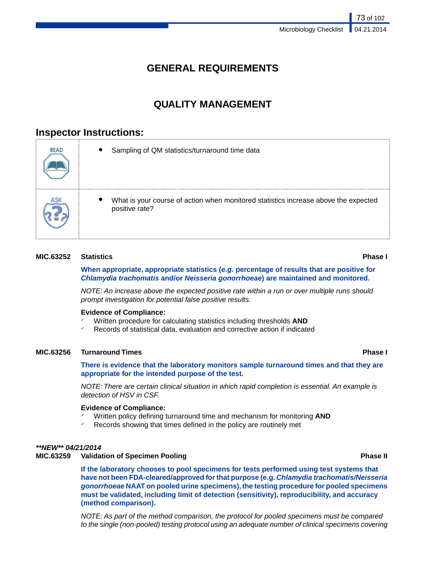# **GENERAL REQUIREMENTS**

# **QUALITY MANAGEMENT**

# **Inspector Instructions:**

| <b>READ</b> | Sampling of QM statistics/turnaround time data                                                        |
|-------------|-------------------------------------------------------------------------------------------------------|
|             | What is your course of action when monitored statistics increase above the expected<br>positive rate? |

### **MIC.63252 Statistics Phase I**

### **When appropriate, appropriate statistics (***e.g.* **percentage of results that are positive for** *Chlamydia trachomatis* **and/or** *Neisseria gonorrhoeae***) are maintained and monitored.**

*NOTE: An increase above the expected positive rate within a run or over multiple runs should prompt investigation for potential false positive results.*

### **Evidence of Compliance:**

- ✓ Written procedure for calculating statistics including thresholds **AND**
- Records of statistical data, evaluation and corrective action if indicated

### **MIC.63256 Turnaround Times Phase I**

**There is evidence that the laboratory monitors sample turnaround times and that they are appropriate for the intended purpose of the test.**

*NOTE: There are certain clinical situation in which rapid completion is essential. An example is detection of HSV in CSF.*

### **Evidence of Compliance:**

- Written policy defining turnaround time and mechanism for monitoring AND
- Records showing that times defined in the policy are routinely met

### *\*\*NEW\*\* 04/21/2014*

### **MIC.63259 Validation of Specimen Pooling Phase II**

**If the laboratory chooses to pool specimens for tests performed using test systems that have not been FDA-cleared/approved for that purpose (e.g.** *Chlamydia trachomatis/Neisseria gonorrhoeae* **NAAT on pooled urine specimens), the testing procedure for pooled specimens must be validated, including limit of detection (sensitivity), reproducibility, and accuracy (method comparison).**

*NOTE: As part of the method comparison, the protocol for pooled specimens must be compared to the single (non-pooled) testing protocol using an adequate number of clinical specimens covering*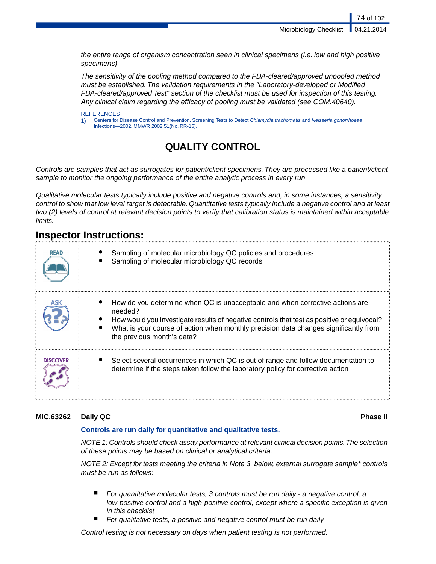Microbiology Checklist

74 of 102

*the entire range of organism concentration seen in clinical specimens (i.e. low and high positive specimens).*

*The sensitivity of the pooling method compared to the FDA-cleared/approved unpooled method must be established. The validation requirements in the "Laboratory-developed or Modified FDA-cleared/approved Test" section of the checklist must be used for inspection of this testing. Any clinical claim regarding the efficacy of pooling must be validated (see COM.40640).*

### **REFERENCES**

1) Centers for Disease Control and Prevention. Screening Tests to Detect *Chlamydia trachomatis* and *Neisseria gonorrhoeae* Infections*—*2002. MMWR 2002;51(No. RR-15).

# **QUALITY CONTROL**

*Controls are samples that act as surrogates for patient/client specimens. They are processed like a patient/client sample to monitor the ongoing performance of the entire analytic process in every run.*

*Qualitative molecular tests typically include positive and negative controls and, in some instances, a sensitivity control to show that low level target is detectable. Quantitative tests typically include a negative control and at least two (2) levels of control at relevant decision points to verify that calibration status is maintained within acceptable limits.*

# **Inspector Instructions:**

| <b>READ</b>     | Sampling of molecular microbiology QC policies and procedures<br>Sampling of molecular microbiology QC records                                                                                                                                                                                              |
|-----------------|-------------------------------------------------------------------------------------------------------------------------------------------------------------------------------------------------------------------------------------------------------------------------------------------------------------|
|                 | How do you determine when QC is unacceptable and when corrective actions are<br>needed?<br>How would you investigate results of negative controls that test as positive or equivocal?<br>What is your course of action when monthly precision data changes significantly from<br>the previous month's data? |
| <b>DISCOVER</b> | Select several occurrences in which QC is out of range and follow documentation to<br>determine if the steps taken follow the laboratory policy for corrective action                                                                                                                                       |

### **MIC.63262 Daily QC Phase II**

### **Controls are run daily for quantitative and qualitative tests.**

*NOTE 1: Controls should check assay performance at relevant clinical decision points.The selection of these points may be based on clinical or analytical criteria.*

*NOTE 2: Except for tests meeting the criteria in Note 3, below, external surrogate sample\* controls must be run as follows:*

- *For quantitative molecular tests, 3 controls must be run daily a negative control, a low-positive control and a high-positive control, except where a specific exception is given in this checklist*
- For qualitative tests, a positive and negative control must be run daily

*Control testing is not necessary on days when patient testing is not performed.*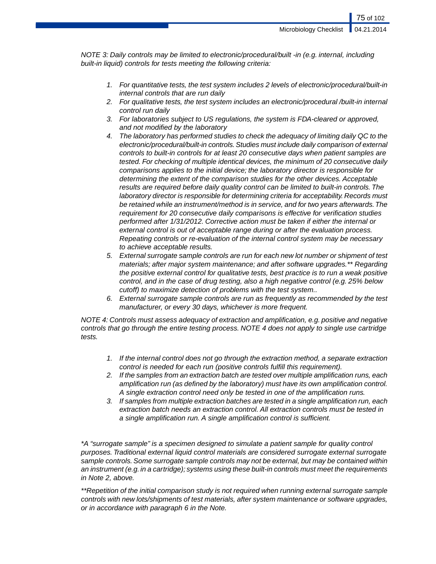75 of 102

*NOTE 3: Daily controls may be limited to electronic/procedural/built -in (e.g. internal, including built-in liquid) controls for tests meeting the following criteria:*

- *1. For quantitative tests, the test system includes 2 levels of electronic/procedural/built-in internal controls that are run daily*
- *2. For qualitative tests, the test system includes an electronic/procedural /built-in internal control run daily*
- *3. For laboratories subject to US regulations, the system is FDA-cleared or approved, and not modified by the laboratory*
- *4. The laboratory has performed studies to check the adequacy of limiting daily QC to the electronic/procedural/built-in controls. Studies must include daily comparison of external controls to built-in controls for at least 20 consecutive days when patient samples are tested. For checking of multiple identical devices, the minimum of 20 consecutive daily comparisons applies to the initial device; the laboratory director is responsible for determining the extent of the comparison studies for the other devices. Acceptable results are required before daily quality control can be limited to built-in controls. The laboratory director is responsible for determining criteria for acceptability. Records must be retained while an instrument/method is in service, and for two years afterwards.The requirement for 20 consecutive daily comparisons is effective for verification studies performed after 1/31/2012. Corrective action must be taken if either the internal or external control is out of acceptable range during or after the evaluation process. Repeating controls or re-evaluation of the internal control system may be necessary to achieve acceptable results.*
- *5. External surrogate sample controls are run for each new lot number or shipment of test materials; after major system maintenance; and after software upgrades.\*\* Regarding the positive external control for qualitative tests, best practice is to run a weak positive control, and in the case of drug testing, also a high negative control (e.g. 25% below cutoff) to maximize detection of problems with the test system..*
- *6. External surrogate sample controls are run as frequently as recommended by the test manufacturer, or every 30 days, whichever is more frequent.*

*NOTE 4: Controls must assess adequacy of extraction and amplification, e.g. positive and negative controls that go through the entire testing process. NOTE 4 does not apply to single use cartridge tests.*

- *1. If the internal control does not go through the extraction method, a separate extraction control is needed for each run (positive controls fulfill this requirement).*
- *2. If the samples from an extraction batch are tested over multiple amplification runs, each amplification run (as defined by the laboratory) must have its own amplification control. A single extraction control need only be tested in one of the amplification runs.*
- *3. If samples from multiple extraction batches are tested in a single amplification run, each extraction batch needs an extraction control. All extraction controls must be tested in a single amplification run. A single amplification control is sufficient.*

*\*A "surrogate sample" is a specimen designed to simulate a patient sample for quality control purposes. Traditional external liquid control materials are considered surrogate external surrogate sample controls. Some surrogate sample controls may not be external, but may be contained within an instrument (e.g. in a cartridge); systems using these built-in controls must meet the requirements in Note 2, above.*

*\*\*Repetition of the initial comparison study is not required when running external surrogate sample controls with new lots/shipments of test materials, after system maintenance or software upgrades, or in accordance with paragraph 6 in the Note.*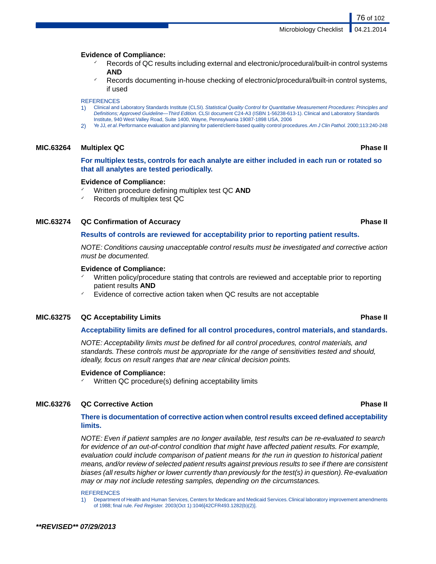### **Evidence of Compliance:**

- Records of QC results including external and electronic/procedural/built-in control systems **AND**
- Records documenting in-house checking of electronic/procedural/built-in control systems, if used

### **REFERENCES**

- 1) Clinical and Laboratory Standards Institute (CLSI). *Statistical Quality Control for Quantitative Measurement Procedures: Principles and Definitions; Approved Guideline—Third Edition*. CLSI document C24-A3 (ISBN 1-56238-613-1). Clinical and Laboratory Standards Institute, 940 West Valley Road, Suite 1400, Wayne, Pennsylvania 19087-1898 USA, 2006
- 2) Ye JJ, *et al*. Performance evaluation and planning for patient/client-based quality control procedures.*Am J Clin Pathol.* 2000;113:240-248

### **MIC.63264 Multiplex QC Phase II**

**For multiplex tests, controls for each analyte are either included in each run or rotated so that all analytes are tested periodically.**

### **Evidence of Compliance:**

- Written procedure defining multiplex test QC AND
- Records of multiplex test QC

### **MIC.63274 QC Confirmation of Accuracy Phase II**

### **Results of controls are reviewed for acceptability prior to reporting patient results.**

*NOTE: Conditions causing unacceptable control results must be investigated and corrective action must be documented.*

### **Evidence of Compliance:**

- Written policy/procedure stating that controls are reviewed and acceptable prior to reporting patient results **AND**
- Evidence of corrective action taken when QC results are not acceptable

### **MIC.63275 QC Acceptability Limits Phase II**

### **Acceptability limits are defined for all control procedures, control materials, and standards.**

*NOTE: Acceptability limits must be defined for all control procedures, control materials, and standards. These controls must be appropriate for the range of sensitivities tested and should, ideally, focus on result ranges that are near clinical decision points.*

### **Evidence of Compliance:**

Written QC procedure(s) defining acceptability limits

### **MIC.63276 QC Corrective Action Phase II**

### **There is documentation of corrective action when control results exceed defined acceptability limits.**

*NOTE: Even if patient samples are no longer available, test results can be re-evaluated to search for evidence of an out-of-control condition that might have affected patient results. For example, evaluation could include comparison of patient means for the run in question to historical patient means, and/or review of selected patient results against previous results to see if there are consistent biases (all results higher or lower currently than previously for the test(s) in question). Re-evaluation may or may not include retesting samples, depending on the circumstances.*

**REFERENCES** 

1) Department of Health and Human Services, Centers for Medicare and Medicaid Services. Clinical laboratory improvement amendments of 1988; final rule. *Fed Register.* 2003(Oct 1):1046[42CFR493.1282(b)(2)].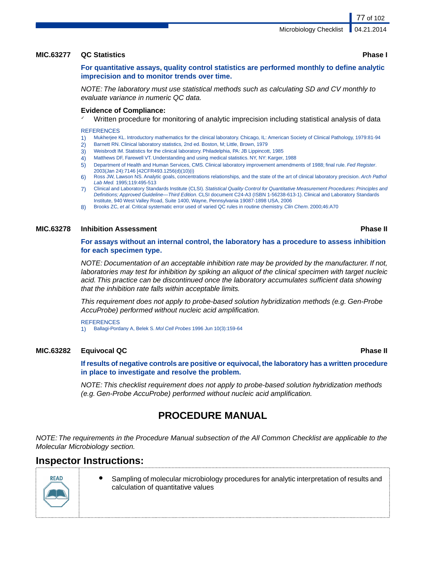77 of 102

### **MIC.63277 QC Statistics Phase I**

**For quantitative assays, quality control statistics are performed monthly to define analytic imprecision and to monitor trends over time.**

*NOTE: The laboratory must use statistical methods such as calculating SD and CV monthly to evaluate variance in numeric QC data.*

### **Evidence of Compliance:**

Written procedure for monitoring of analytic imprecision including statistical analysis of data

### **REFERENCES**

- 1) Mukherjee KL. Introductory mathematics for the clinical laboratory. Chicago, IL: American Society of Clinical Pathology, 1979:81-94
- 2) Barnett RN. Clinical laboratory statistics, 2nd ed. Boston, M; Little, Brown, 1979
- 3) Weisbrodt IM. Statistics for the clinical laboratory. Philadelphia, PA: JB Lippincott, 1985
- 4) Matthews DF, Farewell VT. Understanding and using medical statistics. NY, NY: Karger, 1988
- 5) Department of Health and Human Services, CMS. Clinical laboratory improvement amendments of 1988; final rule. *Fed Register*. 2003(Jan 24):7146 [42CFR493.1256(d)(10)(i)
- 6) Ross JW, Lawson NS. Analytic goals, concentrations relationships, and the state of the art of clinical laboratory precision. *Arch Pathol Lab Med.* 1995;119:495-513
- 7) Clinical and Laboratory Standards Institute (CLSI). *Statistical Quality Control for Quantitative Measurement Procedures: Principles and Definitions; Approved Guideline—Third Edition*. CLSI document C24-A3 (ISBN 1-56238-613-1). Clinical and Laboratory Standards Institute, 940 West Valley Road, Suite 1400, Wayne, Pennsylvania 19087-1898 USA, 2006
- 8) Brooks ZC, *et al*. Critical systematic error used of varied QC rules in routine chemistry. *Clin Chem*. 2000;46:A70

### **MIC.63278 Inhibition Assessment Phase II**

**For assays without an internal control, the laboratory has a procedure to assess inhibition for each specimen type.**

*NOTE: Documentation of an acceptable inhibition rate may be provided by the manufacturer. If not, laboratories may test for inhibition by spiking an aliquot of the clinical specimen with target nucleic acid. This practice can be discontinued once the laboratory accumulates sufficient data showing that the inhibition rate falls within acceptable limits.*

*This requirement does not apply to probe-based solution hybridization methods (e.g. Gen-Probe AccuProbe) performed without nucleic acid amplification.*

**REFERENCES** 1) Ballagi-Pordany A, Belek S. *Mol Cell Probes* 1996 Jun 10(3):159-64

### **MIC.63282 Equivocal QC Phase II**

**If results of negative controls are positive or equivocal, the laboratory has a written procedure in place to investigate and resolve the problem.**

*NOTE: This checklist requirement does not apply to probe-based solution hybridization methods (e.g. Gen-Probe AccuProbe) performed without nucleic acid amplification.*

# **PROCEDURE MANUAL**

*NOTE: The requirements in the Procedure Manual subsection of the All Common Checklist are applicable to the Molecular Microbiology section.*

### **Inspector Instructions:**



Sampling of molecular microbiology procedures for analytic interpretation of results and calculation of quantitative values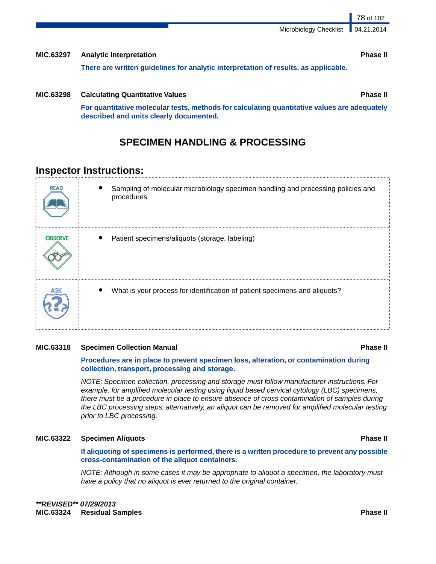Microbiology Checklist

| <b>MIC.63297</b> | <b>Analytic Interpretation</b>                                                      | <b>Phase II</b> |
|------------------|-------------------------------------------------------------------------------------|-----------------|
|                  | There are written guidelines for analytic interpretation of results, as applicable. |                 |

**MIC.63298 Calculating Quantitative Values Phase II**

**For quantitative molecular tests, methods for calculating quantitative values are adequately described and units clearly documented.**

# **SPECIMEN HANDLING & PROCESSING**

# **Inspector Instructions:**

| <b>READ</b>    | Sampling of molecular microbiology specimen handling and processing policies and<br>procedures |
|----------------|------------------------------------------------------------------------------------------------|
| <b>OBSERVE</b> | Patient specimens/aliquots (storage, labeling)                                                 |
|                | What is your process for identification of patient specimens and aliquots?                     |

### **MIC.63318 Specimen Collection Manual Phase II**

### **Procedures are in place to prevent specimen loss, alteration, or contamination during collection, transport, processing and storage.**

*NOTE: Specimen collection, processing and storage must follow manufacturer instructions. For example, for amplified molecular testing using liquid based cervical cytology (LBC) specimens, there must be a procedure in place to ensure absence of cross contamination of samples during the LBC processing steps; alternatively, an aliquot can be removed for amplified molecular testing prior to LBC processing.*

### **MIC.63322 Specimen Aliquots Phase II**

**If aliquoting of specimens is performed, there is a written procedure to prevent any possible cross-contamination of the aliquot containers.**

*NOTE: Although in some cases it may be appropriate to aliquot a specimen, the laboratory must have a policy that no aliquot is ever returned to the original container.*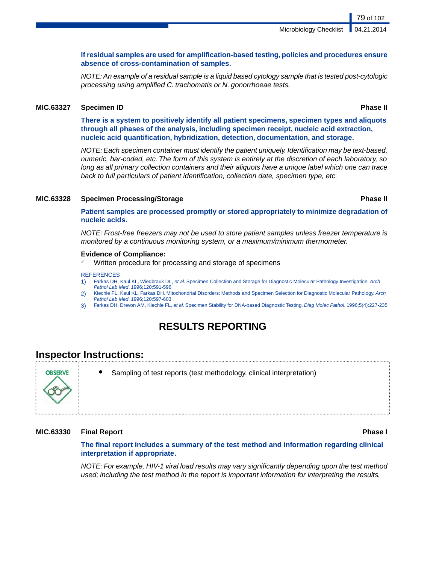### **If residual samples are used for amplification-based testing, policies and procedures ensure absence of cross-contamination of samples.**

*NOTE: An example of a residual sample is a liquid based cytology sample that is tested post-cytologic processing using amplified C. trachomatis or N. gonorrhoeae tests.*

### **MIC.63327 Specimen ID Phase II**

**There is a system to positively identify all patient specimens, specimen types and aliquots through all phases of the analysis, including specimen receipt, nucleic acid extraction, nucleic acid quantification, hybridization, detection, documentation, and storage.**

*NOTE: Each specimen container must identify the patient uniquely. Identification may be text-based, numeric, bar-coded, etc. The form of this system is entirely at the discretion of each laboratory, so long as all primary collection containers and their aliquots have a unique label which one can trace back to full particulars of patient identification, collection date, specimen type, etc.*

### **MIC.63328 Specimen Processing/Storage Phase II**

**Patient samples are processed promptly or stored appropriately to minimize degradation of nucleic acids.**

*NOTE: Frost-free freezers may not be used to store patient samples unless freezer temperature is monitored by a continuous monitoring system, or a maximum/minimum thermometer.*

### **Evidence of Compliance:**

Written procedure for processing and storage of specimens

### **REFERENCES**

- 1) Farkas DH, Kaul KL, Wiedbrauk DL, *et al*. Specimen Collection and Storage for Diagnostic Molecular Pathology Investigation. *Arch Pathol Lab Med*. 1996;120:591-596
- 2) Kiechle FL, Kaul KL, Farkas DH. Mitochondrial Disorders: Methods and Specimen Selection for Diagnostic Molecular Pathology. *Arch Pathol Lab Med*. 1996;120:597-603
- 3) Farkas DH, Drevon AM, Kiechle FL, *et al*. Specimen Stability for DNA-based Diagnostic Testing. *Diag Molec Pathol*. 1996;5(4):227-235

# **RESULTS REPORTING**

### **Inspector Instructions:**

Sampling of test reports (test methodology, clinical interpretation)

### **MIC.63330 Final Report Phase I**

### **The final report includes a summary of the test method and information regarding clinical interpretation if appropriate.**

*NOTE: For example, HIV-1 viral load results may vary significantly depending upon the test method used; including the test method in the report is important information for interpreting the results.*

# **ORSERVE**

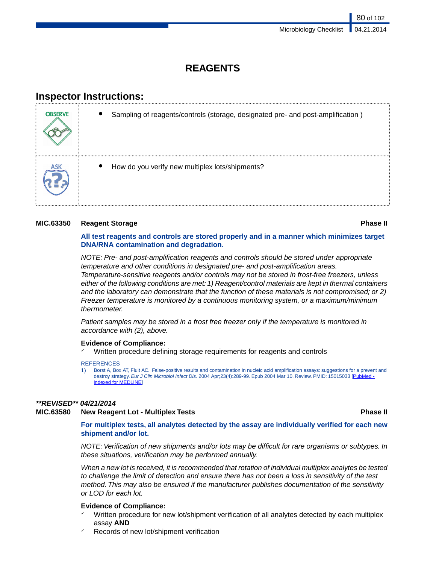# **REAGENTS**

# **Inspector Instructions:**

| <b>OBSERVE</b> | Sampling of reagents/controls (storage, designated pre- and post-amplification) |
|----------------|---------------------------------------------------------------------------------|
|                | How do you verify new multiplex lots/shipments?                                 |

### **MIC.63350 Reagent Storage Phase II**

### **All test reagents and controls are stored properly and in a manner which minimizes target DNA/RNA contamination and degradation.**

*NOTE: Pre- and post-amplification reagents and controls should be stored under appropriate temperature and other conditions in designated pre- and post-amplification areas. Temperature-sensitive reagents and/or controls may not be stored in frost-free freezers, unless either of the following conditions are met: 1) Reagent/control materials are kept in thermal containers and the laboratory can demonstrate that the function of these materials is not compromised; or 2) Freezer temperature is monitored by a continuous monitoring system, or a maximum/minimum thermometer.*

*Patient samples may be stored in a frost free freezer only if the temperature is monitored in accordance with (2), above.*

### **Evidence of Compliance:**

Written procedure defining storage requirements for reagents and controls

**REFERENCES** 

1) Borst A, Box AT, Fluit AC. False-positive results and contamination in nucleic acid amplification assays: suggestions for a prevent and destroy strategy. *Eur J Clin Microbiol Infect Dis.* 2004 Apr;23(4):289-99. Epub 2004 Mar 10. Review. PMID: 15015033 [[PubMed](http://search.msn.com/results.aspx?srch=105&FORM=IE7RE&q=PubMed+-+indexed+for+MEDLINE)  [indexed for MEDLINE\]](http://search.msn.com/results.aspx?srch=105&FORM=IE7RE&q=PubMed+-+indexed+for+MEDLINE)

### *\*\*REVISED\*\* 04/21/2014*

### **MIC.63580 New Reagent Lot - Multiplex Tests Phase II**

**For multiplex tests, all analytes detected by the assay are individually verified for each new shipment and/or lot.**

*NOTE: Verification of new shipments and/or lots may be difficult for rare organisms or subtypes. In these situations, verification may be performed annually.*

*When a new lot is received, it is recommended that rotation of individual multiplex analytes be tested to challenge the limit of detection and ensure there has not been a loss in sensitivity of the test method. This may also be ensured if the manufacturer publishes documentation of the sensitivity or LOD for each lot.*

### **Evidence of Compliance:**

- Written procedure for new lot/shipment verification of all analytes detected by each multiplex assay **AND**
- Records of new lot/shipment verification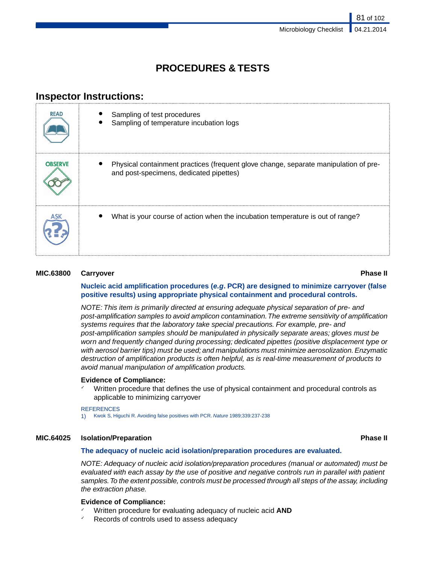# **PROCEDURES & TESTS**

# **Inspector Instructions:**

| <b>READ</b>    | Sampling of test procedures<br>Sampling of temperature incubation logs                                                          |
|----------------|---------------------------------------------------------------------------------------------------------------------------------|
| <b>OBSERVE</b> | Physical containment practices (frequent glove change, separate manipulation of pre-<br>and post-specimens, dedicated pipettes) |
|                | What is your course of action when the incubation temperature is out of range?                                                  |

### **MIC.63800 Carryover Phase II**

### **Nucleic acid amplification procedures (***e.g***. PCR) are designed to minimize carryover (false positive results) using appropriate physical containment and procedural controls.**

*NOTE: This item is primarily directed at ensuring adequate physical separation of pre- and post-amplification samples to avoid amplicon contamination.The extreme sensitivity of amplification systems requires that the laboratory take special precautions. For example, pre- and post-amplification samples should be manipulated in physically separate areas; gloves must be worn and frequently changed during processing; dedicated pipettes (positive displacement type or with aerosol barrier tips) must be used; and manipulations must minimize aerosolization. Enzymatic destruction of amplification products is often helpful, as is real-time measurement of products to avoid manual manipulation of amplification products.*

### **Evidence of Compliance:**

Written procedure that defines the use of physical containment and procedural controls as applicable to minimizing carryover

### **REFERENCES**

1) Kwok S, Higuchi R. Avoiding false positives with PCR. *Nature* 1989;339:237-238

### **MIC.64025 Isolation/Preparation Phase II**

### **The adequacy of nucleic acid isolation/preparation procedures are evaluated.**

*NOTE: Adequacy of nucleic acid isolation/preparation procedures (manual or automated) must be evaluated with each assay by the use of positive and negative controls run in parallel with patient samples.To the extent possible, controls must be processed through all steps of the assay, including the extraction phase.*

### **Evidence of Compliance:**

- ✓ Written procedure for evaluating adequacy of nucleic acid **AND**
- Records of controls used to assess adequacy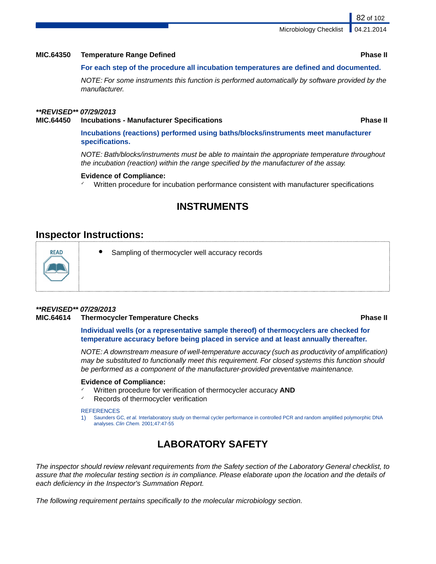Microbiology Checklist

### **MIC.64350 Temperature Range Defined Phase II**

### **For each step of the procedure all incubation temperatures are defined and documented.**

*NOTE: For some instruments this function is performed automatically by software provided by the manufacturer.*

### *\*\*REVISED\*\* 07/29/2013*

### **MIC.64450 Incubations - Manufacturer Specifications Phase II**

**Incubations (reactions) performed using baths/blocks/instruments meet manufacturer specifications.**

*NOTE: Bath/blocks/instruments must be able to maintain the appropriate temperature throughout the incubation (reaction) within the range specified by the manufacturer of the assay.*

### **Evidence of Compliance:**

Written procedure for incubation performance consistent with manufacturer specifications

# **INSTRUMENTS**

### **Inspector Instructions:**



Sampling of thermocycler well accuracy records

### *\*\*REVISED\*\* 07/29/2013*

### **MIC.64614 Thermocycler Temperature Checks Phase II**

**Individual wells (or a representative sample thereof) of thermocyclers are checked for temperature accuracy before being placed in service and at least annually thereafter.**

*NOTE: A downstream measure of well-temperature accuracy (such as productivity of amplification) may be substituted to functionally meet this requirement. For closed systems this function should be performed as a component of the manufacturer-provided preventative maintenance.*

### **Evidence of Compliance:**

- ✓ Written procedure for verification of thermocycler accuracy **AND**
- Records of thermocycler verification

### **REFERENCES**

1) Saunders GC, *et al.* Interlaboratory study on thermal cycler performance in controlled PCR and random amplified polymorphic DNA analyses. *Clin Chem.* 2001;47:47-55

# **LABORATORY SAFETY**

*The inspector should review relevant requirements from the Safety section of the Laboratory General checklist, to assure that the molecular testing section is in compliance. Please elaborate upon the location and the details of each deficiency in the Inspector's Summation Report.*

*The following requirement pertains specifically to the molecular microbiology section.*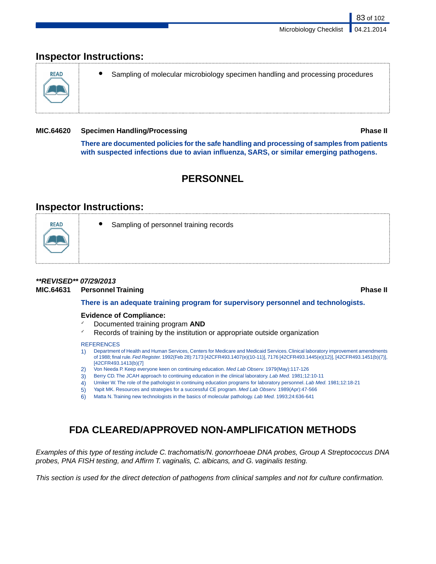# **Inspector Instructions:**



Sampling of molecular microbiology specimen handling and processing procedures

### **MIC.64620 Specimen Handling/Processing Phase II**

83 of 102

**There are documented policies for the safe handling and processing of samples from patients with suspected infections due to avian influenza, SARS, or similar emerging pathogens.**

# **PERSONNEL**

# **Inspector Instructions:**



Sampling of personnel training records

### *\*\*REVISED\*\* 07/29/2013*

**MIC.64631 Personnel Training Phase II**

### **There is an adequate training program for supervisory personnel and technologists.**

### **Evidence of Compliance:**

- ✓ Documented training program **AND**
- Records of training by the institution or appropriate outside organization

### **REFERENCES**

- 1) Department of Health and Human Services, Centers for Medicare and Medicaid Services. Clinical laboratory improvement amendments of 1988; final rule.*Fed Register.* 1992(Feb 28):7173 [42CFR493.1407(e)(10-11)], 7176 [42CFR493.1445(e)(12)], [42CFR493.1451(b)(7)], [42CFR493.1413(b)(7]
- 2) Von Needa P. Keep everyone keen on continuing education. *Med Lab Observ.* 1979(May):117-126
- 3) Berry CD. The JCAH approach to continuing education in the clinical laboratory. *Lab Med.* 1981;12:10-11
- 4) Umiker W. The role of the pathologist in continuing education programs for laboratory personnel. *Lab Med.* 1981;12:18-21
- 5) Yapit MK. Resources and strategies for a successful CE program. *Med Lab Observ.* 1989(Apr):47-566
- 6) Matta N. Training new technologists in the basics of molecular pathology. *Lab Med.* 1993;24:636-641

# **FDA CLEARED/APPROVED NON-AMPLIFICATION METHODS**

*Examples of this type of testing include C. trachomatis/N. gonorrhoeae DNA probes, Group A Streptococcus DNA probes, PNA FISH testing, and Affirm T. vaginalis, C. albicans, and G. vaginalis testing.*

*This section is used for the direct detection of pathogens from clinical samples and not for culture confirmation.*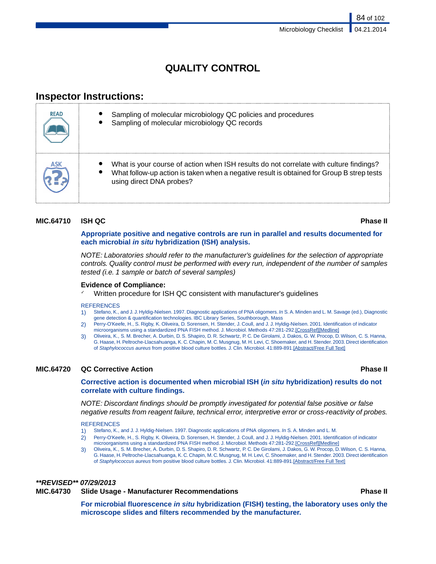# **QUALITY CONTROL**

# **Inspector Instructions:**

| <b>READ</b> | Sampling of molecular microbiology QC policies and procedures<br>Sampling of molecular microbiology QC records                                                                                                  |
|-------------|-----------------------------------------------------------------------------------------------------------------------------------------------------------------------------------------------------------------|
| ASK         | What is your course of action when ISH results do not correlate with culture findings?<br>What follow-up action is taken when a negative result is obtained for Group B strep tests<br>using direct DNA probes? |

### **MIC.64710 ISH QC Phase II**

### **Appropriate positive and negative controls are run in parallel and results documented for each microbial** *in situ* **hybridization (ISH) analysis.**

*NOTE: Laboratories should refer to the manufacturer's guidelines for the selection of appropriate controls. Quality control must be performed with every run, independent of the number of samples tested (i.e. 1 sample or batch of several samples)*

### **Evidence of Compliance:**

Written procedure for ISH QC consistent with manufacturer's guidelines

### **REFERENCES**

- 1) Stefano, K., and J. J. Hyldig-Nielsen. 1997. Diagnostic applications of PNA oligomers. *In* S. A. Minden and L. M. Savage (ed.), Diagnostic gene detection & quantification technologies. IBC Library Series, Southborough, Mass
- 2) Perry-O'Keefe, H., S. Rigby, K. Oliveira, D. Sorensen, H. Stender, J. Coull, and J. J. Hyldig-Nielsen. 2001. Identification of indicator microorganisms using a standardized PNA FISH method. J. Microbiol. Methods 47:281-292.[CrossRef][Medline]
- 3) Oliveira, K., S. M. Brecher, A. Durbin, D. S. Shapiro, D. R. Schwartz, P. C. De Girolami, J. Dakos, G. W. Procop, D. Wilson, C. S. Hanna, G. Haase, H. Peltroche-Llacsahuanga, K. C. Chapin, M. C. Musgnug, M. H. Levi, C. Shoemaker, and H. Stender. 2003. Direct identification of *Staphylococcus aureus* from positive blood culture bottles. J. Clin. Microbiol. 41:889-891.[Abstract/Free Full Text]

### **MIC.64720 QC Corrective Action Phase II**

### **Corrective action is documented when microbial ISH (***in situ* **hybridization) results do not correlate with culture findings.**

*NOTE: Discordant findings should be promptly investigated for potential false positive or false negative results from reagent failure, technical error, interpretive error or cross-reactivity of probes.*

**REFERENCES** 

- 1) Stefano, K., and J. J. Hyldig-Nielsen. 1997. Diagnostic applications of PNA oligomers. *In* S. A. Minden and L. M.
- 2) Perry-O'Keefe, H., S. Rigby, K. Oliveira, D. Sorensen, H. Stender, J. Coull, and J. J. Hyldig-Nielsen. 2001. Identification of indicator microorganisms using a standardized PNA FISH method. J. Microbiol. Methods 47:281-292.[CrossRef][Medline]
- 3) Oliveira, K., S. M. Brecher, A. Durbin, D. S. Shapiro, D. R. Schwartz, P. C. De Girolami, J. Dakos, G. W. Procop, D. Wilson, C. S. Hanna, G. Haase, H. Peltroche-Llacsahuanga, K. C. Chapin, M. C. Musgnug, M. H. Levi, C. Shoemaker, and H. Stender. 2003. Direct identification of *Staphylococcus aureus* from positive blood culture bottles. J. Clin. Microbiol. 41:889-891.[Abstract/Free Full Text]

### *\*\*REVISED\*\* 07/29/2013*

### **MIC.64730 Slide Usage - Manufacturer Recommendations Phase II**

**For microbial fluorescence** *in situ* **hybridization (FISH) testing, the laboratory uses only the microscope slides and filters recommended by the manufacturer.**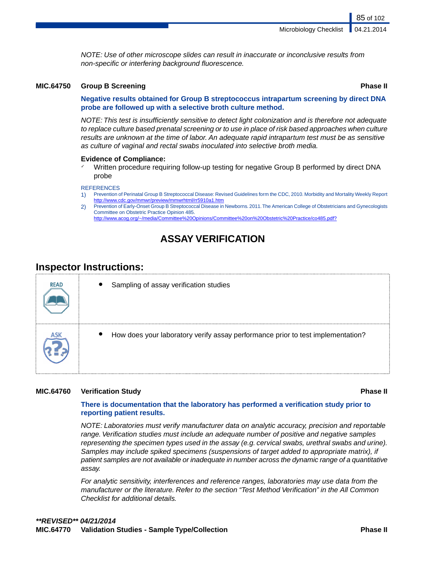*NOTE: Use of other microscope slides can result in inaccurate or inconclusive results from non-specific or interfering background fluorescence.*

### **MIC.64750 Group B Screening Phase II**

85 of 102

### **Negative results obtained for Group B streptococcus intrapartum screening by direct DNA probe are followed up with a selective broth culture method.**

*NOTE: This test is insufficiently sensitive to detect light colonization and is therefore not adequate to replace culture based prenatal screening or to use in place of risk based approaches when culture results are unknown at the time of labor. An adequate rapid intrapartum test must be as sensitive as culture of vaginal and rectal swabs inoculated into selective broth media.*

### **Evidence of Compliance:**

Written procedure requiring follow-up testing for negative Group B performed by direct DNA probe

### **REFERENCES**

- 1) Prevention of Perinatal Group B Streptococcal Disease: Revised Guidelines form the CDC, 2010. Morbidity and Mortality Weekly Report <http://www.cdc.gov/mmwr/preview/mmwrhtml/rr5910a1.htm>
- 2) Prevention of Early-Onset Group B Streptococcal Disease in Newborns. 2011.The American College of Obstetricians and Gynecologists Committee on Obstetric Practice Opinion 485. [http://www.acog.org/~/media/Committee%20Opinions/Committee%20on%20Obstetric%20Practice/co485.pdf?](http://www.acog.org/~/media/Committee%20Opinions/Committee%20on%20Obstetric%20Practice/co485.pdf?dmc=1&ts=20130501T0831574726http://www.acog.org/~/media/Committee%20Opinions/Committee%20on%20Obstetric%20Practice/co85.pdf?dmc=1&ts=20120919T1419214673)

# **ASSAY VERIFICATION**

# **Inspector Instructions:**

| <b>READ</b> | $\bullet$<br>Sampling of assay verification studies                                          |
|-------------|----------------------------------------------------------------------------------------------|
|             | How does your laboratory verify assay performance prior to test implementation?<br>$\bullet$ |

### **MIC.64760 Verification Study Phase II**

### **There is documentation that the laboratory has performed a verification study prior to reporting patient results.**

*NOTE: Laboratories must verify manufacturer data on analytic accuracy, precision and reportable range. Verification studies must include an adequate number of positive and negative samples representing the specimen types used in the assay (e.g. cervical swabs, urethral swabs and urine). Samples may include spiked specimens (suspensions of target added to appropriate matrix), if patient samples are not available or inadequate in number across the dynamic range of a quantitative assay.*

*For analytic sensitivity, interferences and reference ranges, laboratories may use data from the manufacturer or the literature. Refer to the section "Test Method Verification" in the All Common Checklist for additional details.*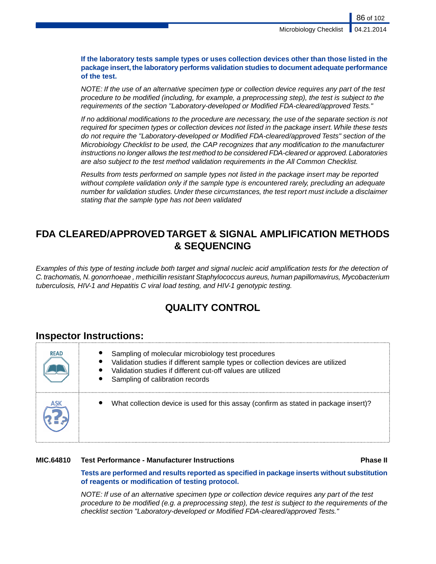**If the laboratory tests sample types or uses collection devices other than those listed in the package insert, the laboratory performs validation studies to document adequate performance of the test.**

*NOTE: If the use of an alternative specimen type or collection device requires any part of the test procedure to be modified (including, for example, a preprocessing step), the test is subject to the requirements of the section "Laboratory-developed or Modified FDA-cleared/approved Tests."*

*If no additional modifications to the procedure are necessary, the use of the separate section is not required for specimen types or collection devices not listed in the package insert.While these tests do not require the "Laboratory-developed or Modified FDA-cleared/approved Tests" section of the Microbiology Checklist to be used, the CAP recognizes that any modification to the manufacturer instructions no longer allows the test method to be considered FDA-cleared or approved. Laboratories are also subject to the test method validation requirements in the All Common Checklist.*

*Results from tests performed on sample types not listed in the package insert may be reported without complete validation only if the sample type is encountered rarely, precluding an adequate number for validation studies. Under these circumstances, the test report must include a disclaimer stating that the sample type has not been validated*

# **FDA CLEARED/APPROVED TARGET & SIGNAL AMPLIFICATION METHODS & SEQUENCING**

*Examples of this type of testing include both target and signal nucleic acid amplification tests for the detection of C. trachomatis, N. gonorrhoeae , methicillin resistant Staphylococcus aureus, human papillomavirus, Mycobacterium tuberculosis, HIV-1 and Hepatitis C viral load testing, and HIV-1 genotypic testing.*

# **QUALITY CONTROL**

### **Inspector Instructions:**

| <b>READ</b> | Sampling of molecular microbiology test procedures<br>Validation studies if different sample types or collection devices are utilized<br>Validation studies if different cut-off values are utilized<br>Sampling of calibration records |
|-------------|-----------------------------------------------------------------------------------------------------------------------------------------------------------------------------------------------------------------------------------------|
|             | What collection device is used for this assay (confirm as stated in package insert)?                                                                                                                                                    |

### **MIC.64810 Test Performance - Manufacturer Instructions Phase II**

**Tests are performed and results reported as specified in package inserts without substitution of reagents or modification of testing protocol.**

*NOTE: If use of an alternative specimen type or collection device requires any part of the test procedure to be modified (e.g. a preprocessing step), the test is subject to the requirements of the checklist section "Laboratory-developed or Modified FDA-cleared/approved Tests."*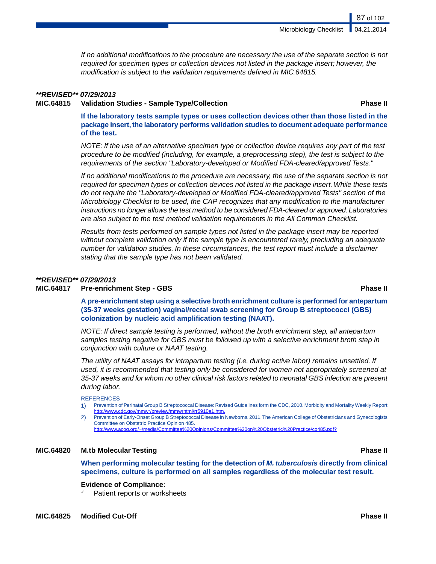*If no additional modifications to the procedure are necessary the use of the separate section is not required for specimen types or collection devices not listed in the package insert; however, the modification is subject to the validation requirements defined in MIC.64815.*

### *\*\*REVISED\*\* 07/29/2013*

**MIC.64815 Validation Studies - Sample Type/Collection Phase II**

**If the laboratory tests sample types or uses collection devices other than those listed in the package insert, the laboratory performs validation studies to document adequate performance of the test.**

*NOTE: If the use of an alternative specimen type or collection device requires any part of the test procedure to be modified (including, for example, a preprocessing step), the test is subject to the requirements of the section "Laboratory-developed or Modified FDA-cleared/approved Tests."*

*If no additional modifications to the procedure are necessary, the use of the separate section is not required for specimen types or collection devices not listed in the package insert.While these tests do not require the "Laboratory-developed or Modified FDA-cleared/approved Tests" section of the Microbiology Checklist to be used, the CAP recognizes that any modification to the manufacturer instructions no longer allows the test method to be considered FDA-cleared or approved. Laboratories are also subject to the test method validation requirements in the All Common Checklist.*

*Results from tests performed on sample types not listed in the package insert may be reported without complete validation only if the sample type is encountered rarely, precluding an adequate number for validation studies. In these circumstances, the test report must include a disclaimer stating that the sample type has not been validated.*

### *\*\*REVISED\*\* 07/29/2013*

### **MIC.64817 Pre-enrichment Step - GBS Phase II**

**A pre-enrichment step using a selective broth enrichment culture is performed for antepartum (35-37 weeks gestation) vaginal/rectal swab screening for Group B streptococci (GBS) colonization by nucleic acid amplification testing (NAAT).**

*NOTE: If direct sample testing is performed, without the broth enrichment step, all antepartum samples testing negative for GBS must be followed up with a selective enrichment broth step in conjunction with culture or NAAT testing.*

*The utility of NAAT assays for intrapartum testing (i.e. during active labor) remains unsettled. If used, it is recommended that testing only be considered for women not appropriately screened at 35-37 weeks and for whom no other clinical risk factors related to neonatal GBS infection are present during labor.*

### **REFERENCES**

- 1) Prevention of Perinatal Group B Streptococcal Disease: Revised Guidelines form the CDC, 2010. Morbidity and Mortality Weekly Report <http://www.cdc.gov/mmwr/preview/mmwrhtml/rr5910a1.htm>.
- 2) Prevention of Early-Onset Group B Streptococcal Disease in Newborns. 2011.The American College of Obstetricians and Gynecologists Committee on Obstetric Practice Opinion 485.
	- [http://www.acog.org/~/media/Committee%20Opinions/Committee%20on%20Obstetric%20Practice/co485.pdf?](http://www.acog.org/~/media/Committee%20Opinions/Committee%20on%20Obstetric%20Practice/co485.pdf?dmc=1&ts=20130501T0831574726)

### **MIC.64820 M.tb Molecular Testing Phase II**

**When performing molecular testing for the detection of** *M. tuberculosis* **directly from clinical specimens, culture is performed on all samples regardless of the molecular test result.**

### **Evidence of Compliance:**

Patient reports or worksheets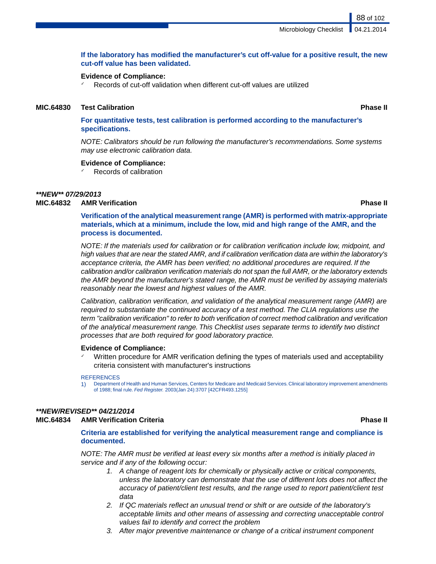### **If the laboratory has modified the manufacturer's cut off-value for a positive result, the new cut-off value has been validated.**

### **Evidence of Compliance:**

 $\checkmark$  Records of cut-off validation when different cut-off values are utilized

### **MIC.64830 Test Calibration Phase II**

**For quantitative tests, test calibration is performed according to the manufacturer's specifications.**

*NOTE: Calibrators should be run following the manufacturer's recommendations. Some systems may use electronic calibration data.*

### **Evidence of Compliance:**

Records of calibration

### *\*\*NEW\*\* 07/29/2013*

### **MIC.64832 AMR Verification Phase II**

**Verification of the analytical measurement range (AMR) is performed with matrix-appropriate materials, which at a minimum, include the low, mid and high range of the AMR, and the process is documented.**

*NOTE: If the materials used for calibration or for calibration verification include low, midpoint, and high values that are near the stated AMR, and if calibration verification data are within the laboratory's acceptance criteria, the AMR has been verified; no additional procedures are required. If the calibration and/or calibration verification materials do not span the full AMR, or the laboratory extends the AMR beyond the manufacturer's stated range, the AMR must be verified by assaying materials reasonably near the lowest and highest values of the AMR.*

*Calibration, calibration verification, and validation of the analytical measurement range (AMR) are required to substantiate the continued accuracy of a test method. The CLIA regulations use the term "calibration verification" to refer to both verification of correct method calibration and verification of the analytical measurement range. This Checklist uses separate terms to identify two distinct processes that are both required for good laboratory practice.*

### **Evidence of Compliance:**

Written procedure for AMR verification defining the types of materials used and acceptability criteria consistent with manufacturer's instructions

### **REFERENCES**

1) Department of Health and Human Services, Centers for Medicare and Medicaid Services. Clinical laboratory improvement amendments of 1988; final rule. *Fed Register.* 2003(Jan 24):3707 [42CFR493.1255]

### *\*\*NEW/REVISED\*\* 04/21/2014*

### **MIC.64834 AMR Verification Criteria Phase II**

**Criteria are established for verifying the analytical measurement range and compliance is documented.**

*NOTE: The AMR must be verified at least every six months after a method is initially placed in service and if any of the following occur:*

- *1. A change of reagent lots for chemically or physically active or critical components, unless the laboratory can demonstrate that the use of different lots does not affect the accuracy of patient/client test results, and the range used to report patient/client test data*
- *2. If QC materials reflect an unusual trend or shift or are outside of the laboratory's acceptable limits and other means of assessing and correcting unacceptable control values fail to identify and correct the problem*
- *3. After major preventive maintenance or change of a critical instrument component*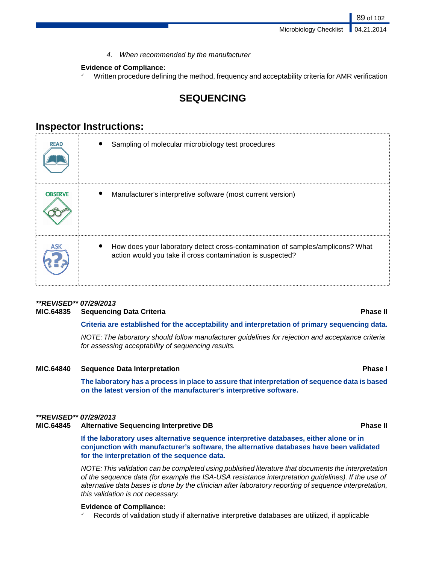*4. When recommended by the manufacturer*

### **Evidence of Compliance:**

 $\checkmark$  Written procedure defining the method, frequency and acceptability criteria for AMR verification

# **SEQUENCING**

# **Inspector Instructions:**

| <b>READ</b>    | Sampling of molecular microbiology test procedures                                                                                           |
|----------------|----------------------------------------------------------------------------------------------------------------------------------------------|
| <b>OBSERVE</b> | Manufacturer's interpretive software (most current version)                                                                                  |
|                | How does your laboratory detect cross-contamination of samples/amplicons? What<br>action would you take if cross contamination is suspected? |

# *\*\*REVISED\*\* 07/29/2013*

### **MIC.64835 Sequencing Data Criteria Phase II**

### **Criteria are established for the acceptability and interpretation of primary sequencing data.**

*NOTE: The laboratory should follow manufacturer guidelines for rejection and acceptance criteria for assessing acceptability of sequencing results.*

### **MIC.64840 Sequence Data Interpretation Phase I**

**The laboratory has a process in place to assure that interpretation of sequence data is based on the latest version of the manufacturer's interpretive software.**

### *\*\*REVISED\*\* 07/29/2013*

### **MIC.64845 Alternative Sequencing Interpretive DB Phase II**

**If the laboratory uses alternative sequence interpretive databases, either alone or in conjunction with manufacturer's software, the alternative databases have been validated for the interpretation of the sequence data.**

*NOTE:This validation can be completed using published literature that documents the interpretation of the sequence data (for example the ISA-USA resistance interpretation guidelines). If the use of alternative data bases is done by the clinician after laboratory reporting of sequence interpretation, this validation is not necessary.*

### **Evidence of Compliance:**

Records of validation study if alternative interpretive databases are utilized, if applicable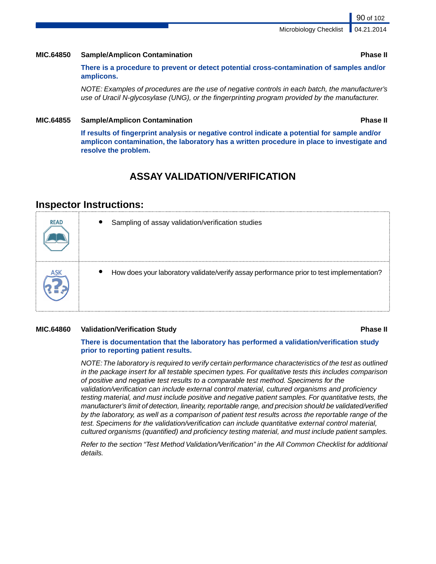Microbiology Checklist

### **MIC.64850 Sample/Amplicon Contamination Phase II**

**There is a procedure to prevent or detect potential cross-contamination of samples and/or amplicons.**

*NOTE: Examples of procedures are the use of negative controls in each batch, the manufacturer's use of Uracil N-glycosylase (UNG), or the fingerprinting program provided by the manufacturer.*

### **MIC.64855 Sample/Amplicon Contamination Phase II**

**If results of fingerprint analysis or negative control indicate a potential for sample and/or amplicon contamination, the laboratory has a written procedure in place to investigate and resolve the problem.**

# **ASSAY VALIDATION/VERIFICATION**

### **Inspector Instructions:**

| <b>READ</b> | Sampling of assay validation/verification studies                                                     |
|-------------|-------------------------------------------------------------------------------------------------------|
|             | How does your laboratory validate/verify assay performance prior to test implementation?<br>$\bullet$ |

### **MIC.64860 Validation/Verification Study Phase II**

### **There is documentation that the laboratory has performed a validation/verification study prior to reporting patient results.**

*NOTE:The laboratory is required to verify certain performance characteristics of the test as outlined in the package insert for all testable specimen types. For qualitative tests this includes comparison of positive and negative test results to a comparable test method. Specimens for the validation/verification can include external control material, cultured organisms and proficiency testing material, and must include positive and negative patient samples. For quantitative tests, the manufacturer's limit of detection, linearity, reportable range, and precision should be validated/verified by the laboratory, as well as a comparison of patient test results across the reportable range of the test. Specimens for the validation/verification can include quantitative external control material, cultured organisms (quantified) and proficiency testing material, and must include patient samples.*

*Refer to the section "Test Method Validation/Verification" in the All Common Checklist for additional details.*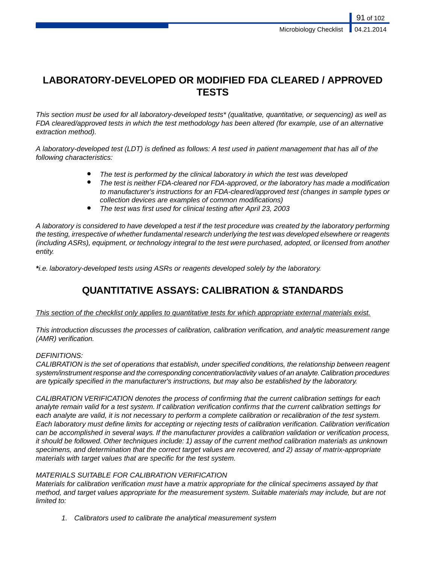# **LABORATORY-DEVELOPED OR MODIFIED FDA CLEARED / APPROVED TESTS**

*This section must be used for all laboratory-developed tests\* (qualitative, quantitative, or sequencing) as well as FDA cleared/approved tests in which the test methodology has been altered (for example, use of an alternative extraction method).*

*A laboratory-developed test (LDT) is defined as follows: A test used in patient management that has all of the following characteristics:*

- The test is performed by the clinical laboratory in which the test was developed
- *The test is neither FDA-cleared nor FDA-approved, or the laboratory has made a modification to manufacturer's instructions for an FDA-cleared/approved test (changes in sample types or collection devices are examples of common modifications)*
- *The test was first used for clinical testing after April 23, 2003*

*A laboratory is considered to have developed a test if the test procedure was created by the laboratory performing the testing, irrespective of whether fundamental research underlying the test was developed elsewhere or reagents (including ASRs), equipment, or technology integral to the test were purchased, adopted, or licensed from another entity.*

*\*i.e. laboratory-developed tests using ASRs or reagents developed solely by the laboratory.*

# **QUANTITATIVE ASSAYS: CALIBRATION & STANDARDS**

### *This section of the checklist only applies to quantitative tests for which appropriate external materials exist.*

*This introduction discusses the processes of calibration, calibration verification, and analytic measurement range (AMR) verification.*

### *DEFINITIONS:*

*CALIBRATION is the set of operations that establish, under specified conditions, the relationship between reagent system/instrument response and the corresponding concentration/activity values of an analyte. Calibration procedures are typically specified in the manufacturer's instructions, but may also be established by the laboratory.*

*CALIBRATION VERIFICATION denotes the process of confirming that the current calibration settings for each analyte remain valid for a test system. If calibration verification confirms that the current calibration settings for each analyte are valid, it is not necessary to perform a complete calibration or recalibration of the test system. Each laboratory must define limits for accepting or rejecting tests of calibration verification. Calibration verification can be accomplished in several ways. If the manufacturer provides a calibration validation or verification process, it should be followed. Other techniques include: 1) assay of the current method calibration materials as unknown specimens, and determination that the correct target values are recovered, and 2) assay of matrix-appropriate materials with target values that are specific for the test system.*

### *MATERIALS SUITABLE FOR CALIBRATION VERIFICATION*

*Materials for calibration verification must have a matrix appropriate for the clinical specimens assayed by that method, and target values appropriate for the measurement system. Suitable materials may include, but are not limited to:*

*1. Calibrators used to calibrate the analytical measurement system*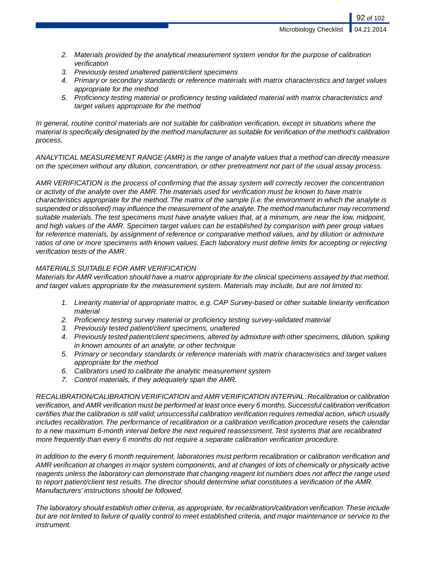Microbiology Checklist

- *2. Materials provided by the analytical measurement system vendor for the purpose of calibration verification*
- *3. Previously tested unaltered patient/client specimens*
- *4. Primary or secondary standards or reference materials with matrix characteristics and target values appropriate for the method*
- *5. Proficiency testing material or proficiency testing validated material with matrix characteristics and target values appropriate for the method*

*In general, routine control materials are not suitable for calibration verification, except in situations where the material is specifically designated by the method manufacturer as suitable for verification of the method's calibration process.*

*ANALYTICAL MEASUREMENT RANGE (AMR) is the range of analyte values that a method can directly measure on the specimen without any dilution, concentration, or other pretreatment not part of the usual assay process.*

*AMR VERIFICATION is the process of confirming that the assay system will correctly recover the concentration or activity of the analyte over the AMR. The materials used for verification must be known to have matrix characteristics appropriate for the method. The matrix of the sample (i.e. the environment in which the analyte is suspended or dissolved) may influence the measurement of the analyte.The method manufacturer may recommend suitable materials. The test specimens must have analyte values that, at a minimum, are near the low, midpoint, and high values of the AMR. Specimen target values can be established by comparison with peer group values for reference materials, by assignment of reference or comparative method values, and by dilution or admixture ratios of one or more specimens with known values. Each laboratory must define limits for accepting or rejecting verification tests of the AMR.*

### *MATERIALS SUITABLE FOR AMR VERIFICATION*

*Materials for AMR verification should have a matrix appropriate for the clinical specimens assayed by that method, and target values appropriate for the measurement system. Materials may include, but are not limited to:*

- *1. Linearity material of appropriate matrix, e.g. CAP Survey-based or other suitable linearity verification material*
- *2. Proficiency testing survey material or proficiency testing survey-validated material*
- *3. Previously tested patient/client specimens, unaltered*
- *4. Previously tested patient/client specimens, altered by admixture with other specimens, dilution, spiking in known amounts of an analyte, or other technique*
- *5. Primary or secondary standards or reference materials with matrix characteristics and target values appropriate for the method*
- *6. Calibrators used to calibrate the analytic measurement system*
- *7. Control materials, if they adequately span the AMR.*

*RECALIBRATION/CALIBRATION VERIFICATION and AMR VERIFICATION INTERVAL: Recalibration or calibration verification, and AMR verification must be performed at least once every 6 months. Successful calibration verification certifies that the calibration is still valid; unsuccessful calibration verification requires remedial action, which usually includes recalibration. The performance of recalibration or a calibration verification procedure resets the calendar to a new maximum 6-month interval before the next required reassessment. Test systems that are recalibrated more frequently than every 6 months do not require a separate calibration verification procedure.*

*In addition to the every 6 month requirement, laboratories must perform recalibration or calibration verification and AMR verification at changes in major system components, and at changes of lots of chemically or physically active reagents unless the laboratory can demonstrate that changing reagent lot numbers does not affect the range used to report patient/client test results. The director should determine what constitutes a verification of the AMR. Manufacturers' instructions should be followed.*

*The laboratory should establish other criteria, as appropriate, for recalibration/calibration verification.These include but are not limited to failure of quality control to meet established criteria, and major maintenance or service to the instrument.*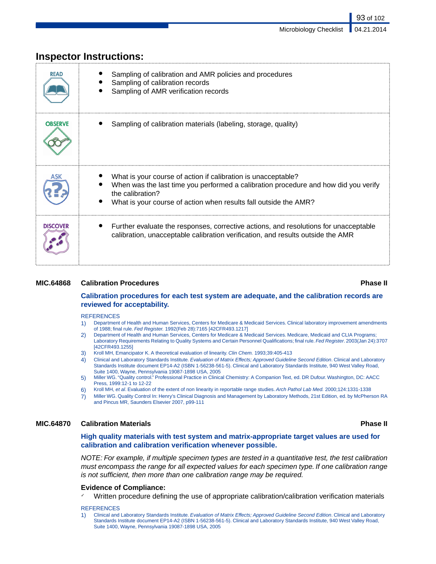93 of 102

|                 | ווואף ווואנו ווואנומיווא.                                                                                                                                                                                                                    |
|-----------------|----------------------------------------------------------------------------------------------------------------------------------------------------------------------------------------------------------------------------------------------|
| <b>READ</b>     | Sampling of calibration and AMR policies and procedures<br>Sampling of calibration records<br>Sampling of AMR verification records                                                                                                           |
| <b>OBSERVE</b>  | Sampling of calibration materials (labeling, storage, quality)                                                                                                                                                                               |
| ASK             | What is your course of action if calibration is unacceptable?<br>When was the last time you performed a calibration procedure and how did you verify<br>the calibration?<br>What is your course of action when results fall outside the AMR? |
| <b>DISCOVER</b> | Further evaluate the responses, corrective actions, and resolutions for unacceptable<br>calibration, unacceptable calibration verification, and results outside the AMR                                                                      |

# **Inspector Instructions:**

### **MIC.64868 Calibration Procedures Phase II**

### **Calibration procedures for each test system are adequate, and the calibration records are reviewed for acceptability.**

### **REFERENCES**

- 1) Department of Health and Human Services, Centers for Medicare & Medicaid Services. Clinical laboratory improvement amendments of 1988; final rule. *Fed Register.* 1992(Feb 28):7165 [42CFR493.1217]
- 2) Department of Health and Human Services, Centers for Medicare & Medicaid Services. Medicare, Medicaid and CLIA Programs; Laboratory Requirements Relating to Quality Systems and Certain Personnel Qualifications; final rule. *Fed Register*. 2003(Jan 24):3707 [42CFR493.1255]
- 3) Kroll MH, Emancipator K. A theoretical evaluation of linearity. *Clin Chem.* 1993;39:405-413
- 4) Clinical and Laboratory Standards Institute. *Evaluation of Matrix Effects; Approved Guideline Second Edition*. Clinical and Laboratory Standards Institute document EP14-A2 (ISBN 1-56238-561-5). Clinical and Laboratory Standards Institute, 940 West Valley Road, Suite 1400, Wayne, Pennsylvania 19087-1898 USA, 2005
- 5) Miller WG. "Quality control." Professional Practice in Clinical Chemistry: A Companion Text, ed. DR Dufour. Washington, DC: AACC Press, 1999:12-1 to 12-22
- 6) Kroll MH, *et al*. Evaluation of the extent of non linearity in reportable range studies. *Arch Pathol Lab Med.* 2000;124:1331-1338
- 7) Miller WG. Quality Control In: Henry's Clinical Diagnosis and Management by Laboratory Methods, 21st Edition, ed. by McPherson RA and Pincus MR, Saunders Elsevier 2007, p99-111

### **MIC.64870 Calibration Materials Phase II**

### **High quality materials with test system and matrix-appropriate target values are used for calibration and calibration verification whenever possible.**

*NOTE: For example, if multiple specimen types are tested in a quantitative test, the test calibration must encompass the range for all expected values for each specimen type. If one calibration range is not sufficient, then more than one calibration range may be required.*

### **Evidence of Compliance:**

Written procedure defining the use of appropriate calibration/calibration verification materials

### **REFERENCES**

<sup>1)</sup> Clinical and Laboratory Standards Institute. *Evaluation of Matrix Effects; Approved Guideline Second Edition*. Clinical and Laboratory Standards Institute document EP14-A2 (ISBN 1-56238-561-5). Clinical and Laboratory Standards Institute, 940 West Valley Road, Suite 1400, Wayne, Pennsylvania 19087-1898 USA, 2005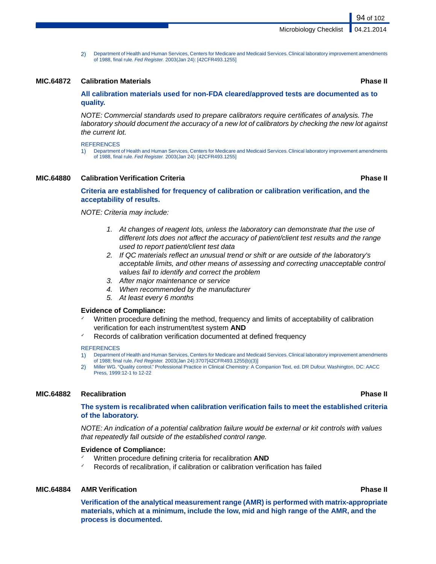2) Department of Health and Human Services, Centers for Medicare and Medicaid Services. Clinical laboratory improvement amendments of 1988, final rule. *Fed Register.* 2003(Jan 24): [42CFR493.1255]

### **MIC.64872 Calibration Materials Phase II**

### **All calibration materials used for non-FDA cleared/approved tests are documented as to quality.**

*NOTE: Commercial standards used to prepare calibrators require certificates of analysis. The laboratory should document the accuracy of a new lot of calibrators by checking the new lot against the current lot.*

### **REFERENCES**

1) Department of Health and Human Services, Centers for Medicare and Medicaid Services. Clinical laboratory improvement amendments of 1988, final rule. *Fed Register.* 2003(Jan 24): [42CFR493.1255]

### **MIC.64880 Calibration Verification Criteria Phase II**

### **Criteria are established for frequency of calibration or calibration verification, and the acceptability of results.**

*NOTE: Criteria may include:*

- *1. At changes of reagent lots, unless the laboratory can demonstrate that the use of different lots does not affect the accuracy of patient/client test results and the range used to report patient/client test data*
- *2. If QC materials reflect an unusual trend or shift or are outside of the laboratory's acceptable limits, and other means of assessing and correcting unacceptable control values fail to identify and correct the problem*
- *3. After major maintenance or service*
- *4. When recommended by the manufacturer*
- *5. At least every 6 months*

### **Evidence of Compliance:**

- Written procedure defining the method, frequency and limits of acceptability of calibration verification for each instrument/test system **AND**
- Records of calibration verification documented at defined frequency

### **REFERENCES**

- 1) Department of Health and Human Services, Centers for Medicare and Medicaid Services. Clinical laboratory improvement amendments of 1988; final rule. *Fed Register.* 2003(Jan 24):3707[42CFR493.1255(b)(3)]
- 2) Miller WG. "Quality control." Professional Practice in Clinical Chemistry: A Companion Text, ed. DR Dufour. Washington, DC: AACC Press, 1999:12-1 to 12-22

### **MIC.64882 Recalibration Phase II**

### **The system is recalibrated when calibration verification fails to meet the established criteria of the laboratory.**

*NOTE: An indication of a potential calibration failure would be external or kit controls with values that repeatedly fall outside of the established control range.*

### **Evidence of Compliance:**

- Written procedure defining criteria for recalibration **AND**
- Records of recalibration, if calibration or calibration verification has failed

### **MIC.64884 AMR Verification Phase II**

**Verification of the analytical measurement range (AMR) is performed with matrix-appropriate materials, which at a minimum, include the low, mid and high range of the AMR, and the process is documented.**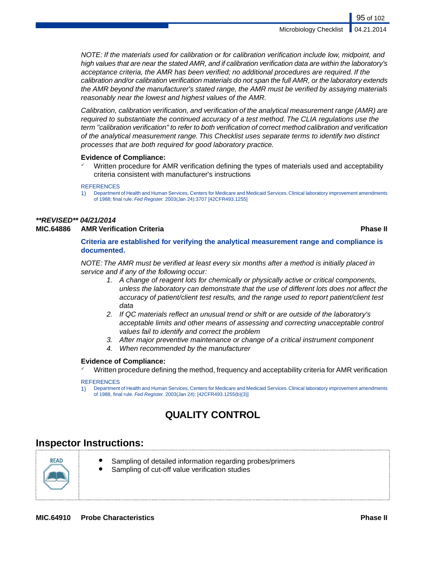95 of 102

*NOTE: If the materials used for calibration or for calibration verification include low, midpoint, and high values that are near the stated AMR, and if calibration verification data are within the laboratory's acceptance criteria, the AMR has been verified; no additional procedures are required. If the calibration and/or calibration verification materials do not span the full AMR, or the laboratory extends the AMR beyond the manufacturer's stated range, the AMR must be verified by assaying materials reasonably near the lowest and highest values of the AMR.*

*Calibration, calibration verification, and verification of the analytical measurement range (AMR) are required to substantiate the continued accuracy of a test method. The CLIA regulations use the term "calibration verification" to refer to both verification of correct method calibration and verification of the analytical measurement range. This Checklist uses separate terms to identify two distinct processes that are both required for good laboratory practice.*

### **Evidence of Compliance:**

Written procedure for AMR verification defining the types of materials used and acceptability criteria consistent with manufacturer's instructions

### **REFERENCES**

1) Department of Health and Human Services, Centers for Medicare and Medicaid Services. Clinical laboratory improvement amendments of 1988; final rule. *Fed Register.* 2003(Jan 24):3707 [42CFR493.1255]

# *\*\*REVISED\*\* 04/21/2014*

### **MIC.64886 AMR Verification Criteria Phase II**

**Criteria are established for verifying the analytical measurement range and compliance is documented.**

*NOTE: The AMR must be verified at least every six months after a method is initially placed in service and if any of the following occur:*

- *1. A change of reagent lots for chemically or physically active or critical components, unless the laboratory can demonstrate that the use of different lots does not affect the accuracy of patient/client test results, and the range used to report patient/client test data*
- *2. If QC materials reflect an unusual trend or shift or are outside of the laboratory's acceptable limits and other means of assessing and correcting unacceptable control values fail to identify and correct the problem*
- *3. After major preventive maintenance or change of a critical instrument component*
- *4. When recommended by the manufacturer*

### **Evidence of Compliance:**

✓ Written procedure defining the method, frequency and acceptability criteria for AMR verification

### **REFERENCES**

1) Department of Health and Human Services, Centers for Medicare and Medicaid Services. Clinical laboratory improvement amendments of 1988, final rule. *Fed Register.* 2003(Jan 24): [42CFR493.1255(b)(3)]

# **QUALITY CONTROL**

# **Inspector Instructions:**



- Sampling of detailed information regarding probes/primers
- Sampling of cut-off value verification studies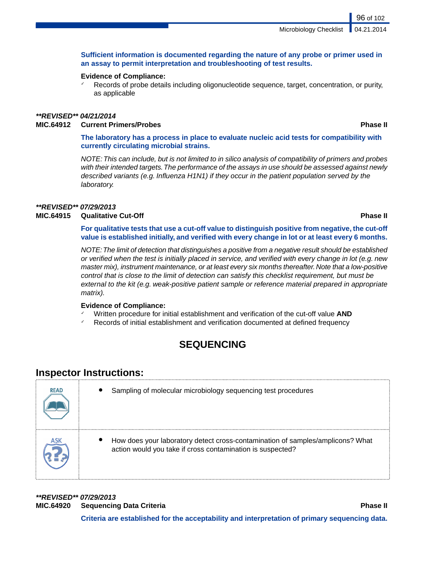### **Sufficient information is documented regarding the nature of any probe or primer used in an assay to permit interpretation and troubleshooting of test results.**

### **Evidence of Compliance:**

Records of probe details including oligonucleotide sequence, target, concentration, or purity, as applicable

### *\*\*REVISED\*\* 04/21/2014*

### **MIC.64912 Current Primers/Probes Phase II**

**The laboratory has a process in place to evaluate nucleic acid tests for compatibility with currently circulating microbial strains.**

*NOTE:This can include, but is not limited to in silico analysis of compatibility of primers and probes with their intended targets.The performance of the assays in use should be assessed against newly described variants (e.g. Influenza H1N1) if they occur in the patient population served by the laboratory.*

# *\*\*REVISED\*\* 07/29/2013*

### **MIC.64915 Qualitative Cut-Off Phase II**

**For qualitative tests that use a cut-off value to distinguish positive from negative, the cut-off value is established initially, and verified with every change in lot or at least every 6 months.**

*NOTE:The limit of detection that distinguishes a positive from a negative result should be established or verified when the test is initially placed in service, and verified with every change in lot (e.g. new master mix), instrument maintenance, or at least every six months thereafter. Note that a low-positive control that is close to the limit of detection can satisfy this checklist requirement, but must be external to the kit (e.g. weak-positive patient sample or reference material prepared in appropriate matrix).*

### **Evidence of Compliance:**

- ✓ Written procedure for initial establishment and verification of the cut-off value **AND**
- Records of initial establishment and verification documented at defined frequency

# **SEQUENCING**

# **Inspector Instructions:**

| <b>READ</b> | Sampling of molecular microbiology sequencing test procedures                                                                                |
|-------------|----------------------------------------------------------------------------------------------------------------------------------------------|
|             | How does your laboratory detect cross-contamination of samples/amplicons? What<br>action would you take if cross contamination is suspected? |

*\*\*REVISED\*\* 07/29/2013* **MIC.64920 Sequencing Data Criteria Phase II**

**Criteria are established for the acceptability and interpretation of primary sequencing data.**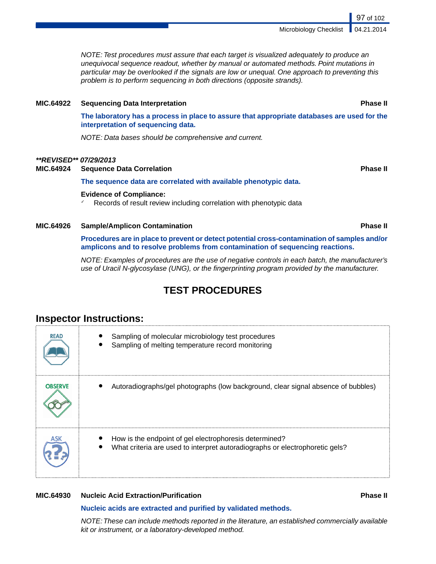*NOTE: Test procedures must assure that each target is visualized adequately to produce an unequivocal sequence readout, whether by manual or automated methods. Point mutations in particular may be overlooked if the signals are low or unequal. One approach to preventing this problem is to perform sequencing in both directions (opposite strands).*

### **MIC.64922 Sequencing Data Interpretation Phase II**

**The laboratory has a process in place to assure that appropriate databases are used for the interpretation of sequencing data.**

*NOTE: Data bases should be comprehensive and current.*

### *\*\*REVISED\*\* 07/29/2013*

**MIC.64924 Sequence Data Correlation Phase II**

**The sequence data are correlated with available phenotypic data.**

### **Evidence of Compliance:**

✓ Records of result review including correlation with phenotypic data

**MIC.64926 Sample/Amplicon Contamination Phase II**

**Procedures are in place to prevent or detect potential cross-contamination of samples and/or amplicons and to resolve problems from contamination of sequencing reactions.**

*NOTE: Examples of procedures are the use of negative controls in each batch, the manufacturer's use of Uracil N-glycosylase (UNG), or the fingerprinting program provided by the manufacturer.*

# **TEST PROCEDURES**

# **Inspector Instructions:**

| <b>READ</b>    | Sampling of molecular microbiology test procedures<br>Sampling of melting temperature record monitoring                                |
|----------------|----------------------------------------------------------------------------------------------------------------------------------------|
| <b>OBSERVE</b> | Autoradiographs/gel photographs (low background, clear signal absence of bubbles)                                                      |
|                | How is the endpoint of gel electrophoresis determined?<br>What criteria are used to interpret autoradiographs or electrophoretic gels? |

### **MIC.64930 Nucleic Acid Extraction/Purification Phase II**

### **Nucleic acids are extracted and purified by validated methods.**

*NOTE:These can include methods reported in the literature, an established commercially available kit or instrument, or a laboratory-developed method.*

Microbiology Checklist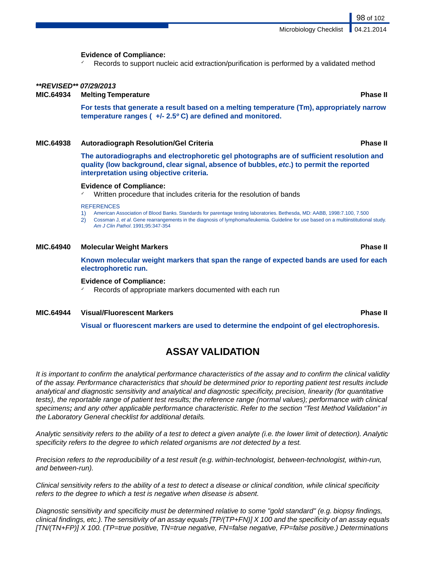98 of 102

### **Evidence of Compliance:**

Records to support nucleic acid extraction/purification is performed by a validated method

### *\*\*REVISED\*\* 07/29/2013*

**MIC.64934 Melting Temperature Phase II**

**For tests that generate a result based on a melting temperature (Tm), appropriately narrow temperature ranges ( +/- 2.5***º* **C) are defined and monitored.**

### **MIC.64938 Autoradiograph Resolution/Gel Criteria Phase II**

**The autoradiographs and electrophoretic gel photographs are of sufficient resolution and quality (low background, clear signal, absence of bubbles,** *etc***.) to permit the reported interpretation using objective criteria.**

### **Evidence of Compliance:**

Written procedure that includes criteria for the resolution of bands

### **REFERENCES**

- 1) American Association of Blood Banks. Standards for parentage testing laboratories. Bethesda, MD: AABB, 1998:7.100, 7.500
- 2) Cossman J, *et al*. Gene rearrangements in the diagnosis of lymphoma/leukemia. Guideline for use based on a multiinstitutional study. *Am J Clin Pathol*. 1991;95:347-354

### **MIC.64940 Molecular Weight Markers Phase II**

**Known molecular weight markers that span the range of expected bands are used for each electrophoretic run.**

### **Evidence of Compliance:**

Records of appropriate markers documented with each run

### **MIC.64944 Visual/Fluorescent Markers Phase II**

**Visual or fluorescent markers are used to determine the endpoint of gel electrophoresis.**

# **ASSAY VALIDATION**

*It is important to confirm the analytical performance characteristics of the assay and to confirm the clinical validity of the assay. Performance characteristics that should be determined prior to reporting patient test results include analytical and diagnostic sensitivity and analytical and diagnostic specificity, precision, linearity (for quantitative tests), the reportable range of patient test results; the reference range (normal values); performance with clinical specimens; and any other applicable performance characteristic. Refer to the section "Test Method Validation" in the Laboratory General checklist for additional details.*

*Analytic sensitivity refers to the ability of a test to detect a given analyte (i.e. the lower limit of detection). Analytic specificity refers to the degree to which related organisms are not detected by a test.*

*Precision refers to the reproducibility of a test result (e.g. within-technologist, between-technologist, within-run, and between-run).*

*Clinical sensitivity refers to the ability of a test to detect a disease or clinical condition, while clinical specificity refers to the degree to which a test is negative when disease is absent.*

*Diagnostic sensitivity and specificity must be determined relative to some "gold standard" (e.g. biopsy findings, clinical findings, etc.).The sensitivity of an assay equals [TP/(TP+FN)] X 100 and the specificity of an assay equals [TN/(TN+FP)] X 100. (TP=true positive, TN=true negative, FN=false negative, FP=false positive.) Determinations*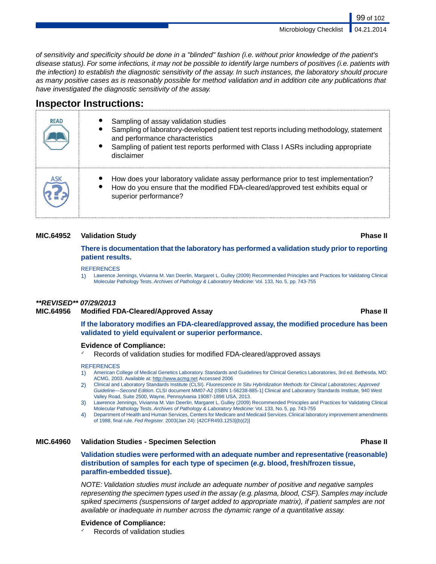*of sensitivity and specificity should be done in a "blinded" fashion (i.e. without prior knowledge of the patient's disease status). For some infections, it may not be possible to identify large numbers of positives (i.e. patients with the infection) to establish the diagnostic sensitivity of the assay. In such instances, the laboratory should procure as many positive cases as is reasonably possible for method validation and in addition cite any publications that have investigated the diagnostic sensitivity of the assay.*

# **Inspector Instructions:**

| <b>READ</b> | Sampling of assay validation studies<br>Sampling of laboratory-developed patient test reports including methodology, statement<br>and performance characteristics<br>Sampling of patient test reports performed with Class I ASRs including appropriate<br>٠<br>disclaimer |
|-------------|----------------------------------------------------------------------------------------------------------------------------------------------------------------------------------------------------------------------------------------------------------------------------|
|             | How does your laboratory validate assay performance prior to test implementation?<br>How do you ensure that the modified FDA-cleared/approved test exhibits equal or<br>superior performance?                                                                              |

### **MIC.64952 Validation Study Phase II**

### **There is documentation that the laboratory has performed a validation study prior to reporting patient results.**

### **REFERENCES**

1) Lawrence Jennings, Vivianna M.Van Deerlin, Margaret L. Gulley (2009) Recommended Principles and Practices for Validating Clinical Molecular Pathology Tests. *Archives of Pathology & Laboratory Medicine*: Vol. 133, No. 5, pp. 743-755

### *\*\*REVISED\*\* 07/29/2013*

### **MIC.64956 Modified FDA-Cleared/Approved Assay Phase II**

**If the laboratory modifies an FDA-cleared/approved assay, the modified procedure has been validated to yield equivalent or superior performance.**

### **Evidence of Compliance:**

Records of validation studies for modified FDA-cleared/approved assays

### **REFERENCES**

- 1) American College of Medical Genetics Laboratory. Standards and Guidelines for Clinical Genetics Laboratories, 3rd ed. Bethesda, MD: ACMG, 2003. Available at: http://www.acmg.net Accessed 2006
- 2) Clinical and Laboratory Standards Institute (CLSI). *Fluorescence In Situ Hybridization Methods for Clinical Laboratories; Approved Guideline—Second Edition*. CLSI document MM07-A2 (ISBN 1-56238-885-1] Clinical and Laboratory Standards Institute, 940 West Valley Road, Suite 2500, Wayne, Pennsylvania 19087-1898 USA, 2013.
- 3) Lawrence Jennings, Vivianna M.Van Deerlin, Margaret L. Gulley (2009) Recommended Principles and Practices for Validating Clinical Molecular Pathology Tests. *Archives of Pathology & Laboratory Medicine*: Vol. 133, No. 5, pp. 743-755
- 4) Department of Health and Human Services, Centers for Medicare and Medicaid Services. Clinical laboratory improvement amendments of 1988, final rule. *Fed Register.* 2003(Jan 24): [42CFR493.1253](b)(2)]

### **MIC.64960 Validation Studies - Specimen Selection Phase II**

**Validation studies were performed with an adequate number and representative (reasonable) distribution of samples for each type of specimen (***e.g***. blood, fresh/frozen tissue, paraffin-embedded tissue).**

*NOTE: Validation studies must include an adequate number of positive and negative samples representing the specimen types used in the assay (e.g. plasma, blood, CSF). Samples may include spiked specimens (suspensions of target added to appropriate matrix), if patient samples are not available or inadequate in number across the dynamic range of a quantitative assay.*

### **Evidence of Compliance:**

Records of validation studies

### Microbiology Checklist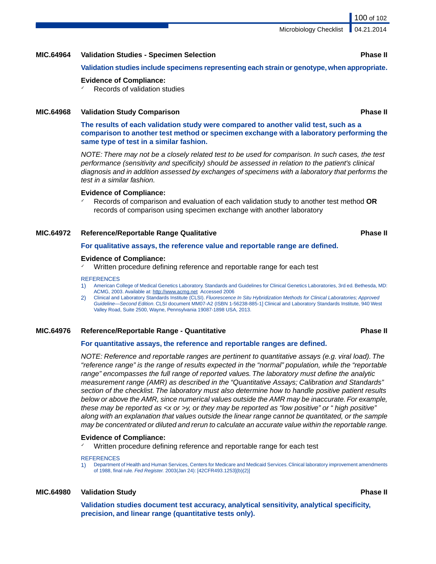### **MIC.64964 Validation Studies - Specimen Selection Phase II**

**Validation studies include specimens representing each strain or genotype, when appropriate.**

### **Evidence of Compliance:**

Records of validation studies

### **MIC.64968 Validation Study Comparison Phase II**

**The results of each validation study were compared to another valid test, such as a comparison to another test method or specimen exchange with a laboratory performing the same type of test in a similar fashion.**

*NOTE: There may not be a closely related test to be used for comparison. In such cases, the test performance (sensitivity and specificity) should be assessed in relation to the patient's clinical diagnosis and in addition assessed by exchanges of specimens with a laboratory that performs the test in a similar fashion.*

### **Evidence of Compliance:**

✓ Records of comparison and evaluation of each validation study to another test method **OR** records of comparison using specimen exchange with another laboratory

### **MIC.64972 Reference/Reportable Range Qualitative Phase II**

### **For qualitative assays, the reference value and reportable range are defined.**

### **Evidence of Compliance:**

Written procedure defining reference and reportable range for each test

### **REFERENCES**

- 1) American College of Medical Genetics Laboratory. Standards and Guidelines for Clinical Genetics Laboratories, 3rd ed. Bethesda, MD: ACMG, 2003. Available at: http://www.acmg.net Accessed 2006
- 2) Clinical and Laboratory Standards Institute (CLSI). *Fluorescence In Situ Hybridization Methods for Clinical Laboratories; Approved Guideline—Second Edition*. CLSI document MM07-A2 (ISBN 1-56238-885-1] Clinical and Laboratory Standards Institute, 940 West Valley Road, Suite 2500, Wayne, Pennsylvania 19087-1898 USA, 2013.

### **MIC.64976 Reference/Reportable Range - Quantitative Phase II**

### **For quantitative assays, the reference and reportable ranges are defined.**

*NOTE: Reference and reportable ranges are pertinent to quantitative assays (e.g. viral load). The "reference range" is the range of results expected in the "normal" population, while the "reportable range" encompasses the full range of reported values. The laboratory must define the analytic measurement range (AMR) as described in the "Quantitative Assays; Calibration and Standards" section of the checklist. The laboratory must also determine how to handle positive patient results below or above the AMR, since numerical values outside the AMR may be inaccurate. For example, these may be reported as <x or >y, or they may be reported as "low positive" or " high positive" along with an explanation that values outside the linear range cannot be quantitated, or the sample may be concentrated or diluted and rerun to calculate an accurate value within the reportable range.*

### **Evidence of Compliance:**

Written procedure defining reference and reportable range for each test

### **REFERENCES**

1) Department of Health and Human Services, Centers for Medicare and Medicaid Services. Clinical laboratory improvement amendments of 1988, final rule. *Fed Register.* 2003(Jan 24): [42CFR493.1253](b)(2)]

### **MIC.64980 Validation Study Phase II**

**Validation studies document test accuracy, analytical sensitivity, analytical specificity, precision, and linear range (quantitative tests only).**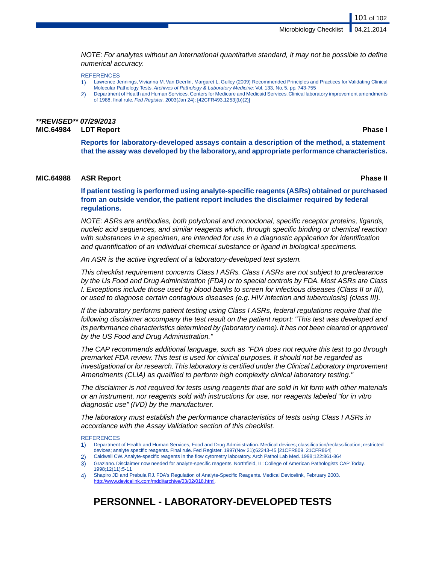*NOTE: For analytes without an international quantitative standard, it may not be possible to define numerical accuracy.*

**REFERENCES** 

- 1) Lawrence Jennings, Vivianna M.Van Deerlin, Margaret L. Gulley (2009) Recommended Principles and Practices for Validating Clinical Molecular Pathology Tests. *Archives of Pathology & Laboratory Medicine*: Vol. 133, No. 5, pp. 743-755
- 2) Department of Health and Human Services, Centers for Medicare and Medicaid Services. Clinical laboratory improvement amendments of 1988, final rule. *Fed Register.* 2003(Jan 24): [42CFR493.1253](b)(2)]

### *\*\*REVISED\*\* 07/29/2013* **MIC.64984 LDT Report Phase I**

**Reports for laboratory-developed assays contain a description of the method, a statement that the assay was developed by the laboratory, and appropriate performance characteristics.**

### **MIC.64988 ASR Report Phase II**

**If patient testing is performed using analyte-specific reagents (ASRs) obtained or purchased from an outside vendor, the patient report includes the disclaimer required by federal regulations.**

*NOTE: ASRs are antibodies, both polyclonal and monoclonal, specific receptor proteins, ligands, nucleic acid sequences, and similar reagents which, through specific binding or chemical reaction with substances in a specimen, are intended for use in a diagnostic application for identification and quantification of an individual chemical substance or ligand in biological specimens.*

*An ASR is the active ingredient of a laboratory-developed test system.*

*This checklist requirement concerns Class I ASRs. Class I ASRs are not subject to preclearance by the Us Food and Drug Administration (FDA) or to special controls by FDA. Most ASRs are Class I. Exceptions include those used by blood banks to screen for infectious diseases (Class II or III), or used to diagnose certain contagious diseases (e.g. HIV infection and tuberculosis) (class III).*

*If the laboratory performs patient testing using Class I ASRs, federal regulations require that the following disclaimer accompany the test result on the patient report: "This test was developed and its performance characteristics determined by (laboratory name). It has not been cleared or approved by the US Food and Drug Administration."*

*The CAP recommends additional language, such as "FDA does not require this test to go through premarket FDA review. This test is used for clinical purposes. It should not be regarded as investigational or for research.This laboratory is certified under the Clinical Laboratory Improvement Amendments (CLIA) as qualified to perform high complexity clinical laboratory testing."*

*The disclaimer is not required for tests using reagents that are sold in kit form with other materials or an instrument, nor reagents sold with instructions for use, nor reagents labeled "for in vitro diagnostic use" (IVD) by the manufacturer.*

*The laboratory must establish the performance characteristics of tests using Class I ASRs in accordance with the Assay Validation section of this checklist.*

### **REFERENCES**

- 1) Department of Health and Human Services, Food and Drug Administration. Medical devices; classification/reclassification; restricted devices; analyte specific reagents. Final rule. Fed Register. 1997(Nov 21);62243-45 [21CFR809, 21CFR864]
- 2) Caldwell CW. Analyte-specific reagents in the flow cytometry laboratory. Arch Pathol Lab Med. 1998;122:861-864 3) Graziano. Disclaimer now needed for analyte-specific reagents. Northfield, IL: College of American Pathologists CAP Today.
- 1998;12(11):5-11
- 4) Shapiro JD and Prebula RJ. FDA's Regulation of Analyte-Specific Reagents. Medical Devicelink, February 2003. <http://www.devicelink.com/mddi/archive/03/02/018.html>.

# **PERSONNEL - LABORATORY-DEVELOPED TESTS**